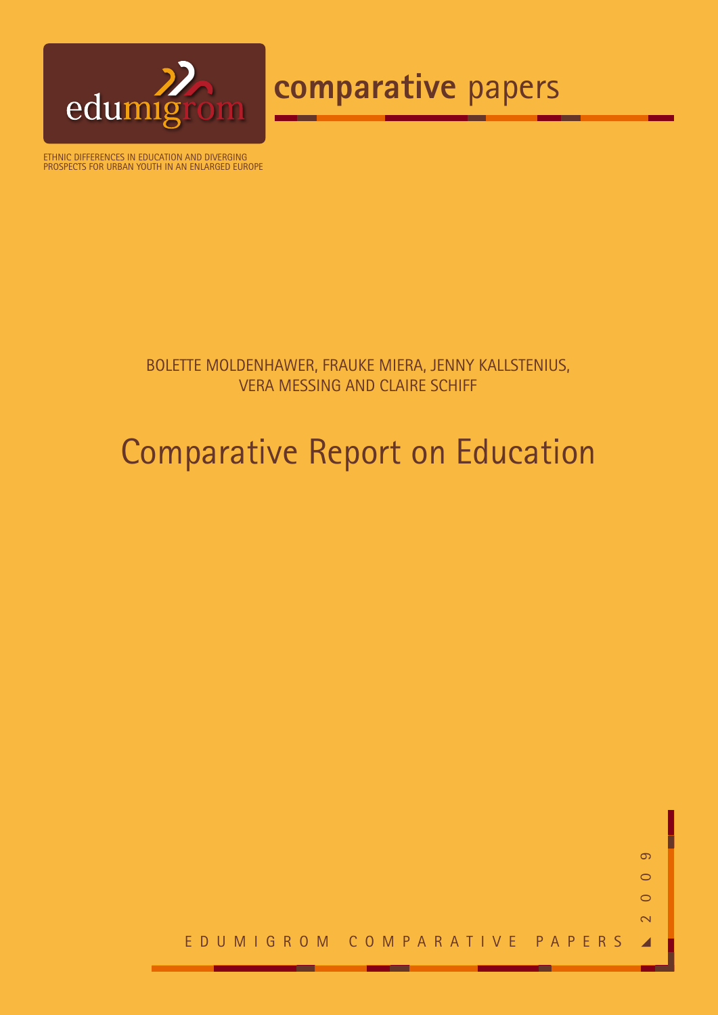

# **comparative** papers

Ethnic differences in education and diverging prospects for urban youth in an enlarged Europe

# bolette moldenhawer, frauke miera, jenny kallstenius, vera messing and claire schiff

# Comparative Report on Education

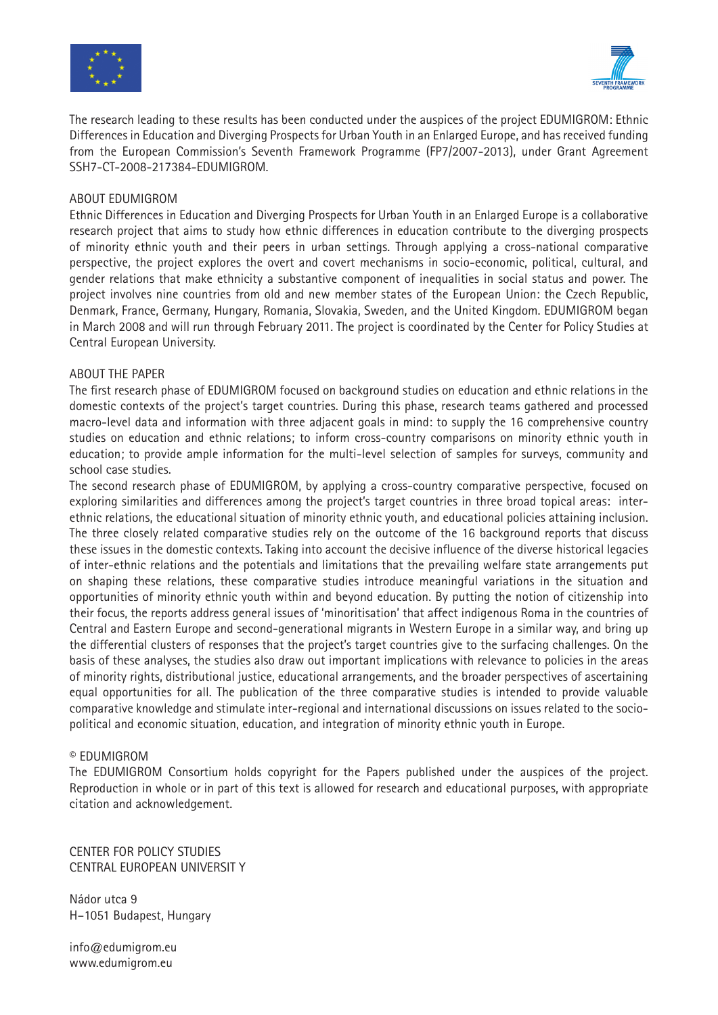



The research leading to these results has been conducted under the auspices of the project EDUMIGROM: Ethnic Differences in Education and Diverging Prospects for Urban Youth in an Enlarged Europe, and has received funding from the European Commission's Seventh Framework Programme (FP7/2007-2013), under Grant Agreement SSH7-CT-2008-217384-EDUMIGROM.

#### ABOUT EDUMIGROM

Ethnic Differences in Education and Diverging Prospects for Urban Youth in an Enlarged Europe is a collaborative research project that aims to study how ethnic differences in education contribute to the diverging prospects of minority ethnic youth and their peers in urban settings. Through applying a cross-national comparative perspective, the project explores the overt and covert mechanisms in socio-economic, political, cultural, and gender relations that make ethnicity a substantive component of inequalities in social status and power. The project involves nine countries from old and new member states of the European Union: the Czech Republic, Denmark, France, Germany, Hungary, Romania, Slovakia, Sweden, and the United Kingdom. EDUMIGROM began in March 2008 and will run through February 2011. The project is coordinated by the Center for Policy Studies at Central European University.

#### ABOUT THE PAPER

The first research phase of EDUMIGROM focused on background studies on education and ethnic relations in the domestic contexts of the project's target countries. During this phase, research teams gathered and processed macro-level data and information with three adjacent goals in mind: to supply the 16 comprehensive country studies on education and ethnic relations; to inform cross-country comparisons on minority ethnic youth in education; to provide ample information for the multi-level selection of samples for surveys, community and school case studies.

The second research phase of EDUMIGROM, by applying a cross-country comparative perspective, focused on exploring similarities and differences among the project's target countries in three broad topical areas: interethnic relations, the educational situation of minority ethnic youth, and educational policies attaining inclusion. The three closely related comparative studies rely on the outcome of the 16 background reports that discuss these issues in the domestic contexts. Taking into account the decisive influence of the diverse historical legacies of inter-ethnic relations and the potentials and limitations that the prevailing welfare state arrangements put on shaping these relations, these comparative studies introduce meaningful variations in the situation and opportunities of minority ethnic youth within and beyond education. By putting the notion of citizenship into their focus, the reports address general issues of 'minoritisation' that affect indigenous Roma in the countries of Central and Eastern Europe and second-generational migrants in Western Europe in a similar way, and bring up the differential clusters of responses that the project's target countries give to the surfacing challenges. On the basis of these analyses, the studies also draw out important implications with relevance to policies in the areas of minority rights, distributional justice, educational arrangements, and the broader perspectives of ascertaining equal opportunities for all. The publication of the three comparative studies is intended to provide valuable comparative knowledge and stimulate inter-regional and international discussions on issues related to the sociopolitical and economic situation, education, and integration of minority ethnic youth in Europe.

#### © EDUMIGROM

The EDUMIGROM Consortium holds copyright for the Papers published under the auspices of the project. Reproduction in whole or in part of this text is allowed for research and educational purposes, with appropriate citation and acknowledgement.

CENTER FOR POLICY STUDIES CENTRAL EUROPEAN UNIVERSIT Y

Nádor utca 9 H–1051 Budapest, Hungary

info@edumigrom.eu www.edumigrom.eu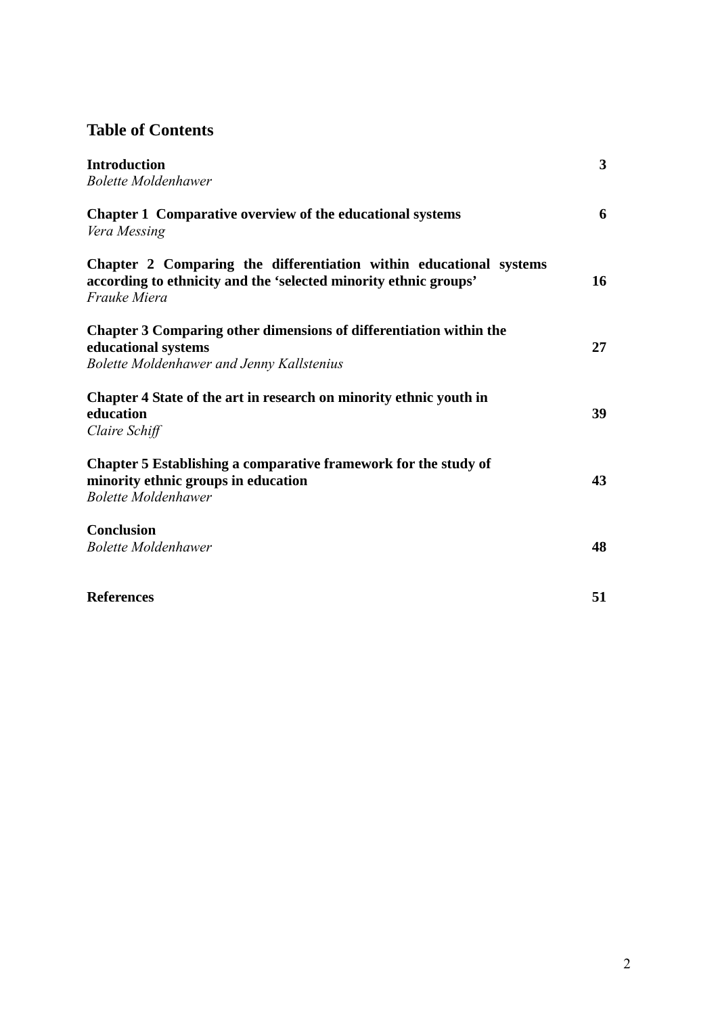# **Table of Contents**

| <b>Introduction</b><br><b>Bolette Moldenhawer</b>                                                                                                      | 3  |
|--------------------------------------------------------------------------------------------------------------------------------------------------------|----|
| <b>Chapter 1 Comparative overview of the educational systems</b><br>Vera Messing                                                                       | 6  |
| Chapter 2 Comparing the differentiation within educational systems<br>according to ethnicity and the 'selected minority ethnic groups'<br>Frauke Miera | 16 |
| Chapter 3 Comparing other dimensions of differentiation within the<br>educational systems<br>Bolette Moldenhawer and Jenny Kallstenius                 | 27 |
| Chapter 4 State of the art in research on minority ethnic youth in<br>education<br>Claire Schiff                                                       | 39 |
| Chapter 5 Establishing a comparative framework for the study of<br>minority ethnic groups in education<br><b>Bolette Moldenhawer</b>                   | 43 |
| <b>Conclusion</b><br><b>Bolette Moldenhawer</b>                                                                                                        | 48 |
| <b>References</b>                                                                                                                                      | 51 |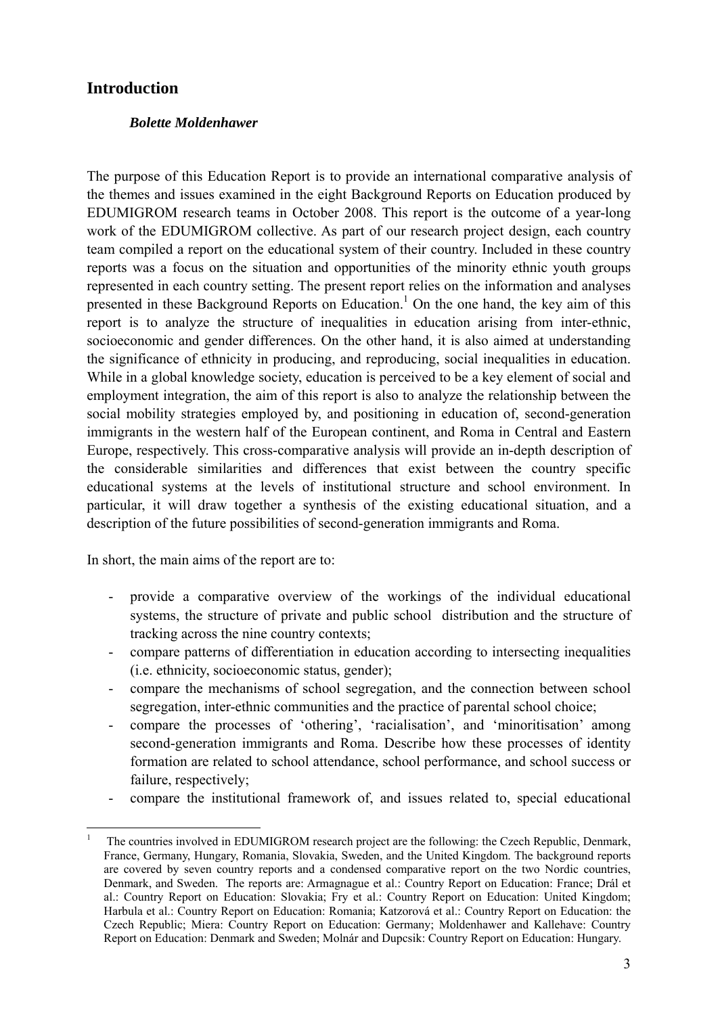## **Introduction**

## *Bolette Moldenhawer*

The purpose of this Education Report is to provide an international comparative analysis of the themes and issues examined in the eight Background Reports on Education produced by EDUMIGROM research teams in October 2008. This report is the outcome of a year-long work of the EDUMIGROM collective. As part of our research project design, each country team compiled a report on the educational system of their country. Included in these country reports was a focus on the situation and opportunities of the minority ethnic youth groups represented in each country setting. The present report relies on the information and analyses presented in these Background Reports on Education.<sup>1</sup> On the one hand, the key aim of this report is to analyze the structure of inequalities in education arising from inter-ethnic, socioeconomic and gender differences. On the other hand, it is also aimed at understanding the significance of ethnicity in producing, and reproducing, social inequalities in education. While in a global knowledge society, education is perceived to be a key element of social and employment integration, the aim of this report is also to analyze the relationship between the social mobility strategies employed by, and positioning in education of, second-generation immigrants in the western half of the European continent, and Roma in Central and Eastern Europe, respectively. This cross-comparative analysis will provide an in-depth description of the considerable similarities and differences that exist between the country specific educational systems at the levels of institutional structure and school environment. In particular, it will draw together a synthesis of the existing educational situation, and a description of the future possibilities of second-generation immigrants and Roma.

In short, the main aims of the report are to:

- provide a comparative overview of the workings of the individual educational systems, the structure of private and public school distribution and the structure of tracking across the nine country contexts;
- compare patterns of differentiation in education according to intersecting inequalities (i.e. ethnicity, socioeconomic status, gender);
- compare the mechanisms of school segregation, and the connection between school segregation, inter-ethnic communities and the practice of parental school choice;
- compare the processes of 'othering', 'racialisation', and 'minoritisation' among second-generation immigrants and Roma. Describe how these processes of identity formation are related to school attendance, school performance, and school success or failure, respectively;
- compare the institutional framework of, and issues related to, special educational

<sup>1</sup> The countries involved in EDUMIGROM research project are the following: the Czech Republic, Denmark, France, Germany, Hungary, Romania, Slovakia, Sweden, and the United Kingdom. The background reports are covered by seven country reports and a condensed comparative report on the two Nordic countries, Denmark, and Sweden. The reports are: Armagnague et al.: Country Report on Education: France; Drál et al.: Country Report on Education: Slovakia; Fry et al.: Country Report on Education: United Kingdom; Harbula et al.: Country Report on Education: Romania; Katzorová et al.: Country Report on Education: the Czech Republic; Miera: Country Report on Education: Germany; Moldenhawer and Kallehave: Country Report on Education: Denmark and Sweden; Molnár and Dupcsik: Country Report on Education: Hungary.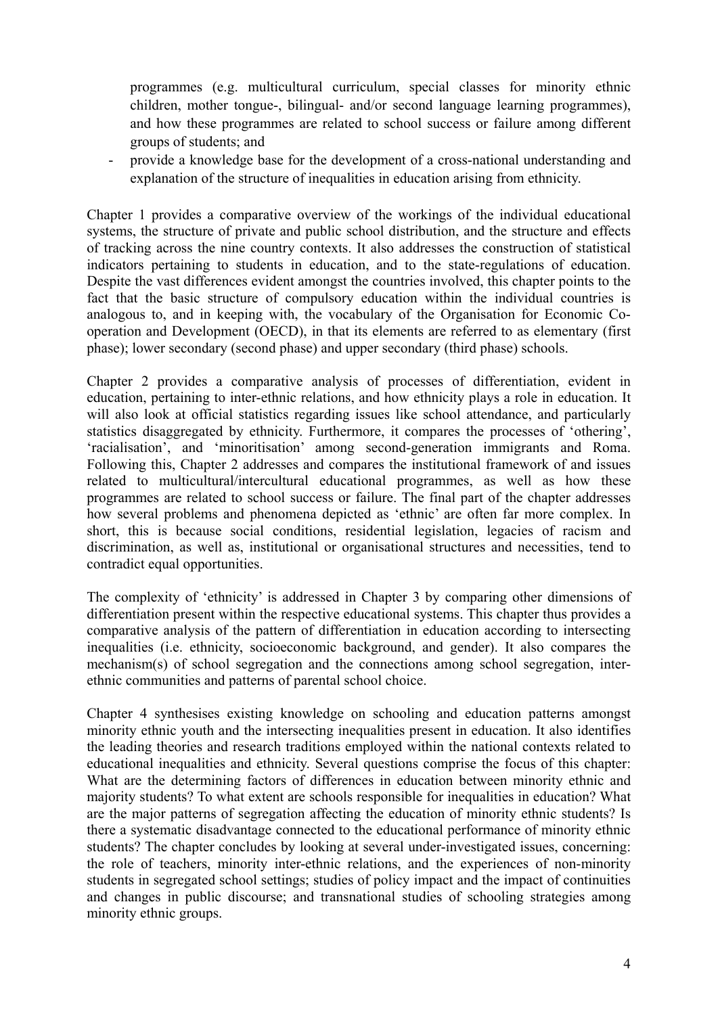programmes (e.g. multicultural curriculum, special classes for minority ethnic children, mother tongue-, bilingual- and/or second language learning programmes), and how these programmes are related to school success or failure among different groups of students; and

- provide a knowledge base for the development of a cross-national understanding and explanation of the structure of inequalities in education arising from ethnicity.

Chapter 1 provides a comparative overview of the workings of the individual educational systems, the structure of private and public school distribution, and the structure and effects of tracking across the nine country contexts. It also addresses the construction of statistical indicators pertaining to students in education, and to the state-regulations of education. Despite the vast differences evident amongst the countries involved, this chapter points to the fact that the basic structure of compulsory education within the individual countries is analogous to, and in keeping with, the vocabulary of the Organisation for Economic Cooperation and Development (OECD), in that its elements are referred to as elementary (first phase); lower secondary (second phase) and upper secondary (third phase) schools.

Chapter 2 provides a comparative analysis of processes of differentiation, evident in education, pertaining to inter-ethnic relations, and how ethnicity plays a role in education. It will also look at official statistics regarding issues like school attendance, and particularly statistics disaggregated by ethnicity. Furthermore, it compares the processes of 'othering', 'racialisation', and 'minoritisation' among second-generation immigrants and Roma. Following this, Chapter 2 addresses and compares the institutional framework of and issues related to multicultural/intercultural educational programmes, as well as how these programmes are related to school success or failure. The final part of the chapter addresses how several problems and phenomena depicted as 'ethnic' are often far more complex. In short, this is because social conditions, residential legislation, legacies of racism and discrimination, as well as, institutional or organisational structures and necessities, tend to contradict equal opportunities.

The complexity of 'ethnicity' is addressed in Chapter 3 by comparing other dimensions of differentiation present within the respective educational systems. This chapter thus provides a comparative analysis of the pattern of differentiation in education according to intersecting inequalities (i.e. ethnicity, socioeconomic background, and gender). It also compares the mechanism(s) of school segregation and the connections among school segregation, interethnic communities and patterns of parental school choice.

Chapter 4 synthesises existing knowledge on schooling and education patterns amongst minority ethnic youth and the intersecting inequalities present in education. It also identifies the leading theories and research traditions employed within the national contexts related to educational inequalities and ethnicity. Several questions comprise the focus of this chapter: What are the determining factors of differences in education between minority ethnic and majority students? To what extent are schools responsible for inequalities in education? What are the major patterns of segregation affecting the education of minority ethnic students? Is there a systematic disadvantage connected to the educational performance of minority ethnic students? The chapter concludes by looking at several under-investigated issues, concerning: the role of teachers, minority inter-ethnic relations, and the experiences of non-minority students in segregated school settings; studies of policy impact and the impact of continuities and changes in public discourse; and transnational studies of schooling strategies among minority ethnic groups.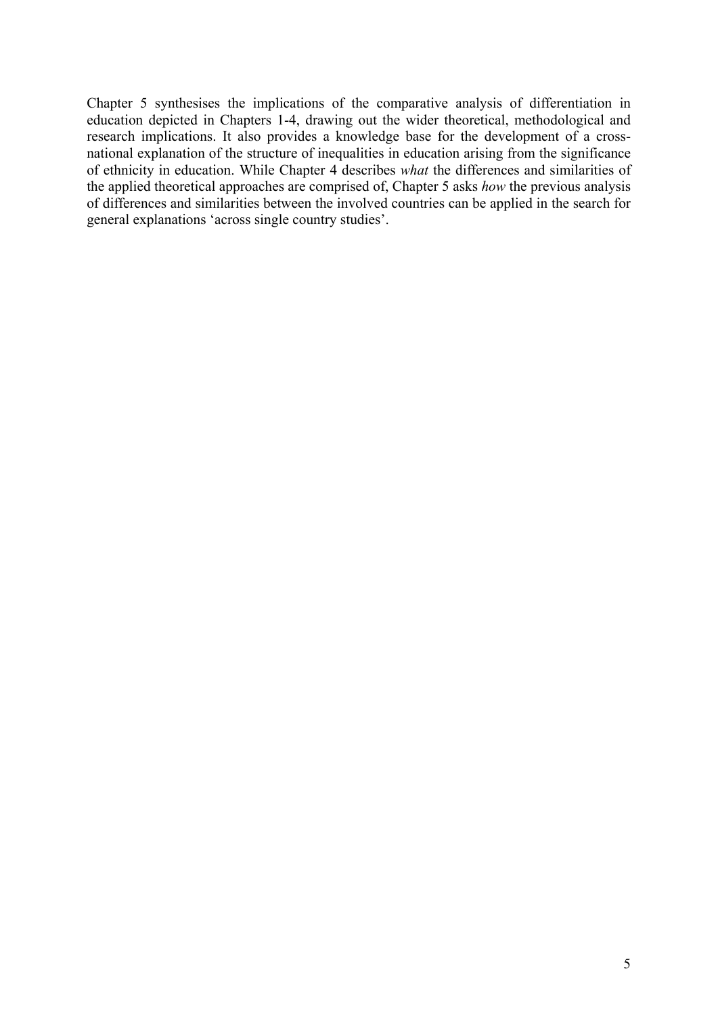Chapter 5 synthesises the implications of the comparative analysis of differentiation in education depicted in Chapters 1-4, drawing out the wider theoretical, methodological and research implications. It also provides a knowledge base for the development of a crossnational explanation of the structure of inequalities in education arising from the significance of ethnicity in education. While Chapter 4 describes *what* the differences and similarities of the applied theoretical approaches are comprised of, Chapter 5 asks *how* the previous analysis of differences and similarities between the involved countries can be applied in the search for general explanations 'across single country studies'.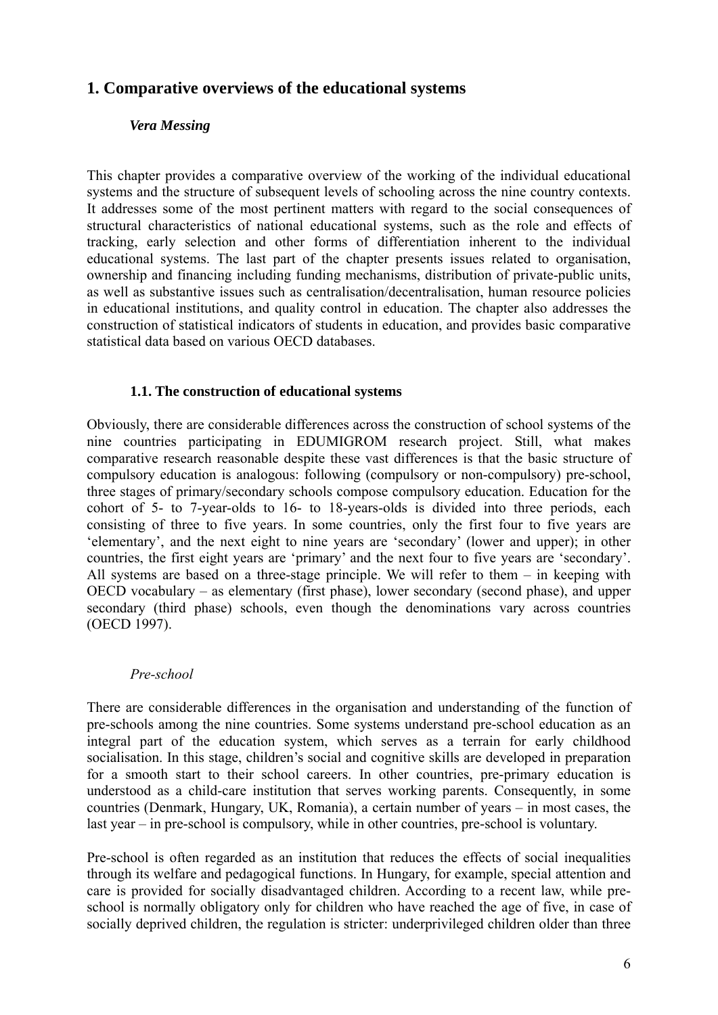# **1. Comparative overviews of the educational systems**

## *Vera Messing*

This chapter provides a comparative overview of the working of the individual educational systems and the structure of subsequent levels of schooling across the nine country contexts. It addresses some of the most pertinent matters with regard to the social consequences of structural characteristics of national educational systems, such as the role and effects of tracking, early selection and other forms of differentiation inherent to the individual educational systems. The last part of the chapter presents issues related to organisation, ownership and financing including funding mechanisms, distribution of private-public units, as well as substantive issues such as centralisation/decentralisation, human resource policies in educational institutions, and quality control in education. The chapter also addresses the construction of statistical indicators of students in education, and provides basic comparative statistical data based on various OECD databases.

## **1.1. The construction of educational systems**

Obviously, there are considerable differences across the construction of school systems of the nine countries participating in EDUMIGROM research project. Still, what makes comparative research reasonable despite these vast differences is that the basic structure of compulsory education is analogous: following (compulsory or non-compulsory) pre-school, three stages of primary/secondary schools compose compulsory education. Education for the cohort of 5- to 7-year-olds to 16- to 18-years-olds is divided into three periods, each consisting of three to five years. In some countries, only the first four to five years are 'elementary', and the next eight to nine years are 'secondary' (lower and upper); in other countries, the first eight years are 'primary' and the next four to five years are 'secondary'. All systems are based on a three-stage principle. We will refer to them – in keeping with OECD vocabulary – as elementary (first phase), lower secondary (second phase), and upper secondary (third phase) schools, even though the denominations vary across countries (OECD 1997).

## *Pre-school*

There are considerable differences in the organisation and understanding of the function of pre-schools among the nine countries. Some systems understand pre-school education as an integral part of the education system, which serves as a terrain for early childhood socialisation. In this stage, children's social and cognitive skills are developed in preparation for a smooth start to their school careers. In other countries, pre-primary education is understood as a child-care institution that serves working parents. Consequently, in some countries (Denmark, Hungary, UK, Romania), a certain number of years – in most cases, the last year – in pre-school is compulsory, while in other countries, pre-school is voluntary.

Pre-school is often regarded as an institution that reduces the effects of social inequalities through its welfare and pedagogical functions. In Hungary, for example, special attention and care is provided for socially disadvantaged children. According to a recent law, while preschool is normally obligatory only for children who have reached the age of five, in case of socially deprived children, the regulation is stricter: underprivileged children older than three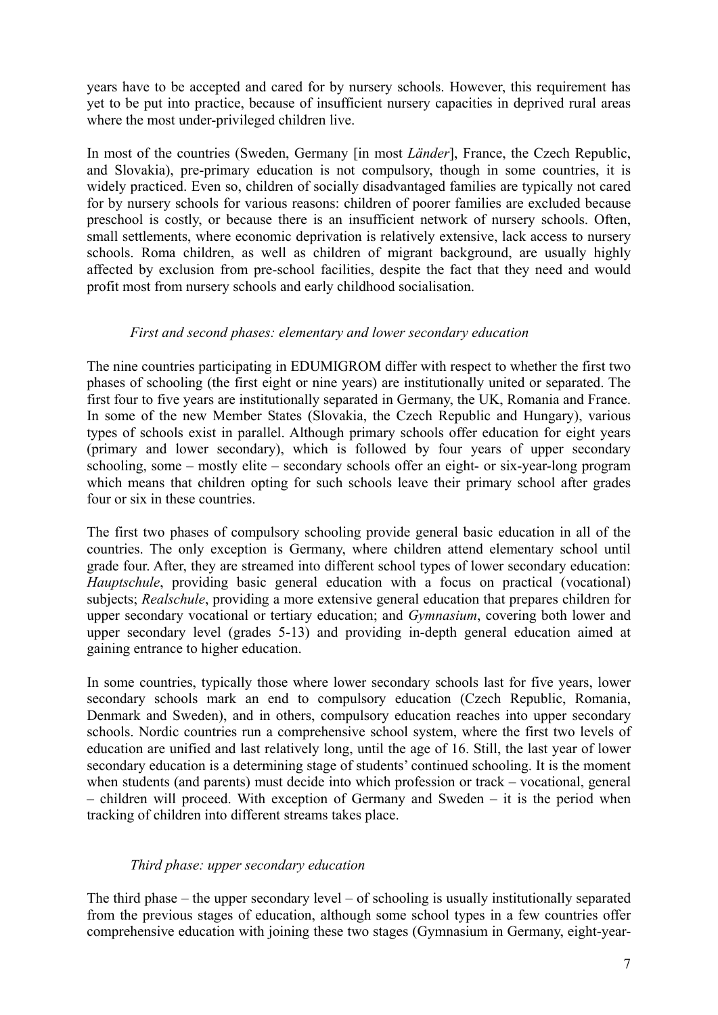years have to be accepted and cared for by nursery schools. However, this requirement has yet to be put into practice, because of insufficient nursery capacities in deprived rural areas where the most under-privileged children live.

In most of the countries (Sweden, Germany [in most *Länder*], France, the Czech Republic, and Slovakia), pre-primary education is not compulsory, though in some countries, it is widely practiced. Even so, children of socially disadvantaged families are typically not cared for by nursery schools for various reasons: children of poorer families are excluded because preschool is costly, or because there is an insufficient network of nursery schools. Often, small settlements, where economic deprivation is relatively extensive, lack access to nursery schools. Roma children, as well as children of migrant background, are usually highly affected by exclusion from pre-school facilities, despite the fact that they need and would profit most from nursery schools and early childhood socialisation.

## *First and second phases: elementary and lower secondary education*

The nine countries participating in EDUMIGROM differ with respect to whether the first two phases of schooling (the first eight or nine years) are institutionally united or separated. The first four to five years are institutionally separated in Germany, the UK, Romania and France. In some of the new Member States (Slovakia, the Czech Republic and Hungary), various types of schools exist in parallel. Although primary schools offer education for eight years (primary and lower secondary), which is followed by four years of upper secondary schooling, some – mostly elite – secondary schools offer an eight- or six-year-long program which means that children opting for such schools leave their primary school after grades four or six in these countries.

The first two phases of compulsory schooling provide general basic education in all of the countries. The only exception is Germany, where children attend elementary school until grade four. After, they are streamed into different school types of lower secondary education: *Hauptschule*, providing basic general education with a focus on practical (vocational) subjects; *Realschule*, providing a more extensive general education that prepares children for upper secondary vocational or tertiary education; and *Gymnasium*, covering both lower and upper secondary level (grades 5-13) and providing in-depth general education aimed at gaining entrance to higher education.

In some countries, typically those where lower secondary schools last for five years, lower secondary schools mark an end to compulsory education (Czech Republic, Romania, Denmark and Sweden), and in others, compulsory education reaches into upper secondary schools. Nordic countries run a comprehensive school system, where the first two levels of education are unified and last relatively long, until the age of 16. Still, the last year of lower secondary education is a determining stage of students' continued schooling. It is the moment when students (and parents) must decide into which profession or track – vocational, general – children will proceed. With exception of Germany and Sweden – it is the period when tracking of children into different streams takes place.

## *Third phase: upper secondary education*

The third phase – the upper secondary level – of schooling is usually institutionally separated from the previous stages of education, although some school types in a few countries offer comprehensive education with joining these two stages (Gymnasium in Germany, eight-year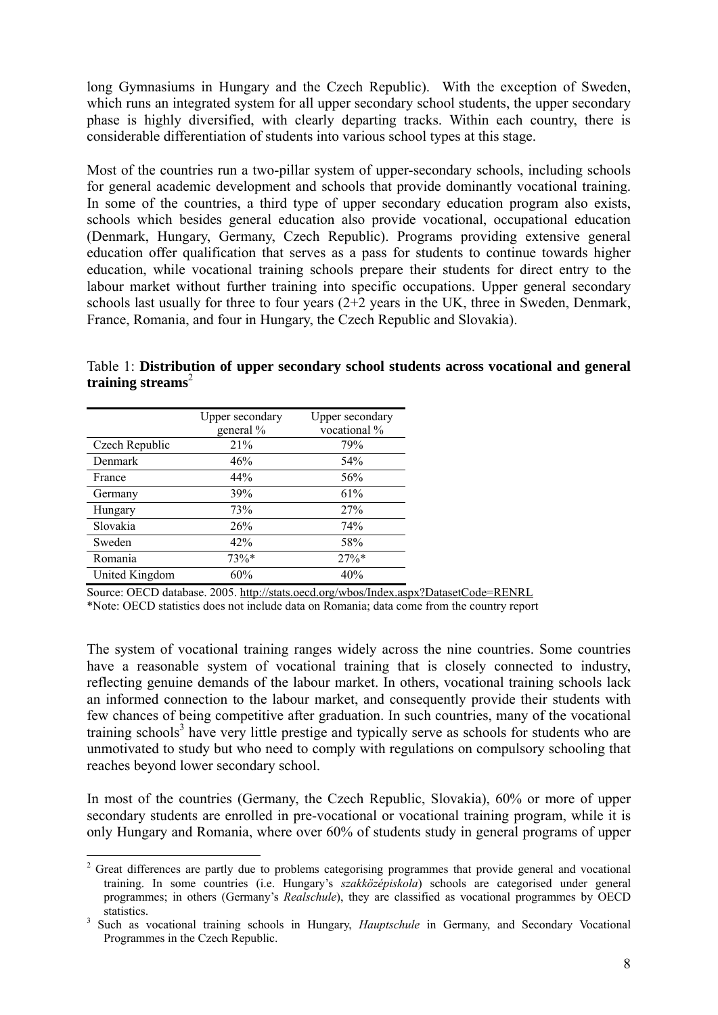long Gymnasiums in Hungary and the Czech Republic). With the exception of Sweden, which runs an integrated system for all upper secondary school students, the upper secondary phase is highly diversified, with clearly departing tracks. Within each country, there is considerable differentiation of students into various school types at this stage.

Most of the countries run a two-pillar system of upper-secondary schools, including schools for general academic development and schools that provide dominantly vocational training. In some of the countries, a third type of upper secondary education program also exists, schools which besides general education also provide vocational, occupational education (Denmark, Hungary, Germany, Czech Republic). Programs providing extensive general education offer qualification that serves as a pass for students to continue towards higher education, while vocational training schools prepare their students for direct entry to the labour market without further training into specific occupations. Upper general secondary schools last usually for three to four years (2+2 years in the UK, three in Sweden, Denmark, France, Romania, and four in Hungary, the Czech Republic and Slovakia).

|                | Upper secondary | Upper secondary |
|----------------|-----------------|-----------------|
|                | general %       | vocational %    |
| Czech Republic | 21%             | 79%             |
| Denmark        | 46%             | 54%             |
| France         | 44%             | 56%             |
| Germany        | 39%             | 61%             |
| Hungary        | 73%             | 27%             |
| Slovakia       | 26%             | 74%             |
| Sweden         | 42%             | 58%             |
| Romania        | 73%*            | 27%             |
| United Kingdom | 60%             | 40%             |

1

Table 1: **Distribution of upper secondary school students across vocational and general training streams**<sup>2</sup>

Source: OECD database. 2005. http://stats.oecd.org/wbos/Index.aspx?DatasetCode=RENRL

\*Note: OECD statistics does not include data on Romania; data come from the country report

The system of vocational training ranges widely across the nine countries. Some countries have a reasonable system of vocational training that is closely connected to industry, reflecting genuine demands of the labour market. In others, vocational training schools lack an informed connection to the labour market, and consequently provide their students with few chances of being competitive after graduation. In such countries, many of the vocational training schools<sup>3</sup> have very little prestige and typically serve as schools for students who are unmotivated to study but who need to comply with regulations on compulsory schooling that reaches beyond lower secondary school.

In most of the countries (Germany, the Czech Republic, Slovakia), 60% or more of upper secondary students are enrolled in pre-vocational or vocational training program, while it is only Hungary and Romania, where over 60% of students study in general programs of upper

<sup>&</sup>lt;sup>2</sup> Great differences are partly due to problems categorising programmes that provide general and vocational training. In some countries (i.e. Hungary's *szakközépiskola*) schools are categorised under general programmes; in others (Germany's *Realschule*), they are classified as vocational programmes by OECD statistics.<br><sup>3</sup> Such as vocational training schools in Hungary, *Hauptschule* in Germany, and Secondary Vocational

Programmes in the Czech Republic.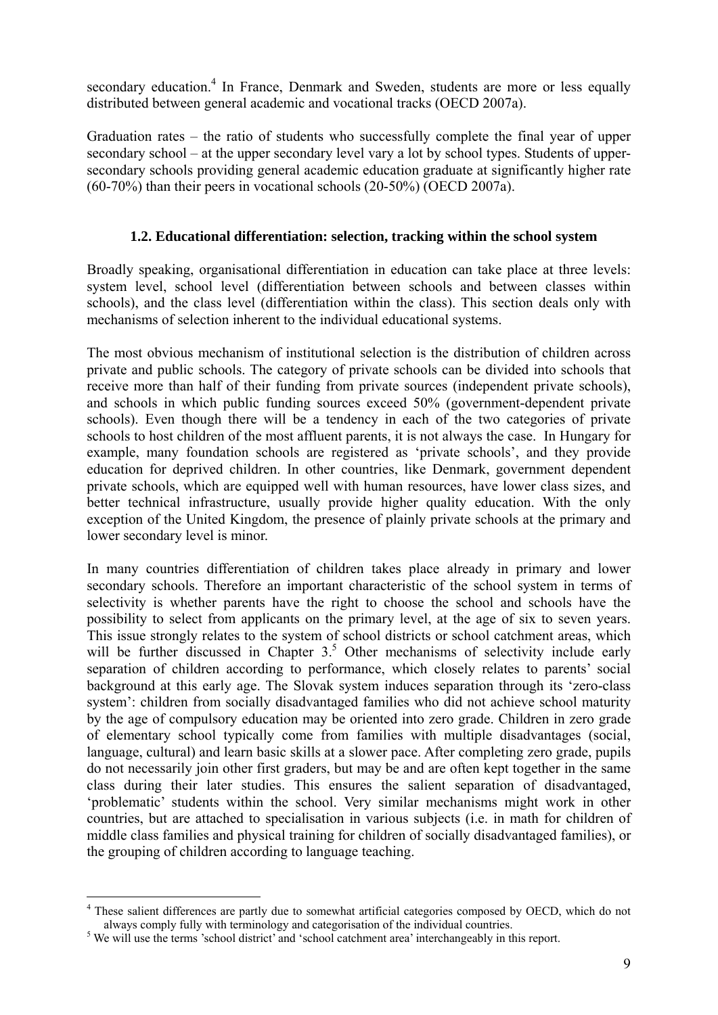secondary education.<sup>4</sup> In France, Denmark and Sweden, students are more or less equally distributed between general academic and vocational tracks (OECD 2007a).

Graduation rates – the ratio of students who successfully complete the final year of upper secondary school – at the upper secondary level vary a lot by school types. Students of uppersecondary schools providing general academic education graduate at significantly higher rate (60-70%) than their peers in vocational schools (20-50%) (OECD 2007a).

## **1.2. Educational differentiation: selection, tracking within the school system**

Broadly speaking, organisational differentiation in education can take place at three levels: system level, school level (differentiation between schools and between classes within schools), and the class level (differentiation within the class). This section deals only with mechanisms of selection inherent to the individual educational systems.

The most obvious mechanism of institutional selection is the distribution of children across private and public schools. The category of private schools can be divided into schools that receive more than half of their funding from private sources (independent private schools), and schools in which public funding sources exceed 50% (government-dependent private schools). Even though there will be a tendency in each of the two categories of private schools to host children of the most affluent parents, it is not always the case. In Hungary for example, many foundation schools are registered as 'private schools', and they provide education for deprived children. In other countries, like Denmark, government dependent private schools, which are equipped well with human resources, have lower class sizes, and better technical infrastructure, usually provide higher quality education. With the only exception of the United Kingdom, the presence of plainly private schools at the primary and lower secondary level is minor.

In many countries differentiation of children takes place already in primary and lower secondary schools. Therefore an important characteristic of the school system in terms of selectivity is whether parents have the right to choose the school and schools have the possibility to select from applicants on the primary level, at the age of six to seven years. This issue strongly relates to the system of school districts or school catchment areas, which will be further discussed in Chapter  $3<sup>5</sup>$  Other mechanisms of selectivity include early separation of children according to performance, which closely relates to parents' social background at this early age. The Slovak system induces separation through its 'zero-class system': children from socially disadvantaged families who did not achieve school maturity by the age of compulsory education may be oriented into zero grade. Children in zero grade of elementary school typically come from families with multiple disadvantages (social, language, cultural) and learn basic skills at a slower pace. After completing zero grade, pupils do not necessarily join other first graders, but may be and are often kept together in the same class during their later studies. This ensures the salient separation of disadvantaged, 'problematic' students within the school. Very similar mechanisms might work in other countries, but are attached to specialisation in various subjects (i.e. in math for children of middle class families and physical training for children of socially disadvantaged families), or the grouping of children according to language teaching.

<sup>&</sup>lt;sup>4</sup> These salient differences are partly due to somewhat artificial categories composed by OECD, which do not always comply fully with terminology and categorisation of the individual countries. 5

<sup>&</sup>lt;sup>5</sup> We will use the terms 'school district' and 'school catchment area' interchangeably in this report.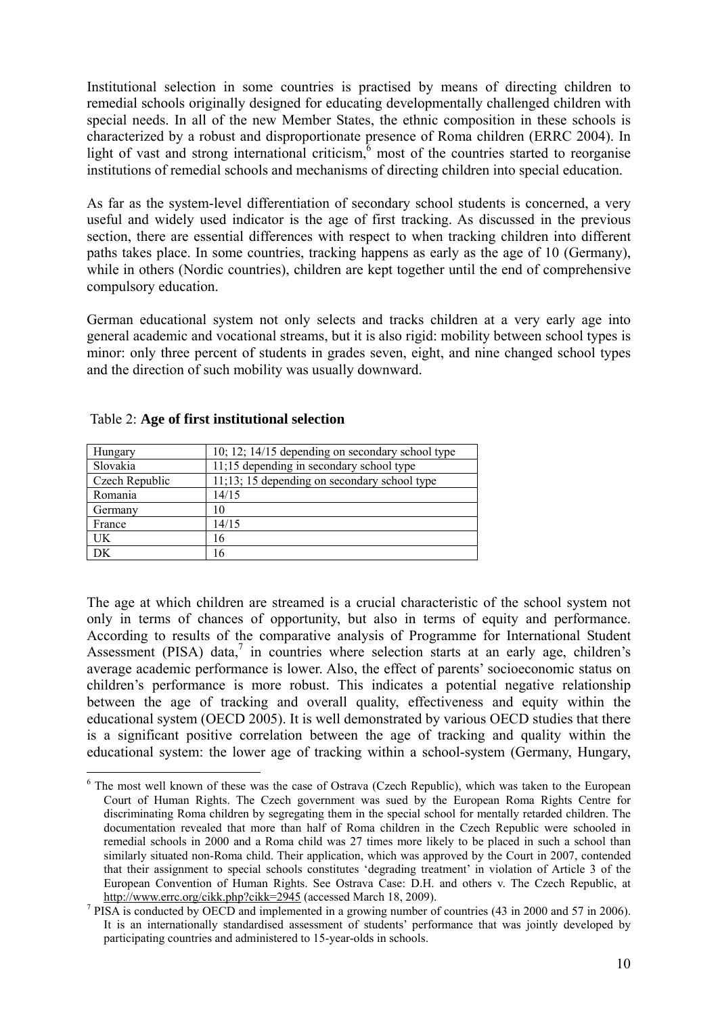Institutional selection in some countries is practised by means of directing children to remedial schools originally designed for educating developmentally challenged children with special needs. In all of the new Member States, the ethnic composition in these schools is characterized by a robust and disproportionate presence of Roma children (ERRC 2004). In light of vast and strong international criticism, $6 \text{ most of the countries started to reorganise}$ institutions of remedial schools and mechanisms of directing children into special education.

As far as the system-level differentiation of secondary school students is concerned, a very useful and widely used indicator is the age of first tracking. As discussed in the previous section, there are essential differences with respect to when tracking children into different paths takes place. In some countries, tracking happens as early as the age of 10 (Germany), while in others (Nordic countries), children are kept together until the end of comprehensive compulsory education.

German educational system not only selects and tracks children at a very early age into general academic and vocational streams, but it is also rigid: mobility between school types is minor: only three percent of students in grades seven, eight, and nine changed school types and the direction of such mobility was usually downward.

| Hungary        | 10; 12; 14/15 depending on secondary school type |  |
|----------------|--------------------------------------------------|--|
| Slovakia       | 11;15 depending in secondary school type         |  |
| Czech Republic | $11;13; 15$ depending on secondary school type   |  |
| Romania        | 14/15                                            |  |
| Germany        | 10                                               |  |
| France         | 14/15                                            |  |
| UK             | 16                                               |  |
| DK             | 16                                               |  |

## Table 2: **Age of first institutional selection**

1

The age at which children are streamed is a crucial characteristic of the school system not only in terms of chances of opportunity, but also in terms of equity and performance. According to results of the comparative analysis of Programme for International Student Assessment (PISA) data, $^7$  in countries where selection starts at an early age, children's average academic performance is lower. Also, the effect of parents' socioeconomic status on children's performance is more robust. This indicates a potential negative relationship between the age of tracking and overall quality, effectiveness and equity within the educational system (OECD 2005). It is well demonstrated by various OECD studies that there is a significant positive correlation between the age of tracking and quality within the educational system: the lower age of tracking within a school-system (Germany, Hungary,

<sup>&</sup>lt;sup>6</sup> The most well known of these was the case of Ostrava (Czech Republic), which was taken to the European Court of Human Rights. The Czech government was sued by the European Roma Rights Centre for discriminating Roma children by segregating them in the special school for mentally retarded children. The documentation revealed that more than half of Roma children in the Czech Republic were schooled in remedial schools in 2000 and a Roma child was 27 times more likely to be placed in such a school than similarly situated non-Roma child. Their application, which was approved by the Court in 2007, contended that their assignment to special schools constitutes 'degrading treatment' in violation of Article 3 of the European Convention of Human Rights. See Ostrava Case: D.H. and others v. The Czech Republic, at http://www.errc.org/cikk.php?cikk=2945 (accessed March 18, 2009).

<sup>&</sup>lt;sup>7</sup> PISA is conducted by OECD and implemented in a growing number of countries (43 in 2000 and 57 in 2006). It is an internationally standardised assessment of students' performance that was jointly developed by participating countries and administered to 15-year-olds in schools.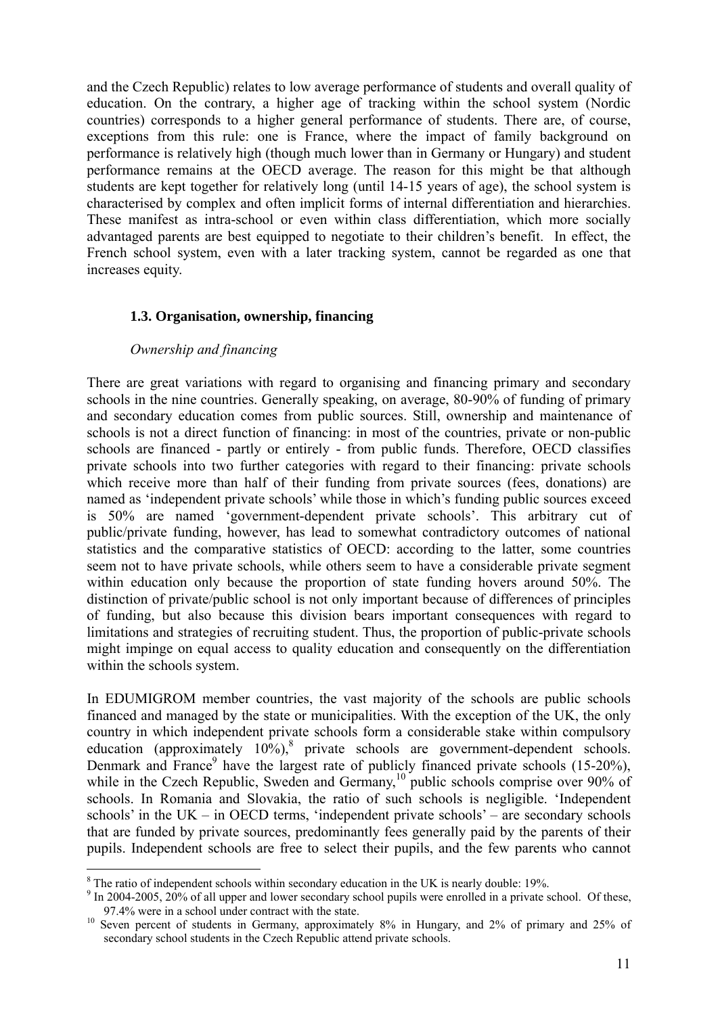and the Czech Republic) relates to low average performance of students and overall quality of education. On the contrary, a higher age of tracking within the school system (Nordic countries) corresponds to a higher general performance of students. There are, of course, exceptions from this rule: one is France, where the impact of family background on performance is relatively high (though much lower than in Germany or Hungary) and student performance remains at the OECD average. The reason for this might be that although students are kept together for relatively long (until 14-15 years of age), the school system is characterised by complex and often implicit forms of internal differentiation and hierarchies. These manifest as intra-school or even within class differentiation, which more socially advantaged parents are best equipped to negotiate to their children's benefit. In effect, the French school system, even with a later tracking system, cannot be regarded as one that increases equity.

## **1.3. Organisation, ownership, financing**

## *Ownership and financing*

There are great variations with regard to organising and financing primary and secondary schools in the nine countries. Generally speaking, on average, 80-90% of funding of primary and secondary education comes from public sources. Still, ownership and maintenance of schools is not a direct function of financing: in most of the countries, private or non-public schools are financed - partly or entirely - from public funds. Therefore, OECD classifies private schools into two further categories with regard to their financing: private schools which receive more than half of their funding from private sources (fees, donations) are named as 'independent private schools' while those in which's funding public sources exceed is 50% are named 'government-dependent private schools'. This arbitrary cut of public/private funding, however, has lead to somewhat contradictory outcomes of national statistics and the comparative statistics of OECD: according to the latter, some countries seem not to have private schools, while others seem to have a considerable private segment within education only because the proportion of state funding hovers around 50%. The distinction of private/public school is not only important because of differences of principles of funding, but also because this division bears important consequences with regard to limitations and strategies of recruiting student. Thus, the proportion of public-private schools might impinge on equal access to quality education and consequently on the differentiation within the schools system.

In EDUMIGROM member countries, the vast majority of the schools are public schools financed and managed by the state or municipalities. With the exception of the UK, the only country in which independent private schools form a considerable stake within compulsory education (approximately  $10\%$ ),<sup>8</sup> private schools are government-dependent schools. Denmark and France<sup>9</sup> have the largest rate of publicly financed private schools (15-20%), while in the Czech Republic, Sweden and Germany,<sup>10</sup> public schools comprise over 90% of schools. In Romania and Slovakia, the ratio of such schools is negligible. 'Independent schools' in the UK – in OECD terms, 'independent private schools' – are secondary schools that are funded by private sources, predominantly fees generally paid by the parents of their pupils. Independent schools are free to select their pupils, and the few parents who cannot

<sup>1</sup> <sup>8</sup> The ratio of independent schools within secondary education in the UK is nearly double:  $19\%$ .

<sup>&</sup>lt;sup>9</sup> In 2004-2005, 20% of all upper and lower secondary school pupils were enrolled in a private school. Of these, 97.4% were in a school under contract with the state.<br><sup>10</sup> Seven percent of students in Germany, approximately 8% in Hungary, and 2% of primary and 25% of

secondary school students in the Czech Republic attend private schools.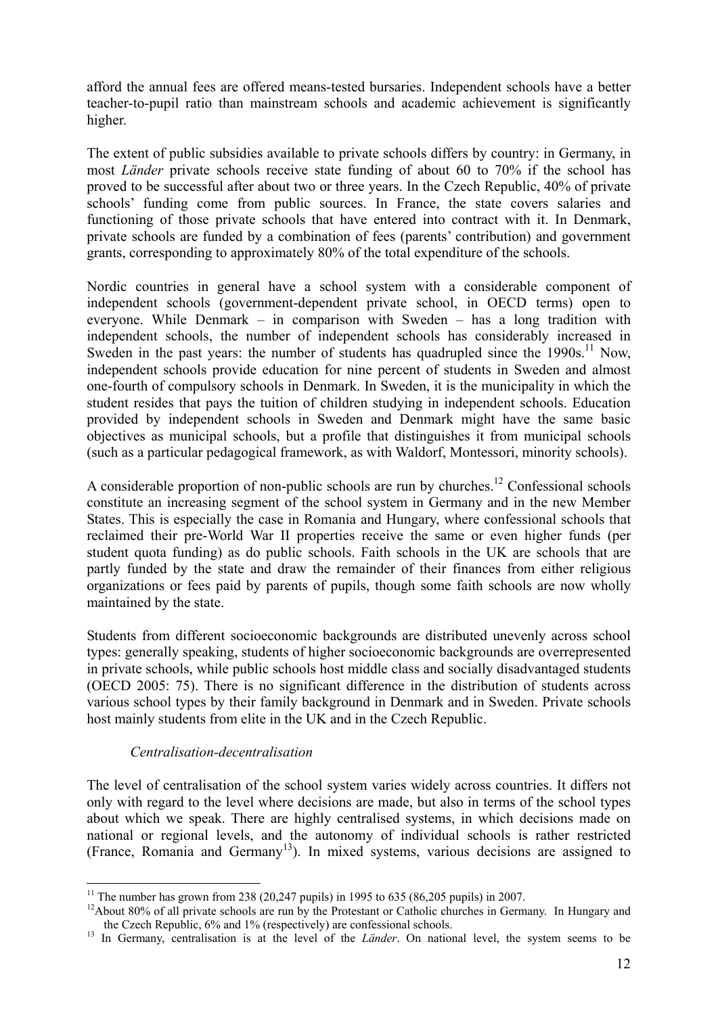afford the annual fees are offered means-tested bursaries. Independent schools have a better teacher-to-pupil ratio than mainstream schools and academic achievement is significantly higher.

The extent of public subsidies available to private schools differs by country: in Germany, in most *Länder* private schools receive state funding of about 60 to 70% if the school has proved to be successful after about two or three years. In the Czech Republic, 40% of private schools' funding come from public sources. In France, the state covers salaries and functioning of those private schools that have entered into contract with it. In Denmark, private schools are funded by a combination of fees (parents' contribution) and government grants, corresponding to approximately 80% of the total expenditure of the schools.

Nordic countries in general have a school system with a considerable component of independent schools (government-dependent private school, in OECD terms) open to everyone. While Denmark – in comparison with Sweden – has a long tradition with independent schools, the number of independent schools has considerably increased in Sweden in the past years: the number of students has quadrupled since the  $1990s$ .<sup>11</sup> Now, independent schools provide education for nine percent of students in Sweden and almost one-fourth of compulsory schools in Denmark. In Sweden, it is the municipality in which the student resides that pays the tuition of children studying in independent schools. Education provided by independent schools in Sweden and Denmark might have the same basic objectives as municipal schools, but a profile that distinguishes it from municipal schools (such as a particular pedagogical framework, as with Waldorf, Montessori, minority schools).

A considerable proportion of non-public schools are run by churches.<sup>12</sup> Confessional schools constitute an increasing segment of the school system in Germany and in the new Member States. This is especially the case in Romania and Hungary, where confessional schools that reclaimed their pre-World War II properties receive the same or even higher funds (per student quota funding) as do public schools. Faith schools in the UK are schools that are partly funded by the state and draw the remainder of their finances from either religious organizations or fees paid by parents of pupils, though some faith schools are now wholly maintained by the state.

Students from different socioeconomic backgrounds are distributed unevenly across school types: generally speaking, students of higher socioeconomic backgrounds are overrepresented in private schools, while public schools host middle class and socially disadvantaged students (OECD 2005: 75). There is no significant difference in the distribution of students across various school types by their family background in Denmark and in Sweden. Private schools host mainly students from elite in the UK and in the Czech Republic.

## *Centralisation-decentralisation*

<u>.</u>

The level of centralisation of the school system varies widely across countries. It differs not only with regard to the level where decisions are made, but also in terms of the school types about which we speak. There are highly centralised systems, in which decisions made on national or regional levels, and the autonomy of individual schools is rather restricted (France, Romania and Germany13). In mixed systems, various decisions are assigned to

<sup>&</sup>lt;sup>11</sup> The number has grown from 238 (20,247 pupils) in 1995 to 635 (86,205 pupils) in 2007.

<sup>&</sup>lt;sup>12</sup>About 80% of all private schools are run by the Protestant or Catholic churches in Germany. In Hungary and the Czech Republic, 6% and 1% (respectively) are confessional schools. 13 In Germany, centralisation is at the level of the *Länder*. On national level, the system seems to be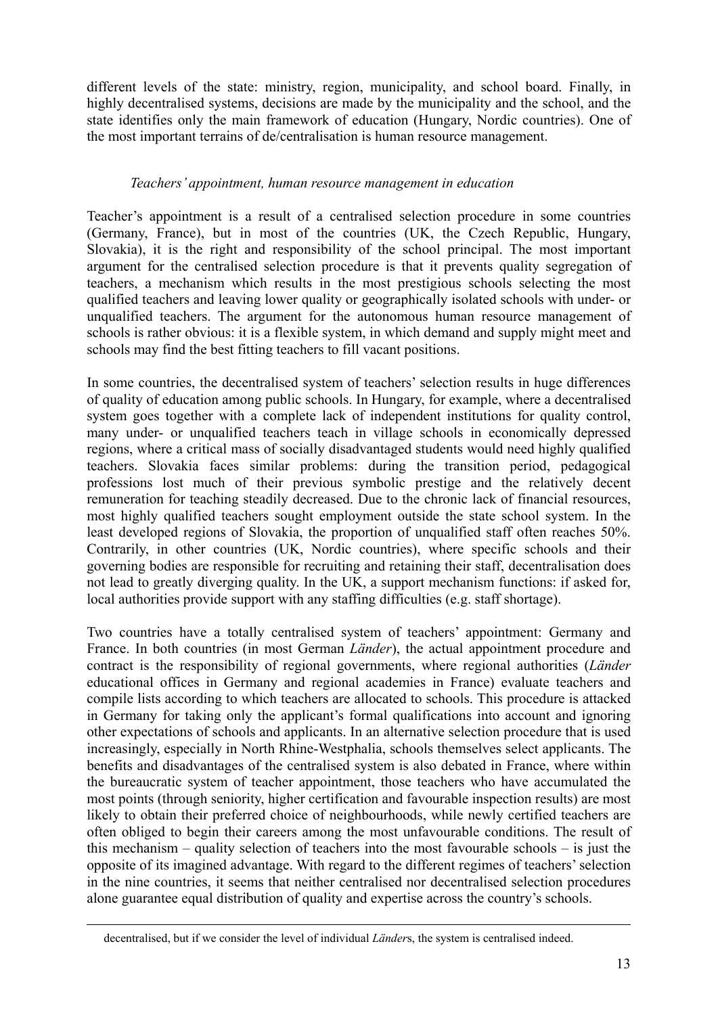different levels of the state: ministry, region, municipality, and school board. Finally, in highly decentralised systems, decisions are made by the municipality and the school, and the state identifies only the main framework of education (Hungary, Nordic countries). One of the most important terrains of de/centralisation is human resource management.

## *Teachers' appointment, human resource management in education*

Teacher's appointment is a result of a centralised selection procedure in some countries (Germany, France), but in most of the countries (UK, the Czech Republic, Hungary, Slovakia), it is the right and responsibility of the school principal. The most important argument for the centralised selection procedure is that it prevents quality segregation of teachers, a mechanism which results in the most prestigious schools selecting the most qualified teachers and leaving lower quality or geographically isolated schools with under- or unqualified teachers. The argument for the autonomous human resource management of schools is rather obvious: it is a flexible system, in which demand and supply might meet and schools may find the best fitting teachers to fill vacant positions.

In some countries, the decentralised system of teachers' selection results in huge differences of quality of education among public schools. In Hungary, for example, where a decentralised system goes together with a complete lack of independent institutions for quality control, many under- or unqualified teachers teach in village schools in economically depressed regions, where a critical mass of socially disadvantaged students would need highly qualified teachers. Slovakia faces similar problems: during the transition period, pedagogical professions lost much of their previous symbolic prestige and the relatively decent remuneration for teaching steadily decreased. Due to the chronic lack of financial resources, most highly qualified teachers sought employment outside the state school system. In the least developed regions of Slovakia, the proportion of unqualified staff often reaches 50%. Contrarily, in other countries (UK, Nordic countries), where specific schools and their governing bodies are responsible for recruiting and retaining their staff, decentralisation does not lead to greatly diverging quality. In the UK, a support mechanism functions: if asked for, local authorities provide support with any staffing difficulties (e.g. staff shortage).

Two countries have a totally centralised system of teachers' appointment: Germany and France. In both countries (in most German *Länder*), the actual appointment procedure and contract is the responsibility of regional governments, where regional authorities (*Länder* educational offices in Germany and regional academies in France) evaluate teachers and compile lists according to which teachers are allocated to schools. This procedure is attacked in Germany for taking only the applicant's formal qualifications into account and ignoring other expectations of schools and applicants. In an alternative selection procedure that is used increasingly, especially in North Rhine-Westphalia, schools themselves select applicants. The benefits and disadvantages of the centralised system is also debated in France, where within the bureaucratic system of teacher appointment, those teachers who have accumulated the most points (through seniority, higher certification and favourable inspection results) are most likely to obtain their preferred choice of neighbourhoods, while newly certified teachers are often obliged to begin their careers among the most unfavourable conditions. The result of this mechanism – quality selection of teachers into the most favourable schools – is just the opposite of its imagined advantage. With regard to the different regimes of teachers' selection in the nine countries, it seems that neither centralised nor decentralised selection procedures alone guarantee equal distribution of quality and expertise across the country's schools.

decentralised, but if we consider the level of individual *Länder*s, the system is centralised indeed.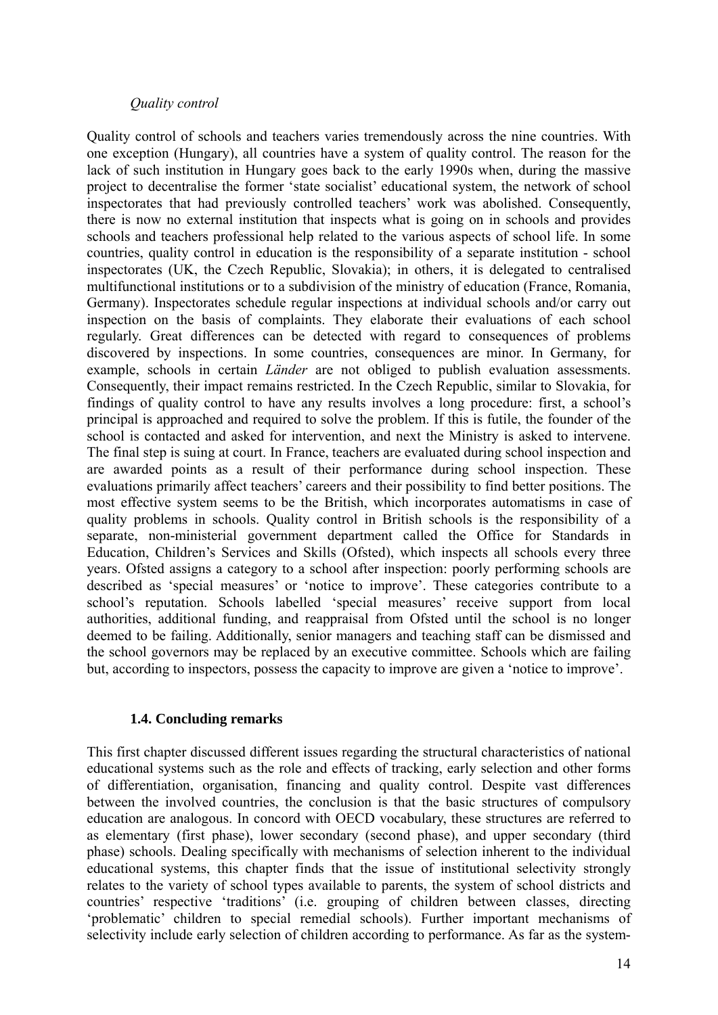## *Quality control*

Quality control of schools and teachers varies tremendously across the nine countries. With one exception (Hungary), all countries have a system of quality control. The reason for the lack of such institution in Hungary goes back to the early 1990s when, during the massive project to decentralise the former 'state socialist' educational system, the network of school inspectorates that had previously controlled teachers' work was abolished. Consequently, there is now no external institution that inspects what is going on in schools and provides schools and teachers professional help related to the various aspects of school life. In some countries, quality control in education is the responsibility of a separate institution - school inspectorates (UK, the Czech Republic, Slovakia); in others, it is delegated to centralised multifunctional institutions or to a subdivision of the ministry of education (France, Romania, Germany). Inspectorates schedule regular inspections at individual schools and/or carry out inspection on the basis of complaints. They elaborate their evaluations of each school regularly. Great differences can be detected with regard to consequences of problems discovered by inspections. In some countries, consequences are minor. In Germany, for example, schools in certain *Länder* are not obliged to publish evaluation assessments. Consequently, their impact remains restricted. In the Czech Republic, similar to Slovakia, for findings of quality control to have any results involves a long procedure: first, a school's principal is approached and required to solve the problem. If this is futile, the founder of the school is contacted and asked for intervention, and next the Ministry is asked to intervene. The final step is suing at court. In France, teachers are evaluated during school inspection and are awarded points as a result of their performance during school inspection. These evaluations primarily affect teachers' careers and their possibility to find better positions. The most effective system seems to be the British, which incorporates automatisms in case of quality problems in schools. Quality control in British schools is the responsibility of a separate, non-ministerial government department called the Office for Standards in Education, Children's Services and Skills (Ofsted), which inspects all schools every three years. Ofsted assigns a category to a school after inspection: poorly performing schools are described as 'special measures' or 'notice to improve'. These categories contribute to a school's reputation. Schools labelled 'special measures' receive support from local authorities, additional funding, and reappraisal from Ofsted until the school is no longer deemed to be failing. Additionally, senior managers and teaching staff can be dismissed and the school governors may be replaced by an executive committee. Schools which are failing but, according to inspectors, possess the capacity to improve are given a 'notice to improve'.

## **1.4. Concluding remarks**

This first chapter discussed different issues regarding the structural characteristics of national educational systems such as the role and effects of tracking, early selection and other forms of differentiation, organisation, financing and quality control. Despite vast differences between the involved countries, the conclusion is that the basic structures of compulsory education are analogous. In concord with OECD vocabulary, these structures are referred to as elementary (first phase), lower secondary (second phase), and upper secondary (third phase) schools. Dealing specifically with mechanisms of selection inherent to the individual educational systems, this chapter finds that the issue of institutional selectivity strongly relates to the variety of school types available to parents, the system of school districts and countries' respective 'traditions' (i.e. grouping of children between classes, directing 'problematic' children to special remedial schools). Further important mechanisms of selectivity include early selection of children according to performance. As far as the system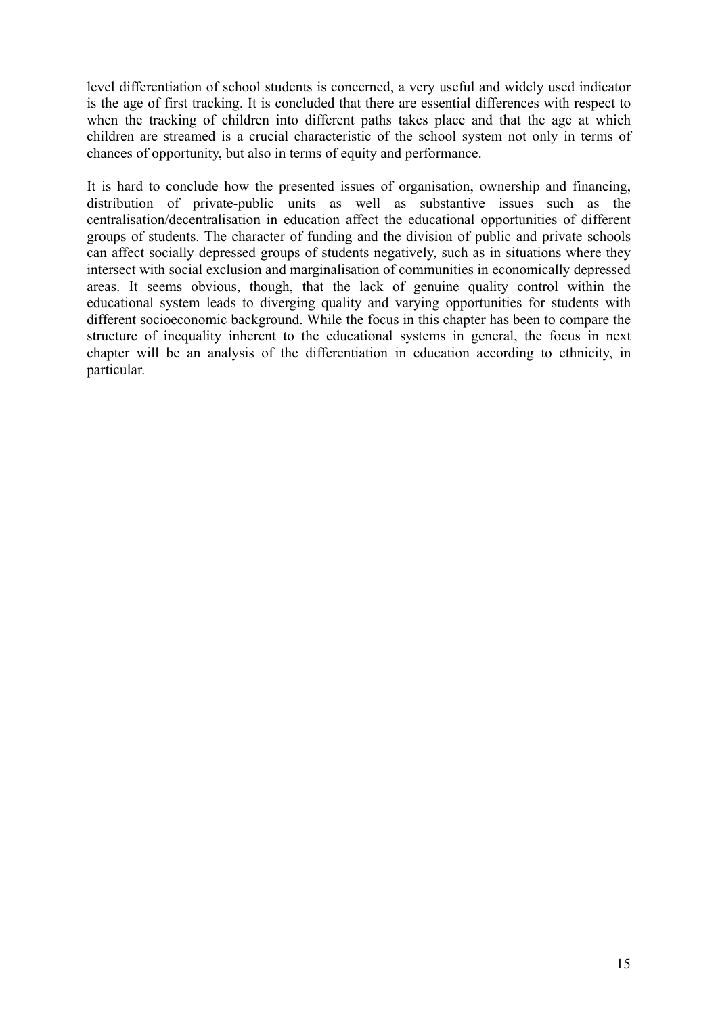level differentiation of school students is concerned, a very useful and widely used indicator is the age of first tracking. It is concluded that there are essential differences with respect to when the tracking of children into different paths takes place and that the age at which children are streamed is a crucial characteristic of the school system not only in terms of chances of opportunity, but also in terms of equity and performance.

It is hard to conclude how the presented issues of organisation, ownership and financing, distribution of private-public units as well as substantive issues such as the centralisation/decentralisation in education affect the educational opportunities of different groups of students. The character of funding and the division of public and private schools can affect socially depressed groups of students negatively, such as in situations where they intersect with social exclusion and marginalisation of communities in economically depressed areas. It seems obvious, though, that the lack of genuine quality control within the educational system leads to diverging quality and varying opportunities for students with different socioeconomic background. While the focus in this chapter has been to compare the structure of inequality inherent to the educational systems in general, the focus in next chapter will be an analysis of the differentiation in education according to ethnicity, in particular.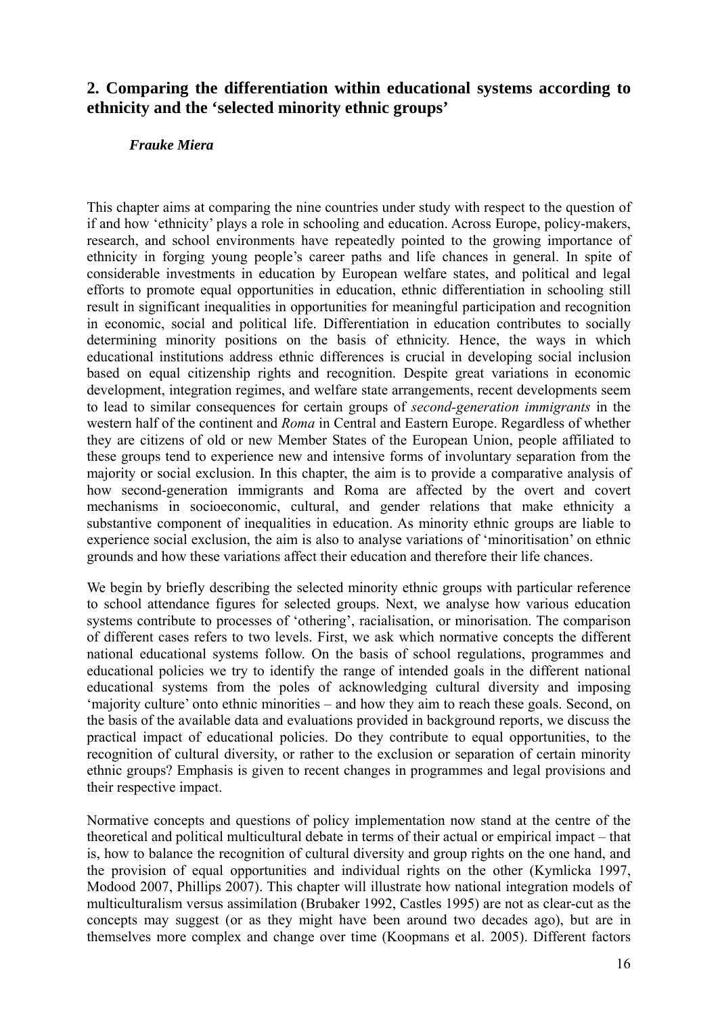# **2. Comparing the differentiation within educational systems according to ethnicity and the 'selected minority ethnic groups'**

## *Frauke Miera*

This chapter aims at comparing the nine countries under study with respect to the question of if and how 'ethnicity' plays a role in schooling and education. Across Europe, policy-makers, research, and school environments have repeatedly pointed to the growing importance of ethnicity in forging young people's career paths and life chances in general. In spite of considerable investments in education by European welfare states, and political and legal efforts to promote equal opportunities in education, ethnic differentiation in schooling still result in significant inequalities in opportunities for meaningful participation and recognition in economic, social and political life. Differentiation in education contributes to socially determining minority positions on the basis of ethnicity. Hence, the ways in which educational institutions address ethnic differences is crucial in developing social inclusion based on equal citizenship rights and recognition. Despite great variations in economic development, integration regimes, and welfare state arrangements, recent developments seem to lead to similar consequences for certain groups of *second-generation immigrants* in the western half of the continent and *Roma* in Central and Eastern Europe. Regardless of whether they are citizens of old or new Member States of the European Union, people affiliated to these groups tend to experience new and intensive forms of involuntary separation from the majority or social exclusion. In this chapter, the aim is to provide a comparative analysis of how second-generation immigrants and Roma are affected by the overt and covert mechanisms in socioeconomic, cultural, and gender relations that make ethnicity a substantive component of inequalities in education. As minority ethnic groups are liable to experience social exclusion, the aim is also to analyse variations of 'minoritisation' on ethnic grounds and how these variations affect their education and therefore their life chances.

We begin by briefly describing the selected minority ethnic groups with particular reference to school attendance figures for selected groups. Next, we analyse how various education systems contribute to processes of 'othering', racialisation, or minorisation. The comparison of different cases refers to two levels. First, we ask which normative concepts the different national educational systems follow. On the basis of school regulations, programmes and educational policies we try to identify the range of intended goals in the different national educational systems from the poles of acknowledging cultural diversity and imposing 'majority culture' onto ethnic minorities – and how they aim to reach these goals. Second, on the basis of the available data and evaluations provided in background reports, we discuss the practical impact of educational policies. Do they contribute to equal opportunities, to the recognition of cultural diversity, or rather to the exclusion or separation of certain minority ethnic groups? Emphasis is given to recent changes in programmes and legal provisions and their respective impact.

Normative concepts and questions of policy implementation now stand at the centre of the theoretical and political multicultural debate in terms of their actual or empirical impact – that is, how to balance the recognition of cultural diversity and group rights on the one hand, and the provision of equal opportunities and individual rights on the other (Kymlicka 1997, Modood 2007, Phillips 2007). This chapter will illustrate how national integration models of multiculturalism versus assimilation (Brubaker 1992, Castles 1995) are not as clear-cut as the concepts may suggest (or as they might have been around two decades ago), but are in themselves more complex and change over time (Koopmans et al. 2005). Different factors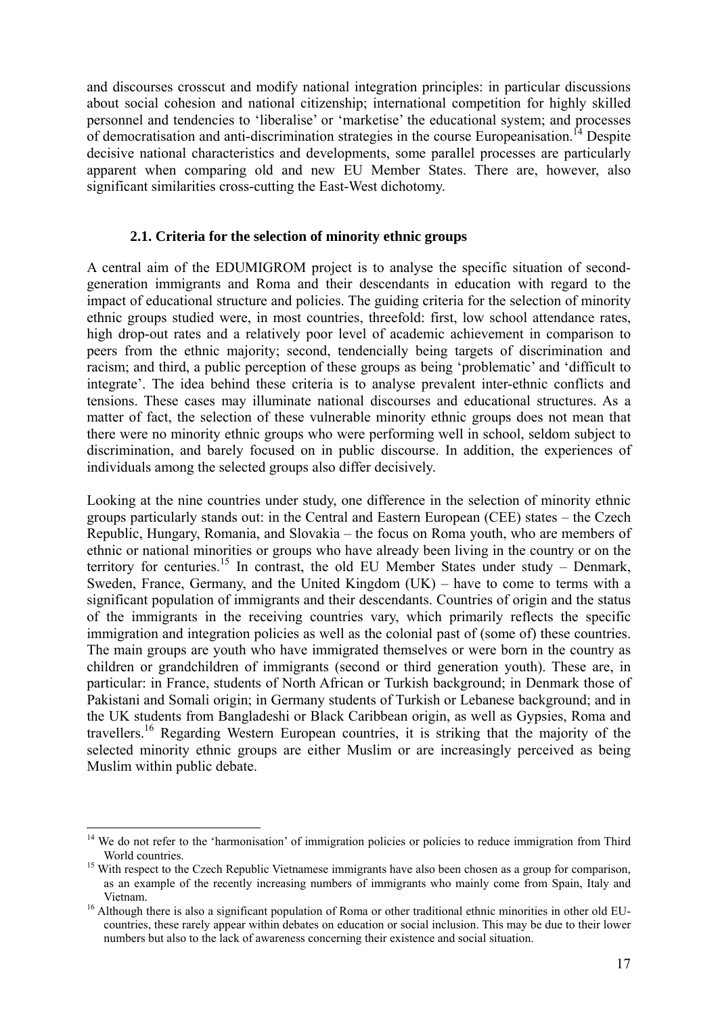and discourses crosscut and modify national integration principles: in particular discussions about social cohesion and national citizenship; international competition for highly skilled personnel and tendencies to 'liberalise' or 'marketise' the educational system; and processes of democratisation and anti-discrimination strategies in the course Europeanisation.<sup>14</sup> Despite decisive national characteristics and developments, some parallel processes are particularly apparent when comparing old and new EU Member States. There are, however, also significant similarities cross-cutting the East-West dichotomy.

## **2.1. Criteria for the selection of minority ethnic groups**

A central aim of the EDUMIGROM project is to analyse the specific situation of secondgeneration immigrants and Roma and their descendants in education with regard to the impact of educational structure and policies. The guiding criteria for the selection of minority ethnic groups studied were, in most countries, threefold: first, low school attendance rates, high drop-out rates and a relatively poor level of academic achievement in comparison to peers from the ethnic majority; second, tendencially being targets of discrimination and racism; and third, a public perception of these groups as being 'problematic' and 'difficult to integrate'. The idea behind these criteria is to analyse prevalent inter-ethnic conflicts and tensions. These cases may illuminate national discourses and educational structures. As a matter of fact, the selection of these vulnerable minority ethnic groups does not mean that there were no minority ethnic groups who were performing well in school, seldom subject to discrimination, and barely focused on in public discourse. In addition, the experiences of individuals among the selected groups also differ decisively.

Looking at the nine countries under study, one difference in the selection of minority ethnic groups particularly stands out: in the Central and Eastern European (CEE) states – the Czech Republic, Hungary, Romania, and Slovakia – the focus on Roma youth, who are members of ethnic or national minorities or groups who have already been living in the country or on the territory for centuries.<sup>15</sup> In contrast, the old EU Member States under study – Denmark, Sweden, France, Germany, and the United Kingdom (UK) – have to come to terms with a significant population of immigrants and their descendants. Countries of origin and the status of the immigrants in the receiving countries vary, which primarily reflects the specific immigration and integration policies as well as the colonial past of (some of) these countries. The main groups are youth who have immigrated themselves or were born in the country as children or grandchildren of immigrants (second or third generation youth). These are, in particular: in France, students of North African or Turkish background; in Denmark those of Pakistani and Somali origin; in Germany students of Turkish or Lebanese background; and in the UK students from Bangladeshi or Black Caribbean origin, as well as Gypsies, Roma and travellers.16 Regarding Western European countries, it is striking that the majority of the selected minority ethnic groups are either Muslim or are increasingly perceived as being Muslim within public debate.

<sup>&</sup>lt;sup>14</sup> We do not refer to the 'harmonisation' of immigration policies or policies to reduce immigration from Third World countries.<br><sup>15</sup> With respect to the Czech Republic Vietnamese immigrants have also been chosen as a group for comparison,

as an example of the recently increasing numbers of immigrants who mainly come from Spain, Italy and

Vietnam. 16 Although there is also a significant population of Roma or other traditional ethnic minorities in other old EUcountries, these rarely appear within debates on education or social inclusion. This may be due to their lower numbers but also to the lack of awareness concerning their existence and social situation.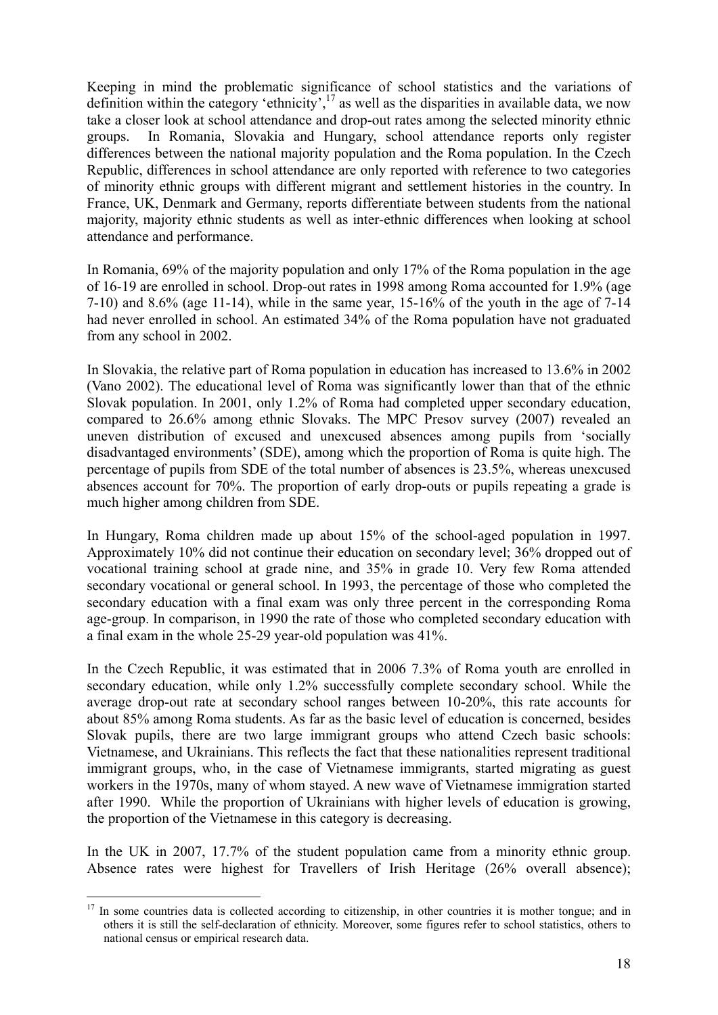Keeping in mind the problematic significance of school statistics and the variations of definition within the category 'ethnicity',<sup>17</sup> as well as the disparities in available data, we now take a closer look at school attendance and drop-out rates among the selected minority ethnic groups. In Romania, Slovakia and Hungary, school attendance reports only register differences between the national majority population and the Roma population. In the Czech Republic, differences in school attendance are only reported with reference to two categories of minority ethnic groups with different migrant and settlement histories in the country. In France, UK, Denmark and Germany, reports differentiate between students from the national majority, majority ethnic students as well as inter-ethnic differences when looking at school attendance and performance.

In Romania, 69% of the majority population and only 17% of the Roma population in the age of 16-19 are enrolled in school. Drop-out rates in 1998 among Roma accounted for 1.9% (age 7-10) and 8.6% (age 11-14), while in the same year, 15-16% of the youth in the age of 7-14 had never enrolled in school. An estimated 34% of the Roma population have not graduated from any school in 2002.

In Slovakia, the relative part of Roma population in education has increased to 13.6% in 2002 (Vano 2002). The educational level of Roma was significantly lower than that of the ethnic Slovak population. In 2001, only 1.2% of Roma had completed upper secondary education, compared to 26.6% among ethnic Slovaks. The MPC Presov survey (2007) revealed an uneven distribution of excused and unexcused absences among pupils from 'socially disadvantaged environments' (SDE), among which the proportion of Roma is quite high. The percentage of pupils from SDE of the total number of absences is 23.5%, whereas unexcused absences account for 70%. The proportion of early drop-outs or pupils repeating a grade is much higher among children from SDE.

In Hungary, Roma children made up about 15% of the school-aged population in 1997. Approximately 10% did not continue their education on secondary level; 36% dropped out of vocational training school at grade nine, and 35% in grade 10. Very few Roma attended secondary vocational or general school. In 1993, the percentage of those who completed the secondary education with a final exam was only three percent in the corresponding Roma age-group. In comparison, in 1990 the rate of those who completed secondary education with a final exam in the whole 25-29 year-old population was 41%.

In the Czech Republic, it was estimated that in 2006 7.3% of Roma youth are enrolled in secondary education, while only 1.2% successfully complete secondary school. While the average drop-out rate at secondary school ranges between 10-20%, this rate accounts for about 85% among Roma students. As far as the basic level of education is concerned, besides Slovak pupils, there are two large immigrant groups who attend Czech basic schools: Vietnamese, and Ukrainians. This reflects the fact that these nationalities represent traditional immigrant groups, who, in the case of Vietnamese immigrants, started migrating as guest workers in the 1970s, many of whom stayed. A new wave of Vietnamese immigration started after 1990. While the proportion of Ukrainians with higher levels of education is growing, the proportion of the Vietnamese in this category is decreasing.

In the UK in 2007, 17.7% of the student population came from a minority ethnic group. Absence rates were highest for Travellers of Irish Heritage (26% overall absence);

<sup>&</sup>lt;sup>17</sup> In some countries data is collected according to citizenship, in other countries it is mother tongue; and in others it is still the self-declaration of ethnicity. Moreover, some figures refer to school statistics, others to national census or empirical research data.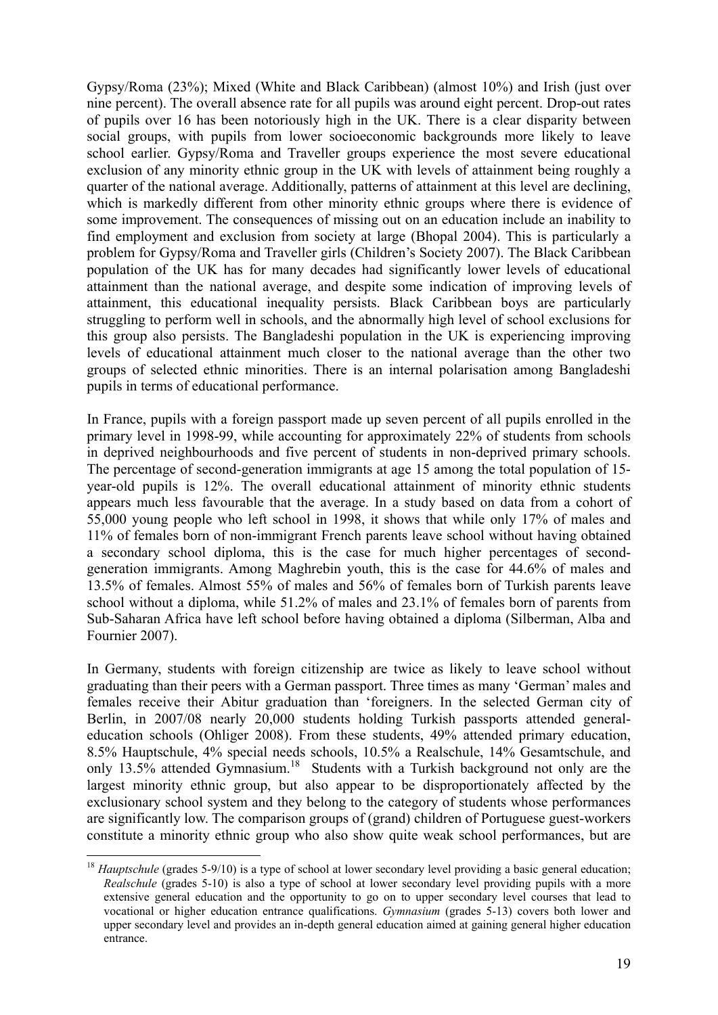Gypsy/Roma (23%); Mixed (White and Black Caribbean) (almost 10%) and Irish (just over nine percent). The overall absence rate for all pupils was around eight percent. Drop-out rates of pupils over 16 has been notoriously high in the UK. There is a clear disparity between social groups, with pupils from lower socioeconomic backgrounds more likely to leave school earlier. Gypsy/Roma and Traveller groups experience the most severe educational exclusion of any minority ethnic group in the UK with levels of attainment being roughly a quarter of the national average. Additionally, patterns of attainment at this level are declining, which is markedly different from other minority ethnic groups where there is evidence of some improvement. The consequences of missing out on an education include an inability to find employment and exclusion from society at large (Bhopal 2004). This is particularly a problem for Gypsy/Roma and Traveller girls (Children's Society 2007). The Black Caribbean population of the UK has for many decades had significantly lower levels of educational attainment than the national average, and despite some indication of improving levels of attainment, this educational inequality persists. Black Caribbean boys are particularly struggling to perform well in schools, and the abnormally high level of school exclusions for this group also persists. The Bangladeshi population in the UK is experiencing improving levels of educational attainment much closer to the national average than the other two groups of selected ethnic minorities. There is an internal polarisation among Bangladeshi pupils in terms of educational performance.

In France, pupils with a foreign passport made up seven percent of all pupils enrolled in the primary level in 1998-99, while accounting for approximately 22% of students from schools in deprived neighbourhoods and five percent of students in non-deprived primary schools. The percentage of second-generation immigrants at age 15 among the total population of 15 year-old pupils is 12%. The overall educational attainment of minority ethnic students appears much less favourable that the average. In a study based on data from a cohort of 55,000 young people who left school in 1998, it shows that while only 17% of males and 11% of females born of non-immigrant French parents leave school without having obtained a secondary school diploma, this is the case for much higher percentages of secondgeneration immigrants. Among Maghrebin youth, this is the case for 44.6% of males and 13.5% of females. Almost 55% of males and 56% of females born of Turkish parents leave school without a diploma, while 51.2% of males and 23.1% of females born of parents from Sub-Saharan Africa have left school before having obtained a diploma (Silberman, Alba and Fournier 2007).

In Germany, students with foreign citizenship are twice as likely to leave school without graduating than their peers with a German passport. Three times as many 'German' males and females receive their Abitur graduation than 'foreigners. In the selected German city of Berlin, in 2007/08 nearly 20,000 students holding Turkish passports attended generaleducation schools (Ohliger 2008). From these students, 49% attended primary education, 8.5% Hauptschule, 4% special needs schools, 10.5% a Realschule, 14% Gesamtschule, and only 13.5% attended Gymnasium.<sup>18</sup> Students with a Turkish background not only are the largest minority ethnic group, but also appear to be disproportionately affected by the exclusionary school system and they belong to the category of students whose performances are significantly low. The comparison groups of (grand) children of Portuguese guest-workers constitute a minority ethnic group who also show quite weak school performances, but are

<sup>&</sup>lt;sup>18</sup> *Hauptschule* (grades 5-9/10) is a type of school at lower secondary level providing a basic general education; *Realschule* (grades 5-10) is also a type of school at lower secondary level providing pupils with a more extensive general education and the opportunity to go on to upper secondary level courses that lead to vocational or higher education entrance qualifications. *Gymnasium* (grades 5-13) covers both lower and upper secondary level and provides an in-depth general education aimed at gaining general higher education entrance.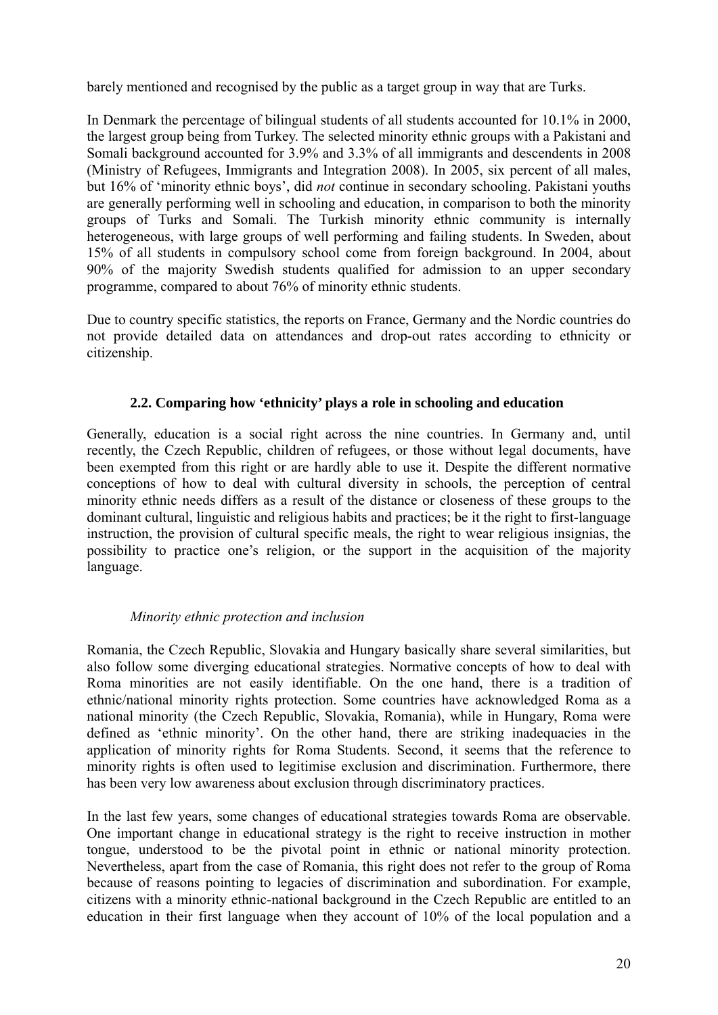barely mentioned and recognised by the public as a target group in way that are Turks.

In Denmark the percentage of bilingual students of all students accounted for 10.1% in 2000, the largest group being from Turkey. The selected minority ethnic groups with a Pakistani and Somali background accounted for 3.9% and 3.3% of all immigrants and descendents in 2008 (Ministry of Refugees, Immigrants and Integration 2008). In 2005, six percent of all males, but 16% of 'minority ethnic boys', did *not* continue in secondary schooling. Pakistani youths are generally performing well in schooling and education, in comparison to both the minority groups of Turks and Somali. The Turkish minority ethnic community is internally heterogeneous, with large groups of well performing and failing students. In Sweden, about 15% of all students in compulsory school come from foreign background. In 2004, about 90% of the majority Swedish students qualified for admission to an upper secondary programme, compared to about 76% of minority ethnic students.

Due to country specific statistics, the reports on France, Germany and the Nordic countries do not provide detailed data on attendances and drop-out rates according to ethnicity or citizenship.

## **2.2. Comparing how 'ethnicity' plays a role in schooling and education**

Generally, education is a social right across the nine countries. In Germany and, until recently, the Czech Republic, children of refugees, or those without legal documents, have been exempted from this right or are hardly able to use it. Despite the different normative conceptions of how to deal with cultural diversity in schools, the perception of central minority ethnic needs differs as a result of the distance or closeness of these groups to the dominant cultural, linguistic and religious habits and practices; be it the right to first-language instruction, the provision of cultural specific meals, the right to wear religious insignias, the possibility to practice one's religion, or the support in the acquisition of the majority language.

## *Minority ethnic protection and inclusion*

Romania, the Czech Republic, Slovakia and Hungary basically share several similarities, but also follow some diverging educational strategies. Normative concepts of how to deal with Roma minorities are not easily identifiable. On the one hand, there is a tradition of ethnic/national minority rights protection. Some countries have acknowledged Roma as a national minority (the Czech Republic, Slovakia, Romania), while in Hungary, Roma were defined as 'ethnic minority'. On the other hand, there are striking inadequacies in the application of minority rights for Roma Students. Second, it seems that the reference to minority rights is often used to legitimise exclusion and discrimination. Furthermore, there has been very low awareness about exclusion through discriminatory practices.

In the last few years, some changes of educational strategies towards Roma are observable. One important change in educational strategy is the right to receive instruction in mother tongue, understood to be the pivotal point in ethnic or national minority protection. Nevertheless, apart from the case of Romania, this right does not refer to the group of Roma because of reasons pointing to legacies of discrimination and subordination. For example, citizens with a minority ethnic-national background in the Czech Republic are entitled to an education in their first language when they account of 10% of the local population and a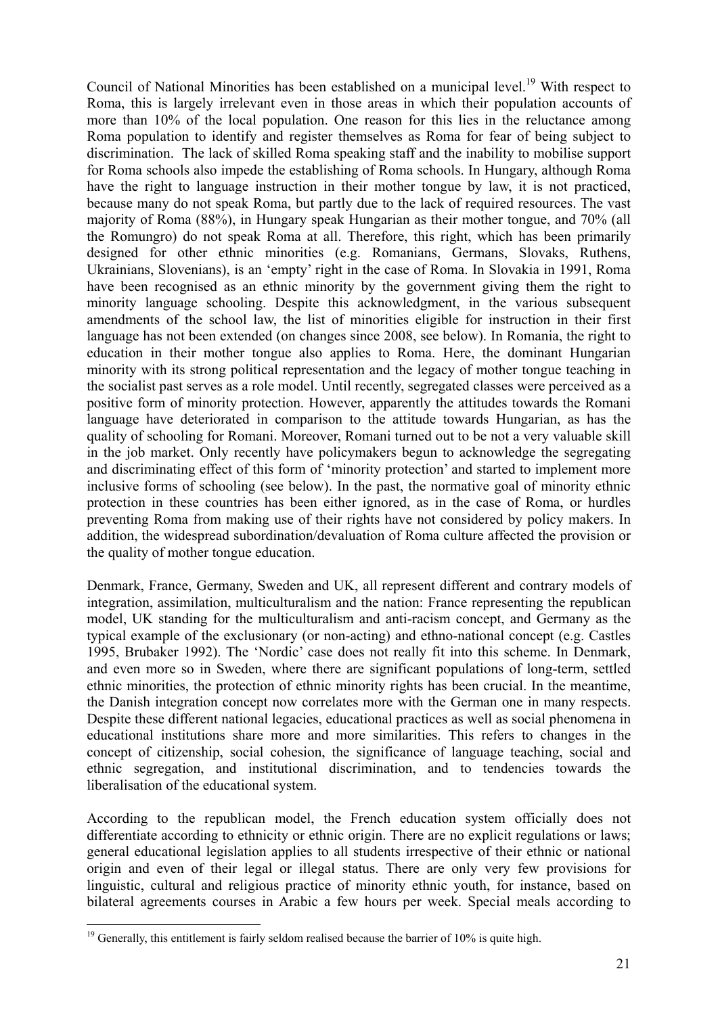Council of National Minorities has been established on a municipal level.<sup>19</sup> With respect to Roma, this is largely irrelevant even in those areas in which their population accounts of more than 10% of the local population. One reason for this lies in the reluctance among Roma population to identify and register themselves as Roma for fear of being subject to discrimination. The lack of skilled Roma speaking staff and the inability to mobilise support for Roma schools also impede the establishing of Roma schools. In Hungary, although Roma have the right to language instruction in their mother tongue by law, it is not practiced, because many do not speak Roma, but partly due to the lack of required resources. The vast majority of Roma (88%), in Hungary speak Hungarian as their mother tongue, and 70% (all the Romungro) do not speak Roma at all. Therefore, this right, which has been primarily designed for other ethnic minorities (e.g. Romanians, Germans, Slovaks, Ruthens, Ukrainians, Slovenians), is an 'empty' right in the case of Roma. In Slovakia in 1991, Roma have been recognised as an ethnic minority by the government giving them the right to minority language schooling. Despite this acknowledgment, in the various subsequent amendments of the school law, the list of minorities eligible for instruction in their first language has not been extended (on changes since 2008, see below). In Romania, the right to education in their mother tongue also applies to Roma. Here, the dominant Hungarian minority with its strong political representation and the legacy of mother tongue teaching in the socialist past serves as a role model. Until recently, segregated classes were perceived as a positive form of minority protection. However, apparently the attitudes towards the Romani language have deteriorated in comparison to the attitude towards Hungarian, as has the quality of schooling for Romani. Moreover, Romani turned out to be not a very valuable skill in the job market. Only recently have policymakers begun to acknowledge the segregating and discriminating effect of this form of 'minority protection' and started to implement more inclusive forms of schooling (see below). In the past, the normative goal of minority ethnic protection in these countries has been either ignored, as in the case of Roma, or hurdles preventing Roma from making use of their rights have not considered by policy makers. In addition, the widespread subordination/devaluation of Roma culture affected the provision or the quality of mother tongue education.

Denmark, France, Germany, Sweden and UK, all represent different and contrary models of integration, assimilation, multiculturalism and the nation: France representing the republican model, UK standing for the multiculturalism and anti-racism concept, and Germany as the typical example of the exclusionary (or non-acting) and ethno-national concept (e.g. Castles 1995, Brubaker 1992). The 'Nordic' case does not really fit into this scheme. In Denmark, and even more so in Sweden, where there are significant populations of long-term, settled ethnic minorities, the protection of ethnic minority rights has been crucial. In the meantime, the Danish integration concept now correlates more with the German one in many respects. Despite these different national legacies, educational practices as well as social phenomena in educational institutions share more and more similarities. This refers to changes in the concept of citizenship, social cohesion, the significance of language teaching, social and ethnic segregation, and institutional discrimination, and to tendencies towards the liberalisation of the educational system.

According to the republican model, the French education system officially does not differentiate according to ethnicity or ethnic origin. There are no explicit regulations or laws; general educational legislation applies to all students irrespective of their ethnic or national origin and even of their legal or illegal status. There are only very few provisions for linguistic, cultural and religious practice of minority ethnic youth, for instance, based on bilateral agreements courses in Arabic a few hours per week. Special meals according to

<u>.</u>

 $19$  Generally, this entitlement is fairly seldom realised because the barrier of 10% is quite high.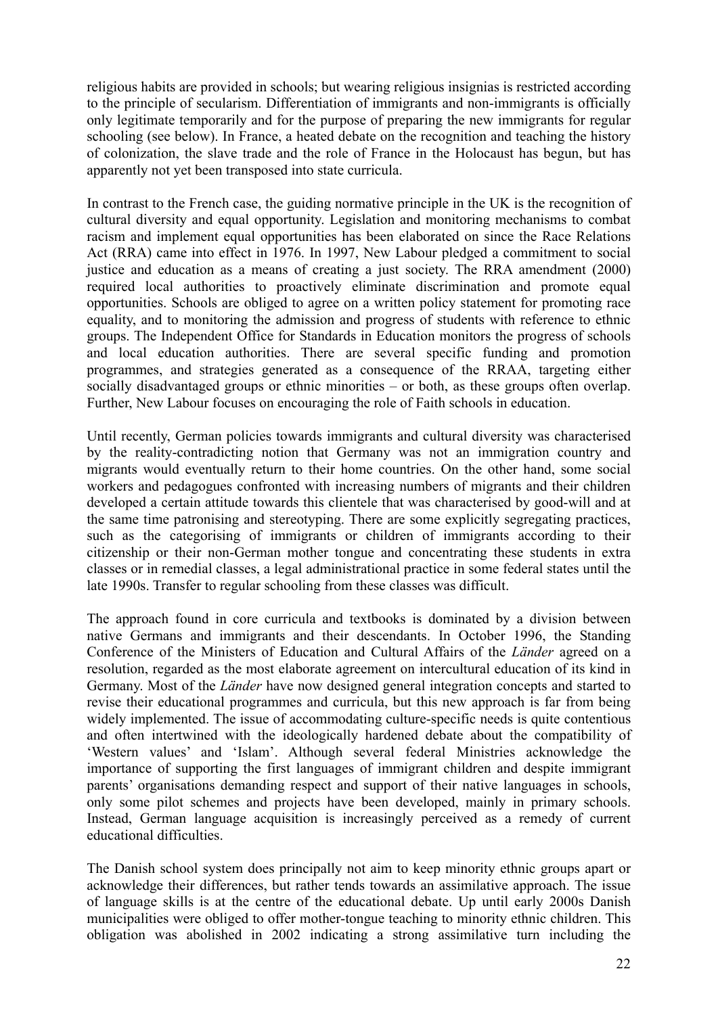religious habits are provided in schools; but wearing religious insignias is restricted according to the principle of secularism. Differentiation of immigrants and non-immigrants is officially only legitimate temporarily and for the purpose of preparing the new immigrants for regular schooling (see below). In France, a heated debate on the recognition and teaching the history of colonization, the slave trade and the role of France in the Holocaust has begun, but has apparently not yet been transposed into state curricula.

In contrast to the French case, the guiding normative principle in the UK is the recognition of cultural diversity and equal opportunity. Legislation and monitoring mechanisms to combat racism and implement equal opportunities has been elaborated on since the Race Relations Act (RRA) came into effect in 1976. In 1997, New Labour pledged a commitment to social justice and education as a means of creating a just society. The RRA amendment (2000) required local authorities to proactively eliminate discrimination and promote equal opportunities. Schools are obliged to agree on a written policy statement for promoting race equality, and to monitoring the admission and progress of students with reference to ethnic groups. The Independent Office for Standards in Education monitors the progress of schools and local education authorities. There are several specific funding and promotion programmes, and strategies generated as a consequence of the RRAA, targeting either socially disadvantaged groups or ethnic minorities – or both, as these groups often overlap. Further, New Labour focuses on encouraging the role of Faith schools in education.

Until recently, German policies towards immigrants and cultural diversity was characterised by the reality-contradicting notion that Germany was not an immigration country and migrants would eventually return to their home countries. On the other hand, some social workers and pedagogues confronted with increasing numbers of migrants and their children developed a certain attitude towards this clientele that was characterised by good-will and at the same time patronising and stereotyping. There are some explicitly segregating practices, such as the categorising of immigrants or children of immigrants according to their citizenship or their non-German mother tongue and concentrating these students in extra classes or in remedial classes, a legal administrational practice in some federal states until the late 1990s. Transfer to regular schooling from these classes was difficult.

The approach found in core curricula and textbooks is dominated by a division between native Germans and immigrants and their descendants. In October 1996, the Standing Conference of the Ministers of Education and Cultural Affairs of the *Länder* agreed on a resolution, regarded as the most elaborate agreement on intercultural education of its kind in Germany. Most of the *Länder* have now designed general integration concepts and started to revise their educational programmes and curricula, but this new approach is far from being widely implemented. The issue of accommodating culture-specific needs is quite contentious and often intertwined with the ideologically hardened debate about the compatibility of 'Western values' and 'Islam'. Although several federal Ministries acknowledge the importance of supporting the first languages of immigrant children and despite immigrant parents' organisations demanding respect and support of their native languages in schools, only some pilot schemes and projects have been developed, mainly in primary schools. Instead, German language acquisition is increasingly perceived as a remedy of current educational difficulties.

The Danish school system does principally not aim to keep minority ethnic groups apart or acknowledge their differences, but rather tends towards an assimilative approach. The issue of language skills is at the centre of the educational debate. Up until early 2000s Danish municipalities were obliged to offer mother-tongue teaching to minority ethnic children. This obligation was abolished in 2002 indicating a strong assimilative turn including the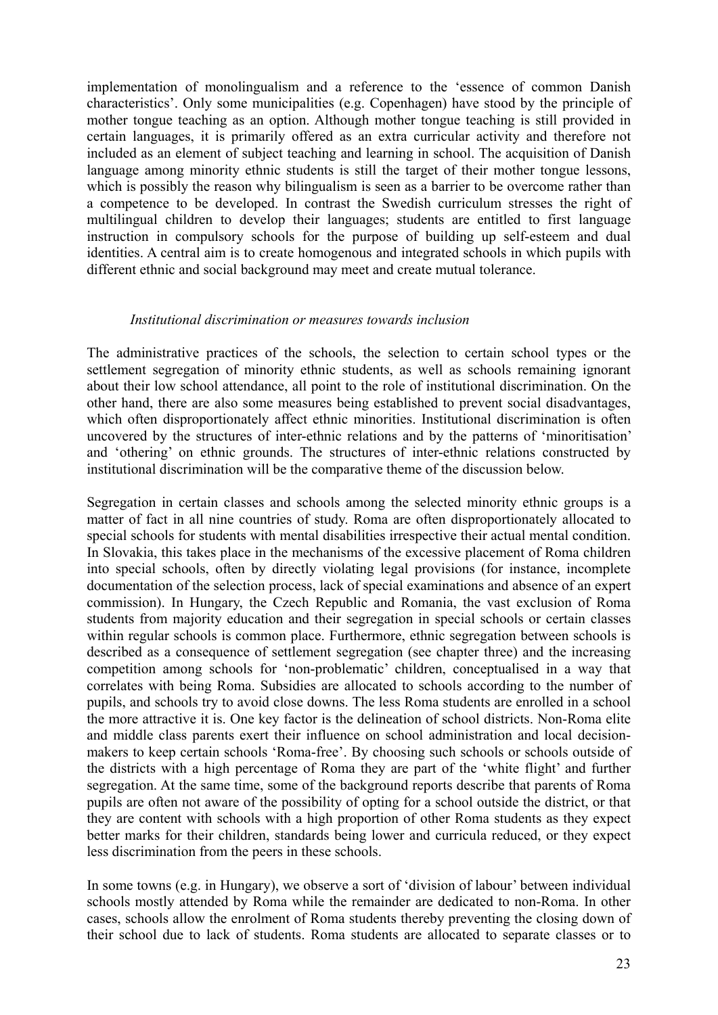implementation of monolingualism and a reference to the 'essence of common Danish characteristics'. Only some municipalities (e.g. Copenhagen) have stood by the principle of mother tongue teaching as an option. Although mother tongue teaching is still provided in certain languages, it is primarily offered as an extra curricular activity and therefore not included as an element of subject teaching and learning in school. The acquisition of Danish language among minority ethnic students is still the target of their mother tongue lessons, which is possibly the reason why bilingualism is seen as a barrier to be overcome rather than a competence to be developed. In contrast the Swedish curriculum stresses the right of multilingual children to develop their languages; students are entitled to first language instruction in compulsory schools for the purpose of building up self-esteem and dual identities. A central aim is to create homogenous and integrated schools in which pupils with different ethnic and social background may meet and create mutual tolerance.

## *Institutional discrimination or measures towards inclusion*

The administrative practices of the schools, the selection to certain school types or the settlement segregation of minority ethnic students, as well as schools remaining ignorant about their low school attendance, all point to the role of institutional discrimination. On the other hand, there are also some measures being established to prevent social disadvantages, which often disproportionately affect ethnic minorities. Institutional discrimination is often uncovered by the structures of inter-ethnic relations and by the patterns of 'minoritisation' and 'othering' on ethnic grounds. The structures of inter-ethnic relations constructed by institutional discrimination will be the comparative theme of the discussion below.

Segregation in certain classes and schools among the selected minority ethnic groups is a matter of fact in all nine countries of study. Roma are often disproportionately allocated to special schools for students with mental disabilities irrespective their actual mental condition. In Slovakia, this takes place in the mechanisms of the excessive placement of Roma children into special schools, often by directly violating legal provisions (for instance, incomplete documentation of the selection process, lack of special examinations and absence of an expert commission). In Hungary, the Czech Republic and Romania, the vast exclusion of Roma students from majority education and their segregation in special schools or certain classes within regular schools is common place. Furthermore, ethnic segregation between schools is described as a consequence of settlement segregation (see chapter three) and the increasing competition among schools for 'non-problematic' children, conceptualised in a way that correlates with being Roma. Subsidies are allocated to schools according to the number of pupils, and schools try to avoid close downs. The less Roma students are enrolled in a school the more attractive it is. One key factor is the delineation of school districts. Non-Roma elite and middle class parents exert their influence on school administration and local decisionmakers to keep certain schools 'Roma-free'. By choosing such schools or schools outside of the districts with a high percentage of Roma they are part of the 'white flight' and further segregation. At the same time, some of the background reports describe that parents of Roma pupils are often not aware of the possibility of opting for a school outside the district, or that they are content with schools with a high proportion of other Roma students as they expect better marks for their children, standards being lower and curricula reduced, or they expect less discrimination from the peers in these schools.

In some towns (e.g. in Hungary), we observe a sort of 'division of labour' between individual schools mostly attended by Roma while the remainder are dedicated to non-Roma. In other cases, schools allow the enrolment of Roma students thereby preventing the closing down of their school due to lack of students. Roma students are allocated to separate classes or to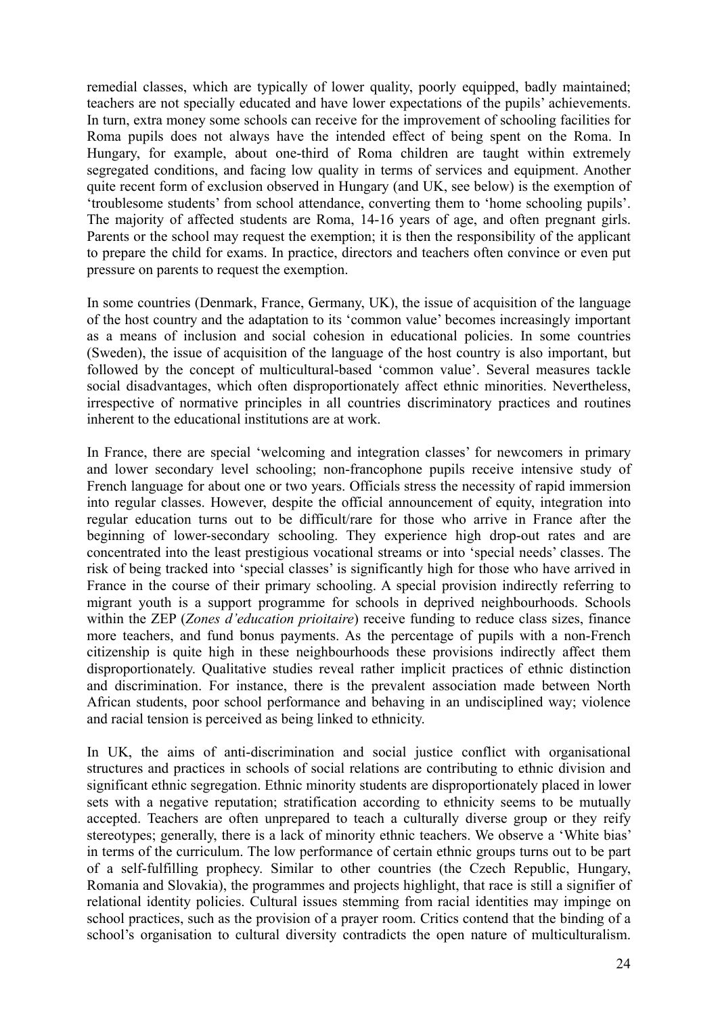remedial classes, which are typically of lower quality, poorly equipped, badly maintained; teachers are not specially educated and have lower expectations of the pupils' achievements. In turn, extra money some schools can receive for the improvement of schooling facilities for Roma pupils does not always have the intended effect of being spent on the Roma. In Hungary, for example, about one-third of Roma children are taught within extremely segregated conditions, and facing low quality in terms of services and equipment. Another quite recent form of exclusion observed in Hungary (and UK, see below) is the exemption of 'troublesome students' from school attendance, converting them to 'home schooling pupils'. The majority of affected students are Roma, 14-16 years of age, and often pregnant girls. Parents or the school may request the exemption; it is then the responsibility of the applicant to prepare the child for exams. In practice, directors and teachers often convince or even put pressure on parents to request the exemption.

In some countries (Denmark, France, Germany, UK), the issue of acquisition of the language of the host country and the adaptation to its 'common value' becomes increasingly important as a means of inclusion and social cohesion in educational policies. In some countries (Sweden), the issue of acquisition of the language of the host country is also important, but followed by the concept of multicultural-based 'common value'. Several measures tackle social disadvantages, which often disproportionately affect ethnic minorities. Nevertheless, irrespective of normative principles in all countries discriminatory practices and routines inherent to the educational institutions are at work.

In France, there are special 'welcoming and integration classes' for newcomers in primary and lower secondary level schooling; non-francophone pupils receive intensive study of French language for about one or two years. Officials stress the necessity of rapid immersion into regular classes. However, despite the official announcement of equity, integration into regular education turns out to be difficult/rare for those who arrive in France after the beginning of lower-secondary schooling. They experience high drop-out rates and are concentrated into the least prestigious vocational streams or into 'special needs' classes. The risk of being tracked into 'special classes' is significantly high for those who have arrived in France in the course of their primary schooling. A special provision indirectly referring to migrant youth is a support programme for schools in deprived neighbourhoods. Schools within the ZEP (*Zones d'education prioitaire*) receive funding to reduce class sizes, finance more teachers, and fund bonus payments. As the percentage of pupils with a non-French citizenship is quite high in these neighbourhoods these provisions indirectly affect them disproportionately. Qualitative studies reveal rather implicit practices of ethnic distinction and discrimination. For instance, there is the prevalent association made between North African students, poor school performance and behaving in an undisciplined way; violence and racial tension is perceived as being linked to ethnicity.

In UK, the aims of anti-discrimination and social justice conflict with organisational structures and practices in schools of social relations are contributing to ethnic division and significant ethnic segregation. Ethnic minority students are disproportionately placed in lower sets with a negative reputation; stratification according to ethnicity seems to be mutually accepted. Teachers are often unprepared to teach a culturally diverse group or they reify stereotypes; generally, there is a lack of minority ethnic teachers. We observe a 'White bias' in terms of the curriculum. The low performance of certain ethnic groups turns out to be part of a self-fulfilling prophecy. Similar to other countries (the Czech Republic, Hungary, Romania and Slovakia), the programmes and projects highlight, that race is still a signifier of relational identity policies. Cultural issues stemming from racial identities may impinge on school practices, such as the provision of a prayer room. Critics contend that the binding of a school's organisation to cultural diversity contradicts the open nature of multiculturalism.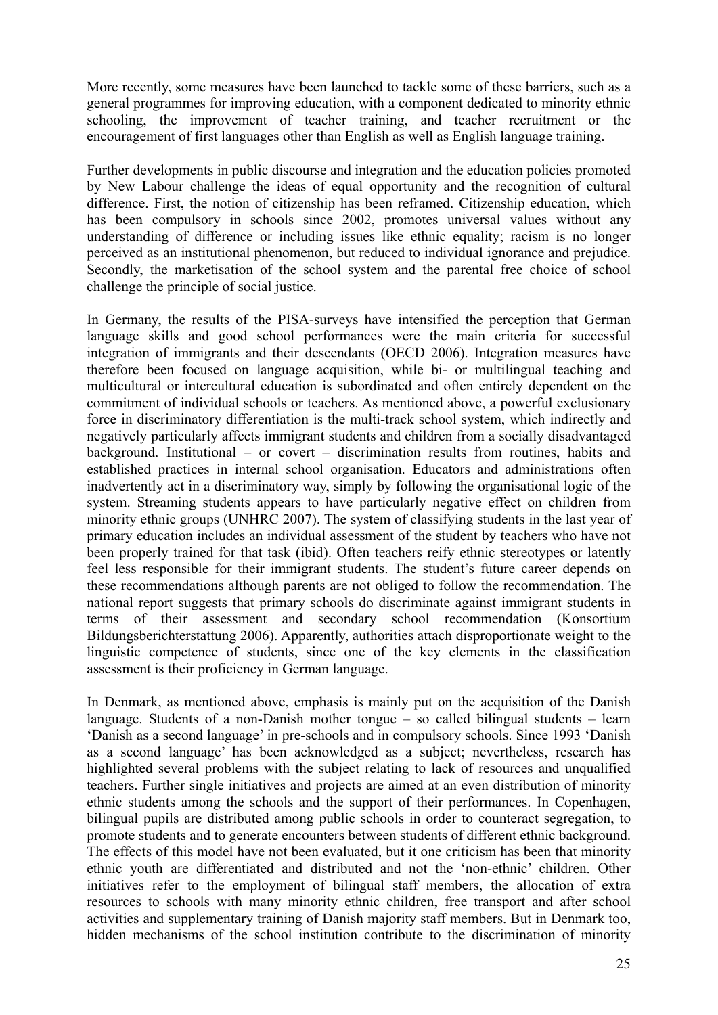More recently, some measures have been launched to tackle some of these barriers, such as a general programmes for improving education, with a component dedicated to minority ethnic schooling, the improvement of teacher training, and teacher recruitment or the encouragement of first languages other than English as well as English language training.

Further developments in public discourse and integration and the education policies promoted by New Labour challenge the ideas of equal opportunity and the recognition of cultural difference. First, the notion of citizenship has been reframed. Citizenship education, which has been compulsory in schools since 2002, promotes universal values without any understanding of difference or including issues like ethnic equality; racism is no longer perceived as an institutional phenomenon, but reduced to individual ignorance and prejudice. Secondly, the marketisation of the school system and the parental free choice of school challenge the principle of social justice.

In Germany, the results of the PISA-surveys have intensified the perception that German language skills and good school performances were the main criteria for successful integration of immigrants and their descendants (OECD 2006). Integration measures have therefore been focused on language acquisition, while bi- or multilingual teaching and multicultural or intercultural education is subordinated and often entirely dependent on the commitment of individual schools or teachers. As mentioned above, a powerful exclusionary force in discriminatory differentiation is the multi-track school system, which indirectly and negatively particularly affects immigrant students and children from a socially disadvantaged background. Institutional – or covert – discrimination results from routines, habits and established practices in internal school organisation. Educators and administrations often inadvertently act in a discriminatory way, simply by following the organisational logic of the system. Streaming students appears to have particularly negative effect on children from minority ethnic groups (UNHRC 2007). The system of classifying students in the last year of primary education includes an individual assessment of the student by teachers who have not been properly trained for that task (ibid). Often teachers reify ethnic stereotypes or latently feel less responsible for their immigrant students. The student's future career depends on these recommendations although parents are not obliged to follow the recommendation. The national report suggests that primary schools do discriminate against immigrant students in terms of their assessment and secondary school recommendation (Konsortium Bildungsberichterstattung 2006). Apparently, authorities attach disproportionate weight to the linguistic competence of students, since one of the key elements in the classification assessment is their proficiency in German language.

In Denmark, as mentioned above, emphasis is mainly put on the acquisition of the Danish language. Students of a non-Danish mother tongue – so called bilingual students – learn 'Danish as a second language' in pre-schools and in compulsory schools. Since 1993 'Danish as a second language' has been acknowledged as a subject; nevertheless, research has highlighted several problems with the subject relating to lack of resources and unqualified teachers. Further single initiatives and projects are aimed at an even distribution of minority ethnic students among the schools and the support of their performances. In Copenhagen, bilingual pupils are distributed among public schools in order to counteract segregation, to promote students and to generate encounters between students of different ethnic background. The effects of this model have not been evaluated, but it one criticism has been that minority ethnic youth are differentiated and distributed and not the 'non-ethnic' children. Other initiatives refer to the employment of bilingual staff members, the allocation of extra resources to schools with many minority ethnic children, free transport and after school activities and supplementary training of Danish majority staff members. But in Denmark too, hidden mechanisms of the school institution contribute to the discrimination of minority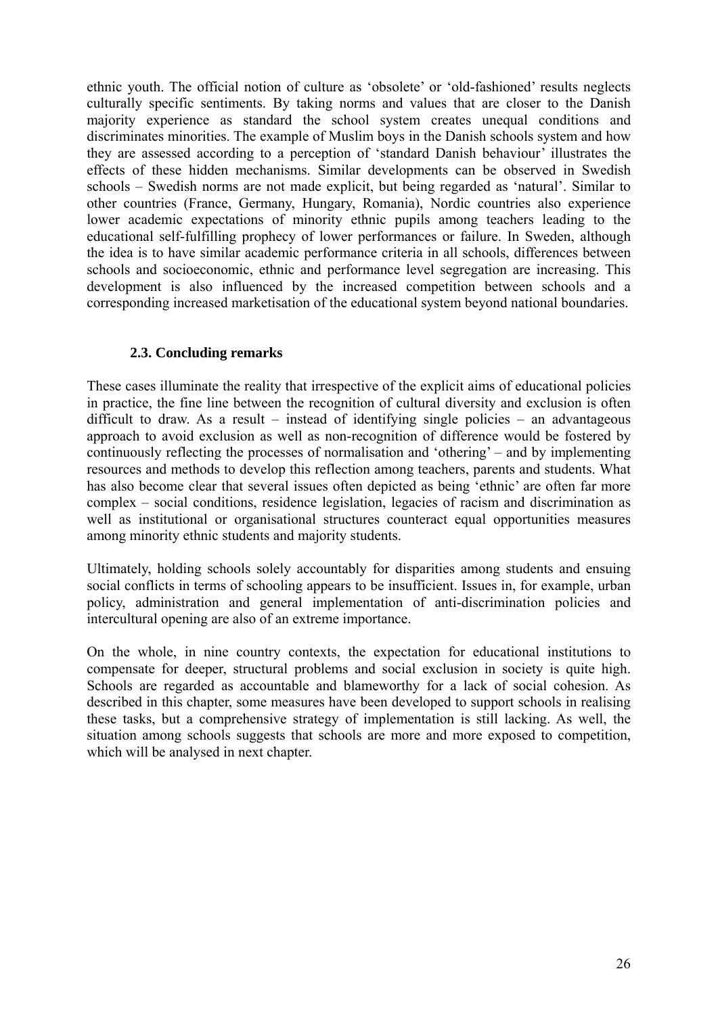ethnic youth. The official notion of culture as 'obsolete' or 'old-fashioned' results neglects culturally specific sentiments. By taking norms and values that are closer to the Danish majority experience as standard the school system creates unequal conditions and discriminates minorities. The example of Muslim boys in the Danish schools system and how they are assessed according to a perception of 'standard Danish behaviour' illustrates the effects of these hidden mechanisms. Similar developments can be observed in Swedish schools – Swedish norms are not made explicit, but being regarded as 'natural'. Similar to other countries (France, Germany, Hungary, Romania), Nordic countries also experience lower academic expectations of minority ethnic pupils among teachers leading to the educational self-fulfilling prophecy of lower performances or failure. In Sweden, although the idea is to have similar academic performance criteria in all schools, differences between schools and socioeconomic, ethnic and performance level segregation are increasing. This development is also influenced by the increased competition between schools and a corresponding increased marketisation of the educational system beyond national boundaries.

## **2.3. Concluding remarks**

These cases illuminate the reality that irrespective of the explicit aims of educational policies in practice, the fine line between the recognition of cultural diversity and exclusion is often difficult to draw. As a result – instead of identifying single policies – an advantageous approach to avoid exclusion as well as non-recognition of difference would be fostered by continuously reflecting the processes of normalisation and 'othering' – and by implementing resources and methods to develop this reflection among teachers, parents and students. What has also become clear that several issues often depicted as being 'ethnic' are often far more complex – social conditions, residence legislation, legacies of racism and discrimination as well as institutional or organisational structures counteract equal opportunities measures among minority ethnic students and majority students.

Ultimately, holding schools solely accountably for disparities among students and ensuing social conflicts in terms of schooling appears to be insufficient. Issues in, for example, urban policy, administration and general implementation of anti-discrimination policies and intercultural opening are also of an extreme importance.

On the whole, in nine country contexts, the expectation for educational institutions to compensate for deeper, structural problems and social exclusion in society is quite high. Schools are regarded as accountable and blameworthy for a lack of social cohesion. As described in this chapter, some measures have been developed to support schools in realising these tasks, but a comprehensive strategy of implementation is still lacking. As well, the situation among schools suggests that schools are more and more exposed to competition, which will be analysed in next chapter.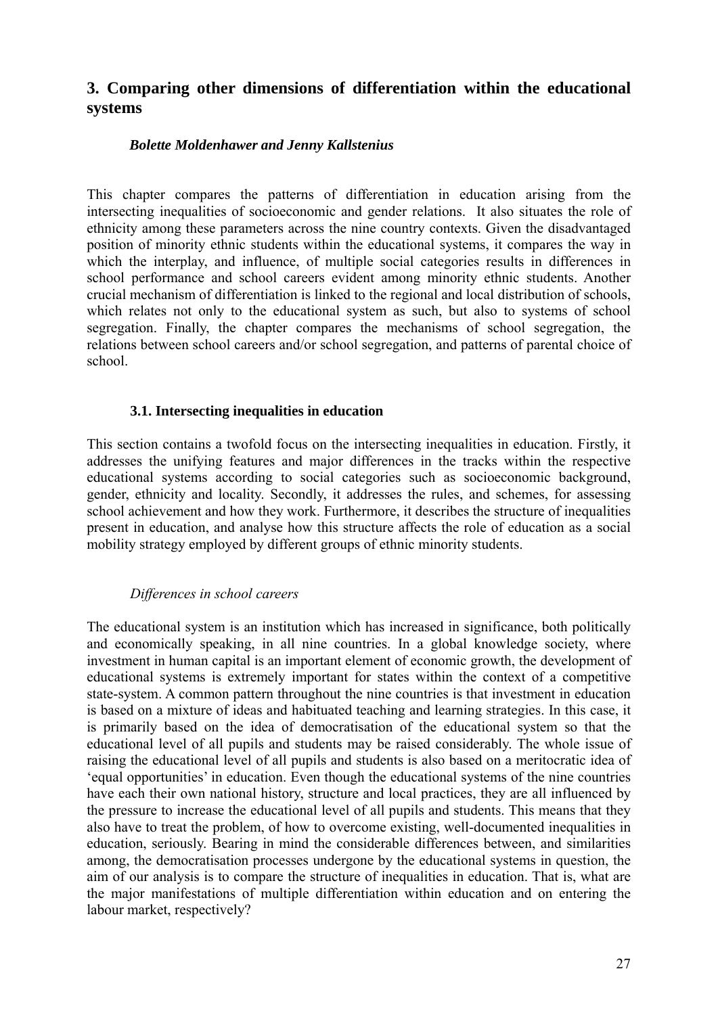# **3. Comparing other dimensions of differentiation within the educational systems**

## *Bolette Moldenhawer and Jenny Kallstenius*

This chapter compares the patterns of differentiation in education arising from the intersecting inequalities of socioeconomic and gender relations. It also situates the role of ethnicity among these parameters across the nine country contexts. Given the disadvantaged position of minority ethnic students within the educational systems, it compares the way in which the interplay, and influence, of multiple social categories results in differences in school performance and school careers evident among minority ethnic students. Another crucial mechanism of differentiation is linked to the regional and local distribution of schools, which relates not only to the educational system as such, but also to systems of school segregation. Finally, the chapter compares the mechanisms of school segregation, the relations between school careers and/or school segregation, and patterns of parental choice of school.

## **3.1. Intersecting inequalities in education**

This section contains a twofold focus on the intersecting inequalities in education. Firstly, it addresses the unifying features and major differences in the tracks within the respective educational systems according to social categories such as socioeconomic background, gender, ethnicity and locality. Secondly, it addresses the rules, and schemes, for assessing school achievement and how they work. Furthermore, it describes the structure of inequalities present in education, and analyse how this structure affects the role of education as a social mobility strategy employed by different groups of ethnic minority students.

## *Differences in school careers*

The educational system is an institution which has increased in significance, both politically and economically speaking, in all nine countries. In a global knowledge society, where investment in human capital is an important element of economic growth, the development of educational systems is extremely important for states within the context of a competitive state-system. A common pattern throughout the nine countries is that investment in education is based on a mixture of ideas and habituated teaching and learning strategies. In this case, it is primarily based on the idea of democratisation of the educational system so that the educational level of all pupils and students may be raised considerably. The whole issue of raising the educational level of all pupils and students is also based on a meritocratic idea of 'equal opportunities' in education. Even though the educational systems of the nine countries have each their own national history, structure and local practices, they are all influenced by the pressure to increase the educational level of all pupils and students. This means that they also have to treat the problem, of how to overcome existing, well-documented inequalities in education, seriously. Bearing in mind the considerable differences between, and similarities among, the democratisation processes undergone by the educational systems in question, the aim of our analysis is to compare the structure of inequalities in education. That is, what are the major manifestations of multiple differentiation within education and on entering the labour market, respectively?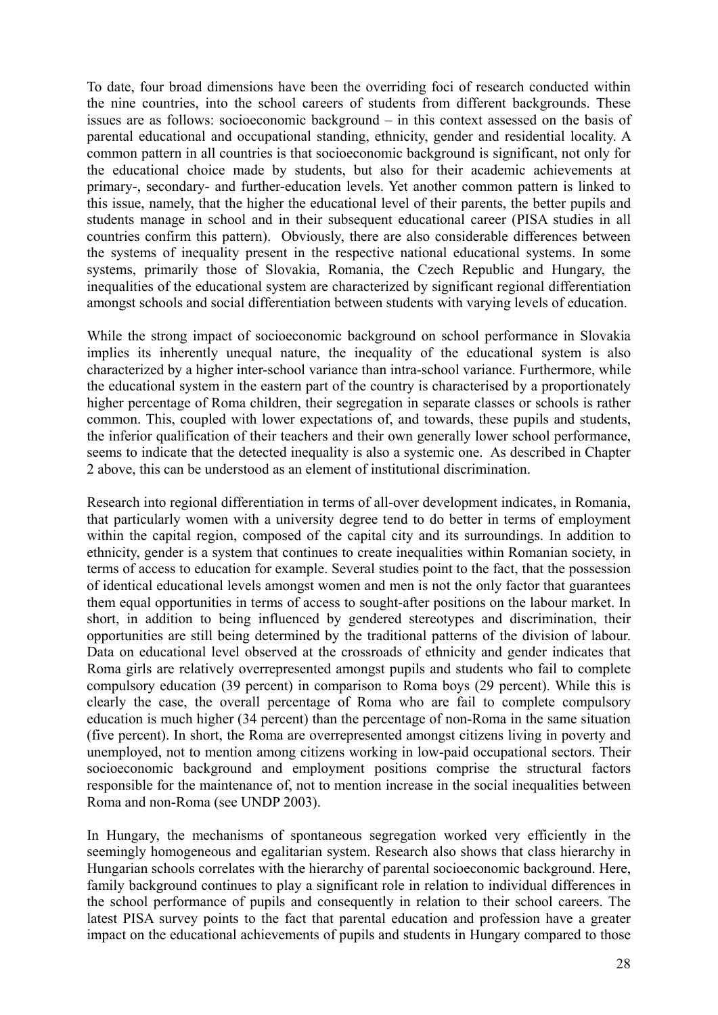To date, four broad dimensions have been the overriding foci of research conducted within the nine countries, into the school careers of students from different backgrounds. These issues are as follows: socioeconomic background – in this context assessed on the basis of parental educational and occupational standing, ethnicity, gender and residential locality. A common pattern in all countries is that socioeconomic background is significant, not only for the educational choice made by students, but also for their academic achievements at primary-, secondary- and further-education levels. Yet another common pattern is linked to this issue, namely, that the higher the educational level of their parents, the better pupils and students manage in school and in their subsequent educational career (PISA studies in all countries confirm this pattern). Obviously, there are also considerable differences between the systems of inequality present in the respective national educational systems. In some systems, primarily those of Slovakia, Romania, the Czech Republic and Hungary, the inequalities of the educational system are characterized by significant regional differentiation amongst schools and social differentiation between students with varying levels of education.

While the strong impact of socioeconomic background on school performance in Slovakia implies its inherently unequal nature, the inequality of the educational system is also characterized by a higher inter-school variance than intra-school variance. Furthermore, while the educational system in the eastern part of the country is characterised by a proportionately higher percentage of Roma children, their segregation in separate classes or schools is rather common. This, coupled with lower expectations of, and towards, these pupils and students, the inferior qualification of their teachers and their own generally lower school performance, seems to indicate that the detected inequality is also a systemic one. As described in Chapter 2 above, this can be understood as an element of institutional discrimination.

Research into regional differentiation in terms of all-over development indicates, in Romania, that particularly women with a university degree tend to do better in terms of employment within the capital region, composed of the capital city and its surroundings. In addition to ethnicity, gender is a system that continues to create inequalities within Romanian society, in terms of access to education for example. Several studies point to the fact, that the possession of identical educational levels amongst women and men is not the only factor that guarantees them equal opportunities in terms of access to sought-after positions on the labour market. In short, in addition to being influenced by gendered stereotypes and discrimination, their opportunities are still being determined by the traditional patterns of the division of labour. Data on educational level observed at the crossroads of ethnicity and gender indicates that Roma girls are relatively overrepresented amongst pupils and students who fail to complete compulsory education (39 percent) in comparison to Roma boys (29 percent). While this is clearly the case, the overall percentage of Roma who are fail to complete compulsory education is much higher (34 percent) than the percentage of non-Roma in the same situation (five percent). In short, the Roma are overrepresented amongst citizens living in poverty and unemployed, not to mention among citizens working in low-paid occupational sectors. Their socioeconomic background and employment positions comprise the structural factors responsible for the maintenance of, not to mention increase in the social inequalities between Roma and non-Roma (see UNDP 2003).

In Hungary, the mechanisms of spontaneous segregation worked very efficiently in the seemingly homogeneous and egalitarian system. Research also shows that class hierarchy in Hungarian schools correlates with the hierarchy of parental socioeconomic background. Here, family background continues to play a significant role in relation to individual differences in the school performance of pupils and consequently in relation to their school careers. The latest PISA survey points to the fact that parental education and profession have a greater impact on the educational achievements of pupils and students in Hungary compared to those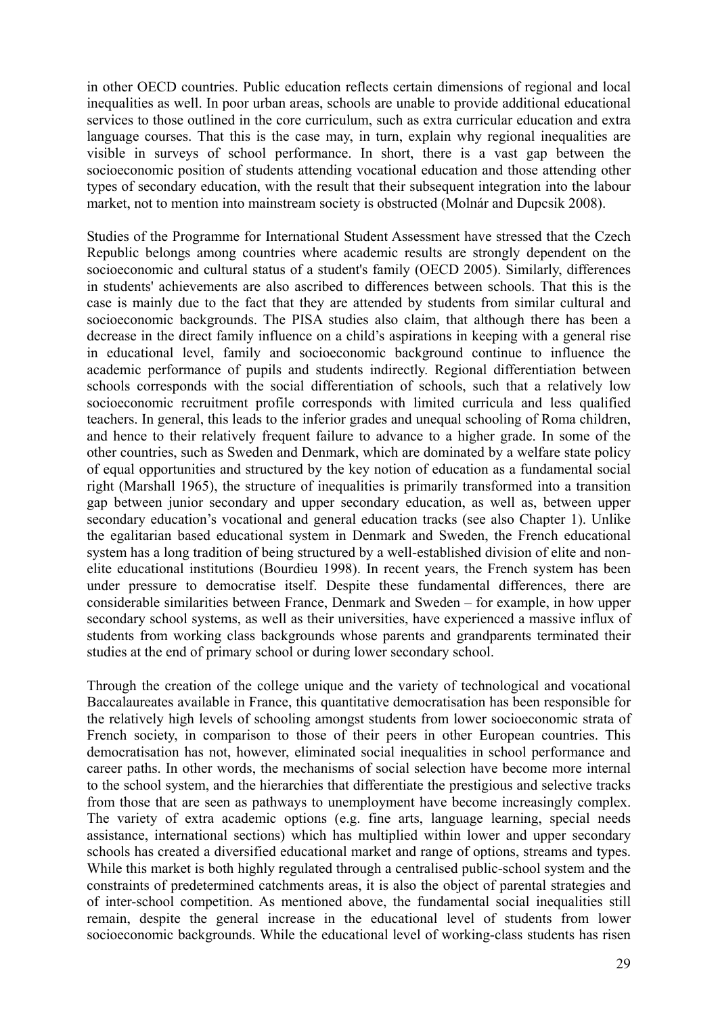in other OECD countries. Public education reflects certain dimensions of regional and local inequalities as well. In poor urban areas, schools are unable to provide additional educational services to those outlined in the core curriculum, such as extra curricular education and extra language courses. That this is the case may, in turn, explain why regional inequalities are visible in surveys of school performance. In short, there is a vast gap between the socioeconomic position of students attending vocational education and those attending other types of secondary education, with the result that their subsequent integration into the labour market, not to mention into mainstream society is obstructed (Molnár and Dupcsik 2008).

Studies of the Programme for International Student Assessment have stressed that the Czech Republic belongs among countries where academic results are strongly dependent on the socioeconomic and cultural status of a student's family (OECD 2005). Similarly, differences in students' achievements are also ascribed to differences between schools. That this is the case is mainly due to the fact that they are attended by students from similar cultural and socioeconomic backgrounds. The PISA studies also claim, that although there has been a decrease in the direct family influence on a child's aspirations in keeping with a general rise in educational level, family and socioeconomic background continue to influence the academic performance of pupils and students indirectly. Regional differentiation between schools corresponds with the social differentiation of schools, such that a relatively low socioeconomic recruitment profile corresponds with limited curricula and less qualified teachers. In general, this leads to the inferior grades and unequal schooling of Roma children, and hence to their relatively frequent failure to advance to a higher grade. In some of the other countries, such as Sweden and Denmark, which are dominated by a welfare state policy of equal opportunities and structured by the key notion of education as a fundamental social right (Marshall 1965), the structure of inequalities is primarily transformed into a transition gap between junior secondary and upper secondary education, as well as, between upper secondary education's vocational and general education tracks (see also Chapter 1). Unlike the egalitarian based educational system in Denmark and Sweden, the French educational system has a long tradition of being structured by a well-established division of elite and nonelite educational institutions (Bourdieu 1998). In recent years, the French system has been under pressure to democratise itself. Despite these fundamental differences, there are considerable similarities between France, Denmark and Sweden – for example, in how upper secondary school systems, as well as their universities, have experienced a massive influx of students from working class backgrounds whose parents and grandparents terminated their studies at the end of primary school or during lower secondary school.

Through the creation of the college unique and the variety of technological and vocational Baccalaureates available in France, this quantitative democratisation has been responsible for the relatively high levels of schooling amongst students from lower socioeconomic strata of French society, in comparison to those of their peers in other European countries. This democratisation has not, however, eliminated social inequalities in school performance and career paths. In other words, the mechanisms of social selection have become more internal to the school system, and the hierarchies that differentiate the prestigious and selective tracks from those that are seen as pathways to unemployment have become increasingly complex. The variety of extra academic options (e.g. fine arts, language learning, special needs assistance, international sections) which has multiplied within lower and upper secondary schools has created a diversified educational market and range of options, streams and types. While this market is both highly regulated through a centralised public-school system and the constraints of predetermined catchments areas, it is also the object of parental strategies and of inter-school competition. As mentioned above, the fundamental social inequalities still remain, despite the general increase in the educational level of students from lower socioeconomic backgrounds. While the educational level of working-class students has risen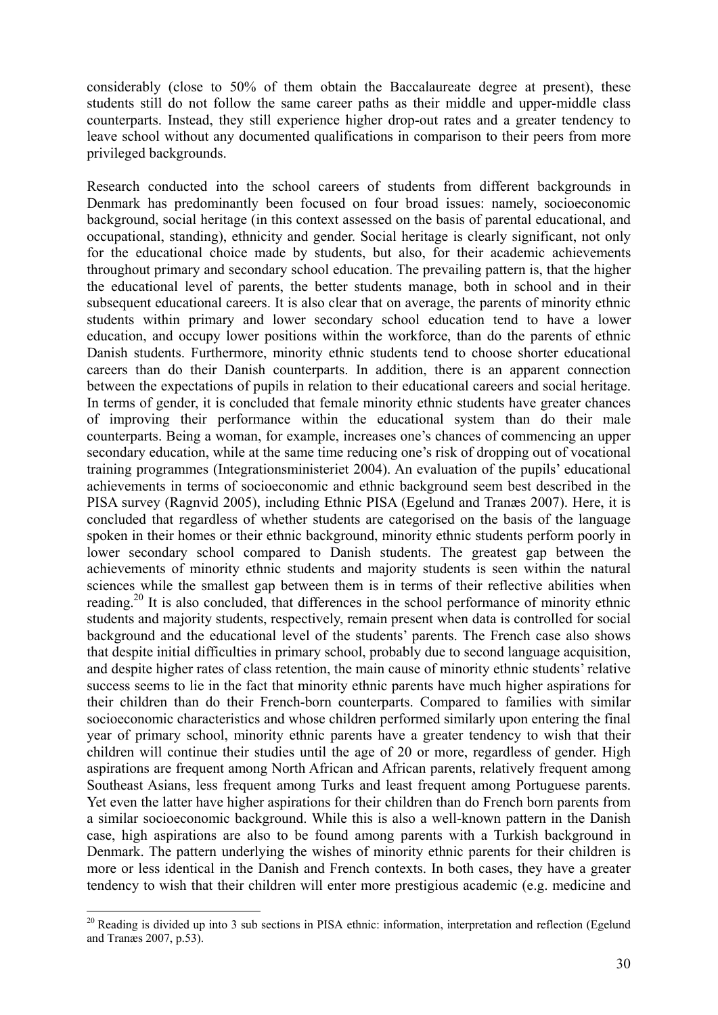considerably (close to 50% of them obtain the Baccalaureate degree at present), these students still do not follow the same career paths as their middle and upper-middle class counterparts. Instead, they still experience higher drop-out rates and a greater tendency to leave school without any documented qualifications in comparison to their peers from more privileged backgrounds.

Research conducted into the school careers of students from different backgrounds in Denmark has predominantly been focused on four broad issues: namely, socioeconomic background, social heritage (in this context assessed on the basis of parental educational, and occupational, standing), ethnicity and gender. Social heritage is clearly significant, not only for the educational choice made by students, but also, for their academic achievements throughout primary and secondary school education. The prevailing pattern is, that the higher the educational level of parents, the better students manage, both in school and in their subsequent educational careers. It is also clear that on average, the parents of minority ethnic students within primary and lower secondary school education tend to have a lower education, and occupy lower positions within the workforce, than do the parents of ethnic Danish students. Furthermore, minority ethnic students tend to choose shorter educational careers than do their Danish counterparts. In addition, there is an apparent connection between the expectations of pupils in relation to their educational careers and social heritage. In terms of gender, it is concluded that female minority ethnic students have greater chances of improving their performance within the educational system than do their male counterparts. Being a woman, for example, increases one's chances of commencing an upper secondary education, while at the same time reducing one's risk of dropping out of vocational training programmes (Integrationsministeriet 2004). An evaluation of the pupils' educational achievements in terms of socioeconomic and ethnic background seem best described in the PISA survey (Ragnvid 2005), including Ethnic PISA (Egelund and Tranæs 2007). Here, it is concluded that regardless of whether students are categorised on the basis of the language spoken in their homes or their ethnic background, minority ethnic students perform poorly in lower secondary school compared to Danish students. The greatest gap between the achievements of minority ethnic students and majority students is seen within the natural sciences while the smallest gap between them is in terms of their reflective abilities when reading.<sup>20</sup> It is also concluded, that differences in the school performance of minority ethnic students and majority students, respectively, remain present when data is controlled for social background and the educational level of the students' parents. The French case also shows that despite initial difficulties in primary school, probably due to second language acquisition, and despite higher rates of class retention, the main cause of minority ethnic students' relative success seems to lie in the fact that minority ethnic parents have much higher aspirations for their children than do their French-born counterparts. Compared to families with similar socioeconomic characteristics and whose children performed similarly upon entering the final year of primary school, minority ethnic parents have a greater tendency to wish that their children will continue their studies until the age of 20 or more, regardless of gender. High aspirations are frequent among North African and African parents, relatively frequent among Southeast Asians, less frequent among Turks and least frequent among Portuguese parents. Yet even the latter have higher aspirations for their children than do French born parents from a similar socioeconomic background. While this is also a well-known pattern in the Danish case, high aspirations are also to be found among parents with a Turkish background in Denmark. The pattern underlying the wishes of minority ethnic parents for their children is more or less identical in the Danish and French contexts. In both cases, they have a greater tendency to wish that their children will enter more prestigious academic (e.g. medicine and

 $20$  Reading is divided up into 3 sub sections in PISA ethnic: information, interpretation and reflection (Egelund and Tranæs 2007, p.53).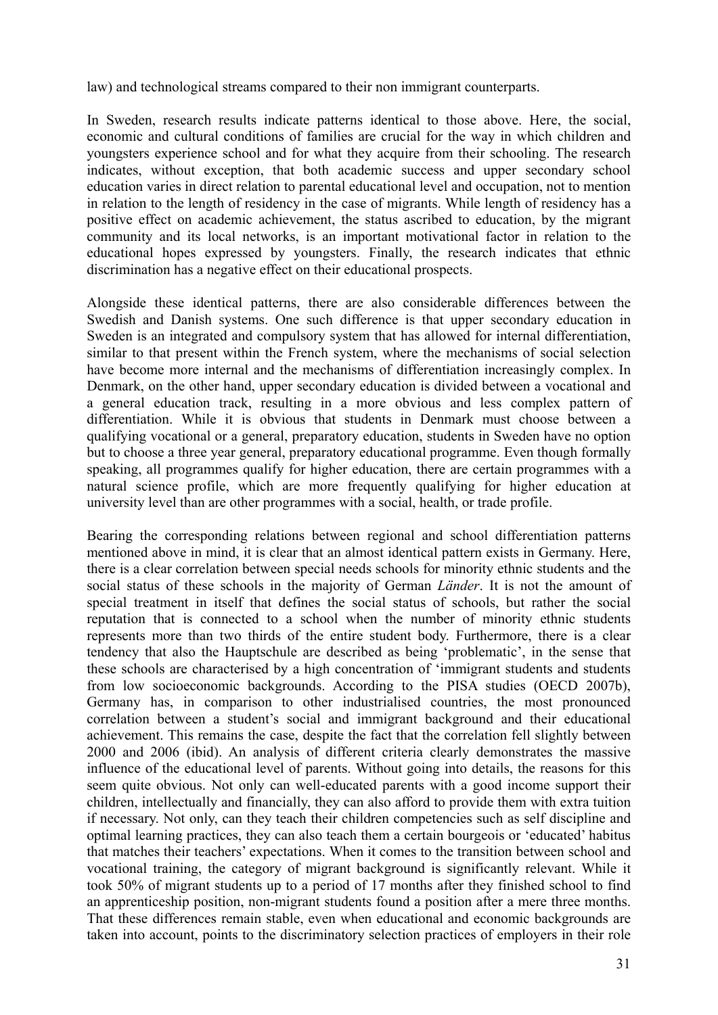law) and technological streams compared to their non immigrant counterparts.

In Sweden, research results indicate patterns identical to those above. Here, the social, economic and cultural conditions of families are crucial for the way in which children and youngsters experience school and for what they acquire from their schooling. The research indicates, without exception, that both academic success and upper secondary school education varies in direct relation to parental educational level and occupation, not to mention in relation to the length of residency in the case of migrants. While length of residency has a positive effect on academic achievement, the status ascribed to education, by the migrant community and its local networks, is an important motivational factor in relation to the educational hopes expressed by youngsters. Finally, the research indicates that ethnic discrimination has a negative effect on their educational prospects.

Alongside these identical patterns, there are also considerable differences between the Swedish and Danish systems. One such difference is that upper secondary education in Sweden is an integrated and compulsory system that has allowed for internal differentiation, similar to that present within the French system, where the mechanisms of social selection have become more internal and the mechanisms of differentiation increasingly complex. In Denmark, on the other hand, upper secondary education is divided between a vocational and a general education track, resulting in a more obvious and less complex pattern of differentiation. While it is obvious that students in Denmark must choose between a qualifying vocational or a general, preparatory education, students in Sweden have no option but to choose a three year general, preparatory educational programme. Even though formally speaking, all programmes qualify for higher education, there are certain programmes with a natural science profile, which are more frequently qualifying for higher education at university level than are other programmes with a social, health, or trade profile.

Bearing the corresponding relations between regional and school differentiation patterns mentioned above in mind, it is clear that an almost identical pattern exists in Germany. Here, there is a clear correlation between special needs schools for minority ethnic students and the social status of these schools in the majority of German *Länder*. It is not the amount of special treatment in itself that defines the social status of schools, but rather the social reputation that is connected to a school when the number of minority ethnic students represents more than two thirds of the entire student body. Furthermore, there is a clear tendency that also the Hauptschule are described as being 'problematic', in the sense that these schools are characterised by a high concentration of 'immigrant students and students from low socioeconomic backgrounds. According to the PISA studies (OECD 2007b), Germany has, in comparison to other industrialised countries, the most pronounced correlation between a student's social and immigrant background and their educational achievement. This remains the case, despite the fact that the correlation fell slightly between 2000 and 2006 (ibid). An analysis of different criteria clearly demonstrates the massive influence of the educational level of parents. Without going into details, the reasons for this seem quite obvious. Not only can well-educated parents with a good income support their children, intellectually and financially, they can also afford to provide them with extra tuition if necessary. Not only, can they teach their children competencies such as self discipline and optimal learning practices, they can also teach them a certain bourgeois or 'educated' habitus that matches their teachers' expectations. When it comes to the transition between school and vocational training, the category of migrant background is significantly relevant. While it took 50% of migrant students up to a period of 17 months after they finished school to find an apprenticeship position, non-migrant students found a position after a mere three months. That these differences remain stable, even when educational and economic backgrounds are taken into account, points to the discriminatory selection practices of employers in their role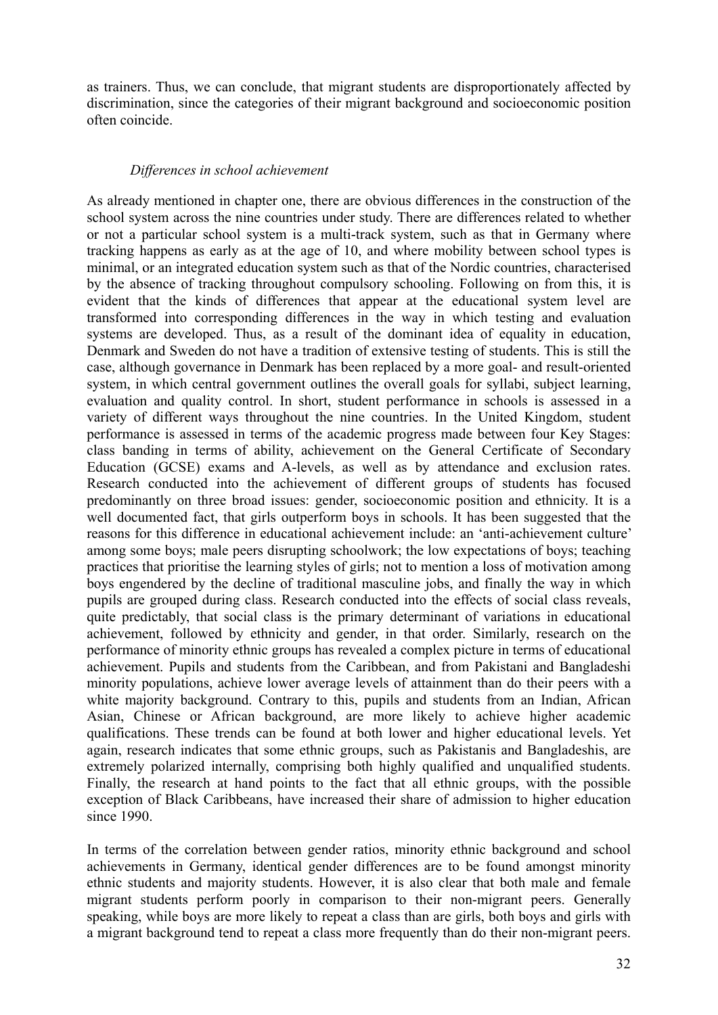as trainers. Thus, we can conclude, that migrant students are disproportionately affected by discrimination, since the categories of their migrant background and socioeconomic position often coincide.

### *Differences in school achievement*

As already mentioned in chapter one, there are obvious differences in the construction of the school system across the nine countries under study. There are differences related to whether or not a particular school system is a multi-track system, such as that in Germany where tracking happens as early as at the age of 10, and where mobility between school types is minimal, or an integrated education system such as that of the Nordic countries, characterised by the absence of tracking throughout compulsory schooling. Following on from this, it is evident that the kinds of differences that appear at the educational system level are transformed into corresponding differences in the way in which testing and evaluation systems are developed. Thus, as a result of the dominant idea of equality in education, Denmark and Sweden do not have a tradition of extensive testing of students. This is still the case, although governance in Denmark has been replaced by a more goal- and result-oriented system, in which central government outlines the overall goals for syllabi, subject learning, evaluation and quality control. In short, student performance in schools is assessed in a variety of different ways throughout the nine countries. In the United Kingdom, student performance is assessed in terms of the academic progress made between four Key Stages: class banding in terms of ability, achievement on the General Certificate of Secondary Education (GCSE) exams and A-levels, as well as by attendance and exclusion rates. Research conducted into the achievement of different groups of students has focused predominantly on three broad issues: gender, socioeconomic position and ethnicity. It is a well documented fact, that girls outperform boys in schools. It has been suggested that the reasons for this difference in educational achievement include: an 'anti-achievement culture' among some boys; male peers disrupting schoolwork; the low expectations of boys; teaching practices that prioritise the learning styles of girls; not to mention a loss of motivation among boys engendered by the decline of traditional masculine jobs, and finally the way in which pupils are grouped during class. Research conducted into the effects of social class reveals, quite predictably, that social class is the primary determinant of variations in educational achievement, followed by ethnicity and gender, in that order. Similarly, research on the performance of minority ethnic groups has revealed a complex picture in terms of educational achievement. Pupils and students from the Caribbean, and from Pakistani and Bangladeshi minority populations, achieve lower average levels of attainment than do their peers with a white majority background. Contrary to this, pupils and students from an Indian, African Asian, Chinese or African background, are more likely to achieve higher academic qualifications. These trends can be found at both lower and higher educational levels. Yet again, research indicates that some ethnic groups, such as Pakistanis and Bangladeshis, are extremely polarized internally, comprising both highly qualified and unqualified students. Finally, the research at hand points to the fact that all ethnic groups, with the possible exception of Black Caribbeans, have increased their share of admission to higher education since 1990.

In terms of the correlation between gender ratios, minority ethnic background and school achievements in Germany, identical gender differences are to be found amongst minority ethnic students and majority students. However, it is also clear that both male and female migrant students perform poorly in comparison to their non-migrant peers. Generally speaking, while boys are more likely to repeat a class than are girls, both boys and girls with a migrant background tend to repeat a class more frequently than do their non-migrant peers.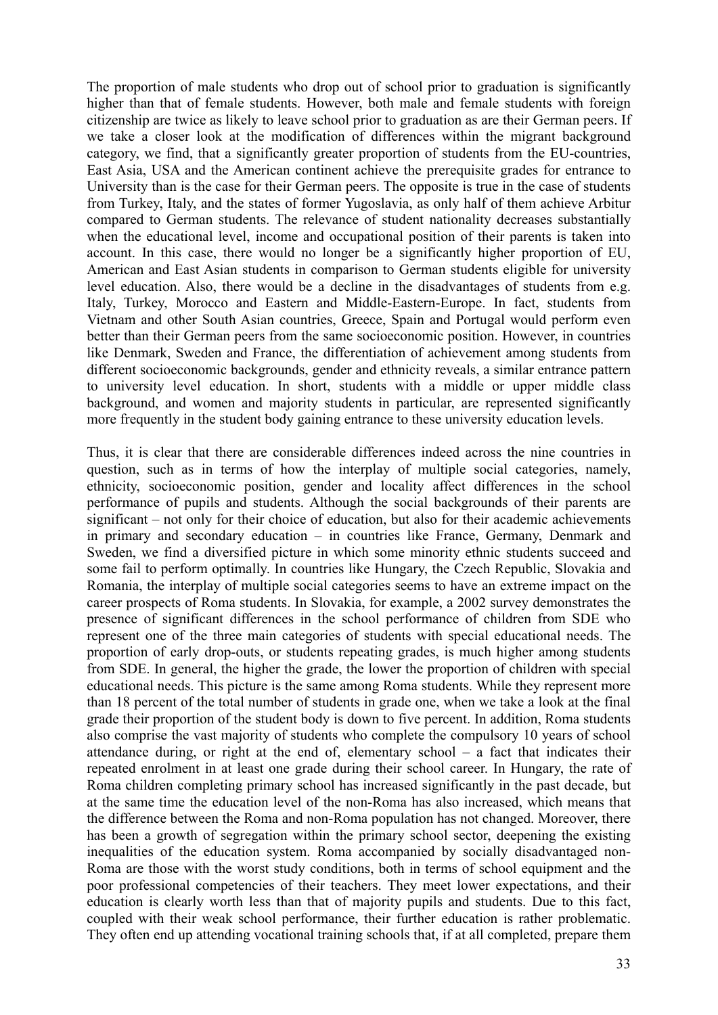The proportion of male students who drop out of school prior to graduation is significantly higher than that of female students. However, both male and female students with foreign citizenship are twice as likely to leave school prior to graduation as are their German peers. If we take a closer look at the modification of differences within the migrant background category, we find, that a significantly greater proportion of students from the EU-countries, East Asia, USA and the American continent achieve the prerequisite grades for entrance to University than is the case for their German peers. The opposite is true in the case of students from Turkey, Italy, and the states of former Yugoslavia, as only half of them achieve Arbitur compared to German students. The relevance of student nationality decreases substantially when the educational level, income and occupational position of their parents is taken into account. In this case, there would no longer be a significantly higher proportion of EU, American and East Asian students in comparison to German students eligible for university level education. Also, there would be a decline in the disadvantages of students from e.g. Italy, Turkey, Morocco and Eastern and Middle-Eastern-Europe. In fact, students from Vietnam and other South Asian countries, Greece, Spain and Portugal would perform even better than their German peers from the same socioeconomic position. However, in countries like Denmark, Sweden and France, the differentiation of achievement among students from different socioeconomic backgrounds, gender and ethnicity reveals, a similar entrance pattern to university level education. In short, students with a middle or upper middle class background, and women and majority students in particular, are represented significantly more frequently in the student body gaining entrance to these university education levels.

Thus, it is clear that there are considerable differences indeed across the nine countries in question, such as in terms of how the interplay of multiple social categories, namely, ethnicity, socioeconomic position, gender and locality affect differences in the school performance of pupils and students. Although the social backgrounds of their parents are significant – not only for their choice of education, but also for their academic achievements in primary and secondary education – in countries like France, Germany, Denmark and Sweden, we find a diversified picture in which some minority ethnic students succeed and some fail to perform optimally. In countries like Hungary, the Czech Republic, Slovakia and Romania, the interplay of multiple social categories seems to have an extreme impact on the career prospects of Roma students. In Slovakia, for example, a 2002 survey demonstrates the presence of significant differences in the school performance of children from SDE who represent one of the three main categories of students with special educational needs. The proportion of early drop-outs, or students repeating grades, is much higher among students from SDE. In general, the higher the grade, the lower the proportion of children with special educational needs. This picture is the same among Roma students. While they represent more than 18 percent of the total number of students in grade one, when we take a look at the final grade their proportion of the student body is down to five percent. In addition, Roma students also comprise the vast majority of students who complete the compulsory 10 years of school attendance during, or right at the end of, elementary school – a fact that indicates their repeated enrolment in at least one grade during their school career. In Hungary, the rate of Roma children completing primary school has increased significantly in the past decade, but at the same time the education level of the non-Roma has also increased, which means that the difference between the Roma and non-Roma population has not changed. Moreover, there has been a growth of segregation within the primary school sector, deepening the existing inequalities of the education system. Roma accompanied by socially disadvantaged non-Roma are those with the worst study conditions, both in terms of school equipment and the poor professional competencies of their teachers. They meet lower expectations, and their education is clearly worth less than that of majority pupils and students. Due to this fact, coupled with their weak school performance, their further education is rather problematic. They often end up attending vocational training schools that, if at all completed, prepare them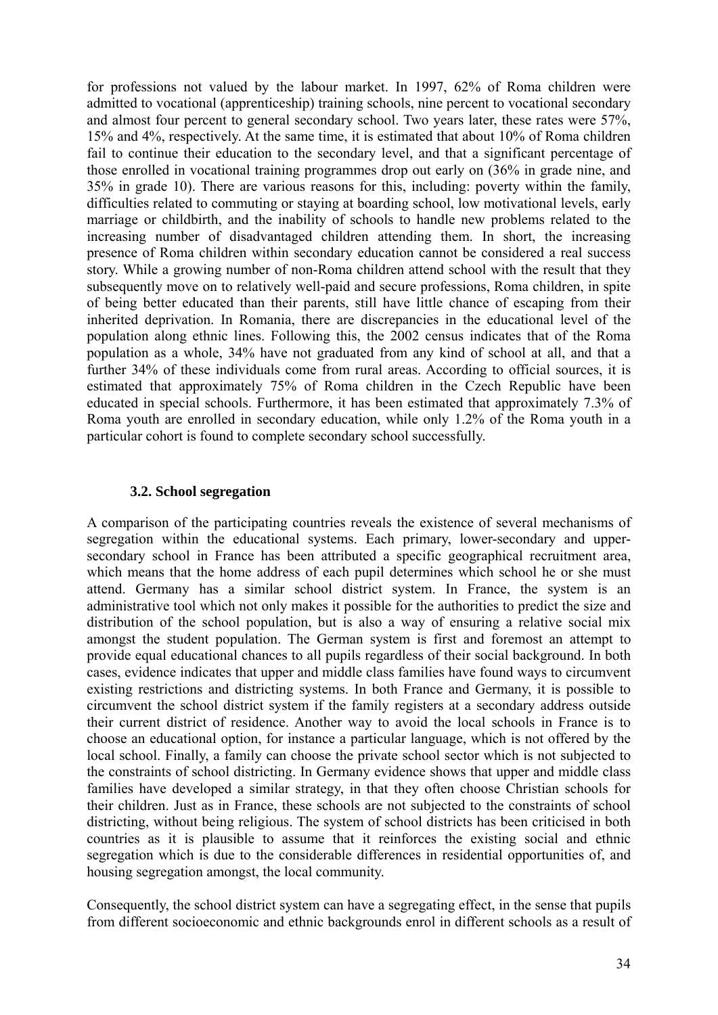for professions not valued by the labour market. In 1997, 62% of Roma children were admitted to vocational (apprenticeship) training schools, nine percent to vocational secondary and almost four percent to general secondary school. Two years later, these rates were 57%, 15% and 4%, respectively. At the same time, it is estimated that about 10% of Roma children fail to continue their education to the secondary level, and that a significant percentage of those enrolled in vocational training programmes drop out early on (36% in grade nine, and 35% in grade 10). There are various reasons for this, including: poverty within the family, difficulties related to commuting or staying at boarding school, low motivational levels, early marriage or childbirth, and the inability of schools to handle new problems related to the increasing number of disadvantaged children attending them. In short, the increasing presence of Roma children within secondary education cannot be considered a real success story. While a growing number of non-Roma children attend school with the result that they subsequently move on to relatively well-paid and secure professions, Roma children, in spite of being better educated than their parents, still have little chance of escaping from their inherited deprivation. In Romania, there are discrepancies in the educational level of the population along ethnic lines. Following this, the 2002 census indicates that of the Roma population as a whole, 34% have not graduated from any kind of school at all, and that a further 34% of these individuals come from rural areas. According to official sources, it is estimated that approximately 75% of Roma children in the Czech Republic have been educated in special schools. Furthermore, it has been estimated that approximately 7.3% of Roma youth are enrolled in secondary education, while only 1.2% of the Roma youth in a particular cohort is found to complete secondary school successfully.

## **3.2. School segregation**

A comparison of the participating countries reveals the existence of several mechanisms of segregation within the educational systems. Each primary, lower-secondary and uppersecondary school in France has been attributed a specific geographical recruitment area, which means that the home address of each pupil determines which school he or she must attend. Germany has a similar school district system. In France, the system is an administrative tool which not only makes it possible for the authorities to predict the size and distribution of the school population, but is also a way of ensuring a relative social mix amongst the student population. The German system is first and foremost an attempt to provide equal educational chances to all pupils regardless of their social background. In both cases, evidence indicates that upper and middle class families have found ways to circumvent existing restrictions and districting systems. In both France and Germany, it is possible to circumvent the school district system if the family registers at a secondary address outside their current district of residence. Another way to avoid the local schools in France is to choose an educational option, for instance a particular language, which is not offered by the local school. Finally, a family can choose the private school sector which is not subjected to the constraints of school districting. In Germany evidence shows that upper and middle class families have developed a similar strategy, in that they often choose Christian schools for their children. Just as in France, these schools are not subjected to the constraints of school districting, without being religious. The system of school districts has been criticised in both countries as it is plausible to assume that it reinforces the existing social and ethnic segregation which is due to the considerable differences in residential opportunities of, and housing segregation amongst, the local community.

Consequently, the school district system can have a segregating effect, in the sense that pupils from different socioeconomic and ethnic backgrounds enrol in different schools as a result of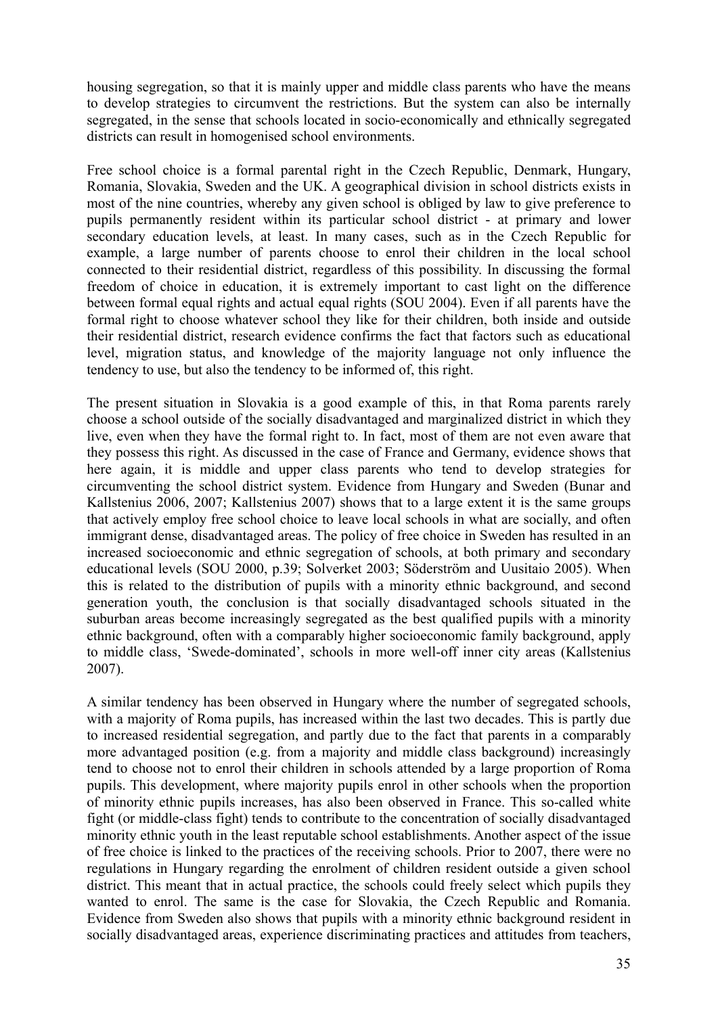housing segregation, so that it is mainly upper and middle class parents who have the means to develop strategies to circumvent the restrictions. But the system can also be internally segregated, in the sense that schools located in socio-economically and ethnically segregated districts can result in homogenised school environments.

Free school choice is a formal parental right in the Czech Republic, Denmark, Hungary, Romania, Slovakia, Sweden and the UK. A geographical division in school districts exists in most of the nine countries, whereby any given school is obliged by law to give preference to pupils permanently resident within its particular school district - at primary and lower secondary education levels, at least. In many cases, such as in the Czech Republic for example, a large number of parents choose to enrol their children in the local school connected to their residential district, regardless of this possibility. In discussing the formal freedom of choice in education, it is extremely important to cast light on the difference between formal equal rights and actual equal rights (SOU 2004). Even if all parents have the formal right to choose whatever school they like for their children, both inside and outside their residential district, research evidence confirms the fact that factors such as educational level, migration status, and knowledge of the majority language not only influence the tendency to use, but also the tendency to be informed of, this right.

The present situation in Slovakia is a good example of this, in that Roma parents rarely choose a school outside of the socially disadvantaged and marginalized district in which they live, even when they have the formal right to. In fact, most of them are not even aware that they possess this right. As discussed in the case of France and Germany, evidence shows that here again, it is middle and upper class parents who tend to develop strategies for circumventing the school district system. Evidence from Hungary and Sweden (Bunar and Kallstenius 2006, 2007; Kallstenius 2007) shows that to a large extent it is the same groups that actively employ free school choice to leave local schools in what are socially, and often immigrant dense, disadvantaged areas. The policy of free choice in Sweden has resulted in an increased socioeconomic and ethnic segregation of schools, at both primary and secondary educational levels (SOU 2000, p.39; Solverket 2003; Söderström and Uusitaio 2005). When this is related to the distribution of pupils with a minority ethnic background, and second generation youth, the conclusion is that socially disadvantaged schools situated in the suburban areas become increasingly segregated as the best qualified pupils with a minority ethnic background, often with a comparably higher socioeconomic family background, apply to middle class, 'Swede-dominated', schools in more well-off inner city areas (Kallstenius 2007).

A similar tendency has been observed in Hungary where the number of segregated schools, with a majority of Roma pupils, has increased within the last two decades. This is partly due to increased residential segregation, and partly due to the fact that parents in a comparably more advantaged position (e.g. from a majority and middle class background) increasingly tend to choose not to enrol their children in schools attended by a large proportion of Roma pupils. This development, where majority pupils enrol in other schools when the proportion of minority ethnic pupils increases, has also been observed in France. This so-called white fight (or middle-class fight) tends to contribute to the concentration of socially disadvantaged minority ethnic youth in the least reputable school establishments. Another aspect of the issue of free choice is linked to the practices of the receiving schools. Prior to 2007, there were no regulations in Hungary regarding the enrolment of children resident outside a given school district. This meant that in actual practice, the schools could freely select which pupils they wanted to enrol. The same is the case for Slovakia, the Czech Republic and Romania. Evidence from Sweden also shows that pupils with a minority ethnic background resident in socially disadvantaged areas, experience discriminating practices and attitudes from teachers,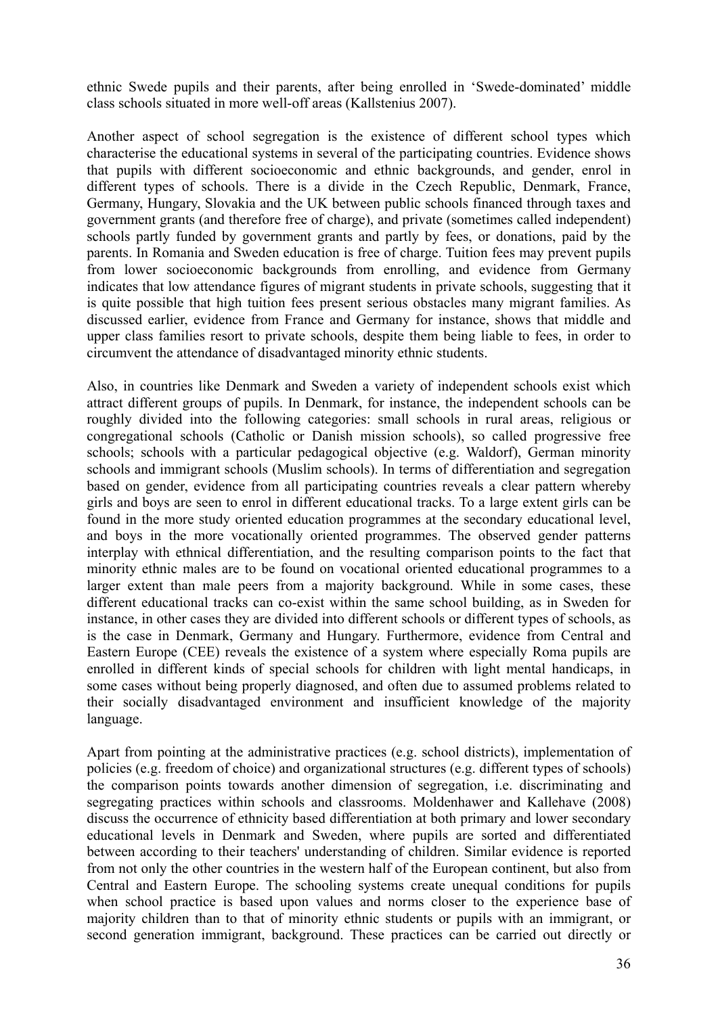ethnic Swede pupils and their parents, after being enrolled in 'Swede-dominated' middle class schools situated in more well-off areas (Kallstenius 2007).

Another aspect of school segregation is the existence of different school types which characterise the educational systems in several of the participating countries. Evidence shows that pupils with different socioeconomic and ethnic backgrounds, and gender, enrol in different types of schools. There is a divide in the Czech Republic, Denmark, France, Germany, Hungary, Slovakia and the UK between public schools financed through taxes and government grants (and therefore free of charge), and private (sometimes called independent) schools partly funded by government grants and partly by fees, or donations, paid by the parents. In Romania and Sweden education is free of charge. Tuition fees may prevent pupils from lower socioeconomic backgrounds from enrolling, and evidence from Germany indicates that low attendance figures of migrant students in private schools, suggesting that it is quite possible that high tuition fees present serious obstacles many migrant families. As discussed earlier, evidence from France and Germany for instance, shows that middle and upper class families resort to private schools, despite them being liable to fees, in order to circumvent the attendance of disadvantaged minority ethnic students.

Also, in countries like Denmark and Sweden a variety of independent schools exist which attract different groups of pupils. In Denmark, for instance, the independent schools can be roughly divided into the following categories: small schools in rural areas, religious or congregational schools (Catholic or Danish mission schools), so called progressive free schools; schools with a particular pedagogical objective (e.g. Waldorf), German minority schools and immigrant schools (Muslim schools). In terms of differentiation and segregation based on gender, evidence from all participating countries reveals a clear pattern whereby girls and boys are seen to enrol in different educational tracks. To a large extent girls can be found in the more study oriented education programmes at the secondary educational level, and boys in the more vocationally oriented programmes. The observed gender patterns interplay with ethnical differentiation, and the resulting comparison points to the fact that minority ethnic males are to be found on vocational oriented educational programmes to a larger extent than male peers from a majority background. While in some cases, these different educational tracks can co-exist within the same school building, as in Sweden for instance, in other cases they are divided into different schools or different types of schools, as is the case in Denmark, Germany and Hungary. Furthermore, evidence from Central and Eastern Europe (CEE) reveals the existence of a system where especially Roma pupils are enrolled in different kinds of special schools for children with light mental handicaps, in some cases without being properly diagnosed, and often due to assumed problems related to their socially disadvantaged environment and insufficient knowledge of the majority language.

Apart from pointing at the administrative practices (e.g. school districts), implementation of policies (e.g. freedom of choice) and organizational structures (e.g. different types of schools) the comparison points towards another dimension of segregation, i.e. discriminating and segregating practices within schools and classrooms. Moldenhawer and Kallehave (2008) discuss the occurrence of ethnicity based differentiation at both primary and lower secondary educational levels in Denmark and Sweden, where pupils are sorted and differentiated between according to their teachers' understanding of children. Similar evidence is reported from not only the other countries in the western half of the European continent, but also from Central and Eastern Europe. The schooling systems create unequal conditions for pupils when school practice is based upon values and norms closer to the experience base of majority children than to that of minority ethnic students or pupils with an immigrant, or second generation immigrant, background. These practices can be carried out directly or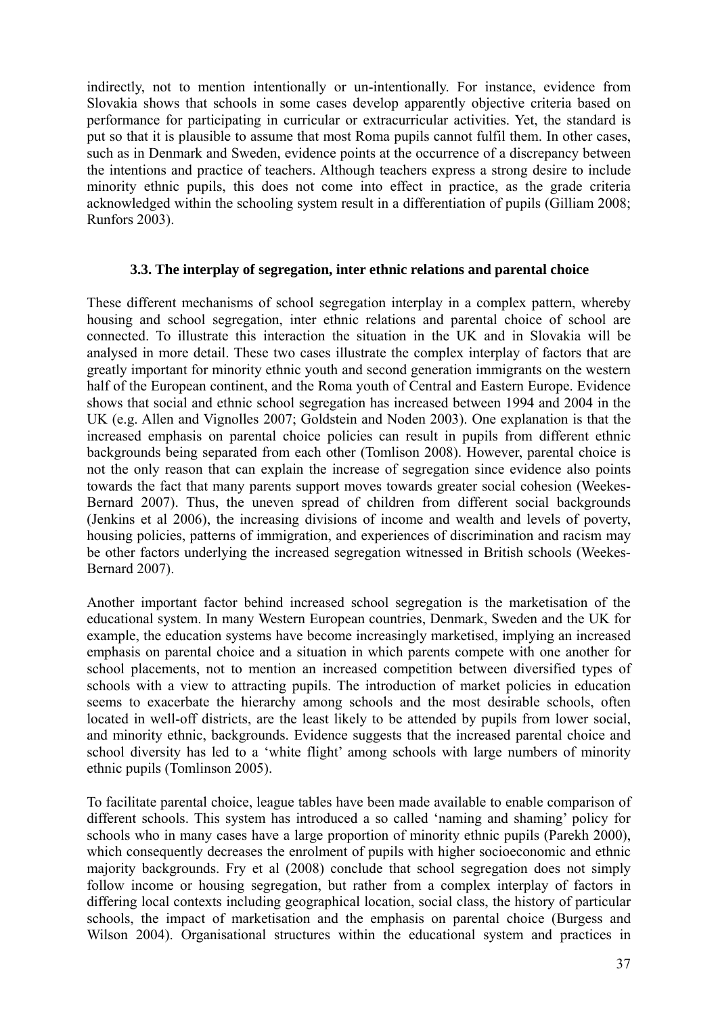indirectly, not to mention intentionally or un-intentionally. For instance, evidence from Slovakia shows that schools in some cases develop apparently objective criteria based on performance for participating in curricular or extracurricular activities. Yet, the standard is put so that it is plausible to assume that most Roma pupils cannot fulfil them. In other cases, such as in Denmark and Sweden, evidence points at the occurrence of a discrepancy between the intentions and practice of teachers. Although teachers express a strong desire to include minority ethnic pupils, this does not come into effect in practice, as the grade criteria acknowledged within the schooling system result in a differentiation of pupils (Gilliam 2008; Runfors 2003).

## **3.3. The interplay of segregation, inter ethnic relations and parental choice**

These different mechanisms of school segregation interplay in a complex pattern, whereby housing and school segregation, inter ethnic relations and parental choice of school are connected. To illustrate this interaction the situation in the UK and in Slovakia will be analysed in more detail. These two cases illustrate the complex interplay of factors that are greatly important for minority ethnic youth and second generation immigrants on the western half of the European continent, and the Roma youth of Central and Eastern Europe. Evidence shows that social and ethnic school segregation has increased between 1994 and 2004 in the UK (e.g. Allen and Vignolles 2007; Goldstein and Noden 2003). One explanation is that the increased emphasis on parental choice policies can result in pupils from different ethnic backgrounds being separated from each other (Tomlison 2008). However, parental choice is not the only reason that can explain the increase of segregation since evidence also points towards the fact that many parents support moves towards greater social cohesion (Weekes-Bernard 2007). Thus, the uneven spread of children from different social backgrounds (Jenkins et al 2006), the increasing divisions of income and wealth and levels of poverty, housing policies, patterns of immigration, and experiences of discrimination and racism may be other factors underlying the increased segregation witnessed in British schools (Weekes-Bernard 2007).

Another important factor behind increased school segregation is the marketisation of the educational system. In many Western European countries, Denmark, Sweden and the UK for example, the education systems have become increasingly marketised, implying an increased emphasis on parental choice and a situation in which parents compete with one another for school placements, not to mention an increased competition between diversified types of schools with a view to attracting pupils. The introduction of market policies in education seems to exacerbate the hierarchy among schools and the most desirable schools, often located in well-off districts, are the least likely to be attended by pupils from lower social, and minority ethnic, backgrounds. Evidence suggests that the increased parental choice and school diversity has led to a 'white flight' among schools with large numbers of minority ethnic pupils (Tomlinson 2005).

To facilitate parental choice, league tables have been made available to enable comparison of different schools. This system has introduced a so called 'naming and shaming' policy for schools who in many cases have a large proportion of minority ethnic pupils (Parekh 2000), which consequently decreases the enrolment of pupils with higher socioeconomic and ethnic majority backgrounds. Fry et al (2008) conclude that school segregation does not simply follow income or housing segregation, but rather from a complex interplay of factors in differing local contexts including geographical location, social class, the history of particular schools, the impact of marketisation and the emphasis on parental choice (Burgess and Wilson 2004). Organisational structures within the educational system and practices in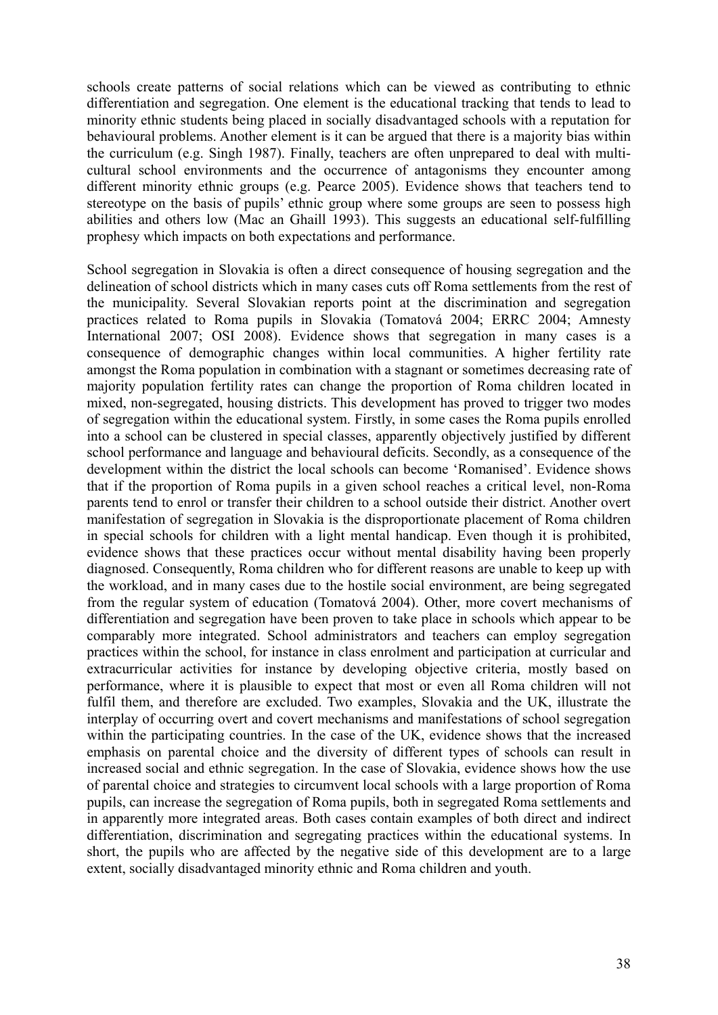schools create patterns of social relations which can be viewed as contributing to ethnic differentiation and segregation. One element is the educational tracking that tends to lead to minority ethnic students being placed in socially disadvantaged schools with a reputation for behavioural problems. Another element is it can be argued that there is a majority bias within the curriculum (e.g. Singh 1987). Finally, teachers are often unprepared to deal with multicultural school environments and the occurrence of antagonisms they encounter among different minority ethnic groups (e.g. Pearce 2005). Evidence shows that teachers tend to stereotype on the basis of pupils' ethnic group where some groups are seen to possess high abilities and others low (Mac an Ghaill 1993). This suggests an educational self-fulfilling prophesy which impacts on both expectations and performance.

School segregation in Slovakia is often a direct consequence of housing segregation and the delineation of school districts which in many cases cuts off Roma settlements from the rest of the municipality. Several Slovakian reports point at the discrimination and segregation practices related to Roma pupils in Slovakia (Tomatová 2004; ERRC 2004; Amnesty International 2007; OSI 2008). Evidence shows that segregation in many cases is a consequence of demographic changes within local communities. A higher fertility rate amongst the Roma population in combination with a stagnant or sometimes decreasing rate of majority population fertility rates can change the proportion of Roma children located in mixed, non-segregated, housing districts. This development has proved to trigger two modes of segregation within the educational system. Firstly, in some cases the Roma pupils enrolled into a school can be clustered in special classes, apparently objectively justified by different school performance and language and behavioural deficits. Secondly, as a consequence of the development within the district the local schools can become 'Romanised'. Evidence shows that if the proportion of Roma pupils in a given school reaches a critical level, non-Roma parents tend to enrol or transfer their children to a school outside their district. Another overt manifestation of segregation in Slovakia is the disproportionate placement of Roma children in special schools for children with a light mental handicap. Even though it is prohibited, evidence shows that these practices occur without mental disability having been properly diagnosed. Consequently, Roma children who for different reasons are unable to keep up with the workload, and in many cases due to the hostile social environment, are being segregated from the regular system of education (Tomatová 2004). Other, more covert mechanisms of differentiation and segregation have been proven to take place in schools which appear to be comparably more integrated. School administrators and teachers can employ segregation practices within the school, for instance in class enrolment and participation at curricular and extracurricular activities for instance by developing objective criteria, mostly based on performance, where it is plausible to expect that most or even all Roma children will not fulfil them, and therefore are excluded. Two examples, Slovakia and the UK, illustrate the interplay of occurring overt and covert mechanisms and manifestations of school segregation within the participating countries. In the case of the UK, evidence shows that the increased emphasis on parental choice and the diversity of different types of schools can result in increased social and ethnic segregation. In the case of Slovakia, evidence shows how the use of parental choice and strategies to circumvent local schools with a large proportion of Roma pupils, can increase the segregation of Roma pupils, both in segregated Roma settlements and in apparently more integrated areas. Both cases contain examples of both direct and indirect differentiation, discrimination and segregating practices within the educational systems. In short, the pupils who are affected by the negative side of this development are to a large extent, socially disadvantaged minority ethnic and Roma children and youth.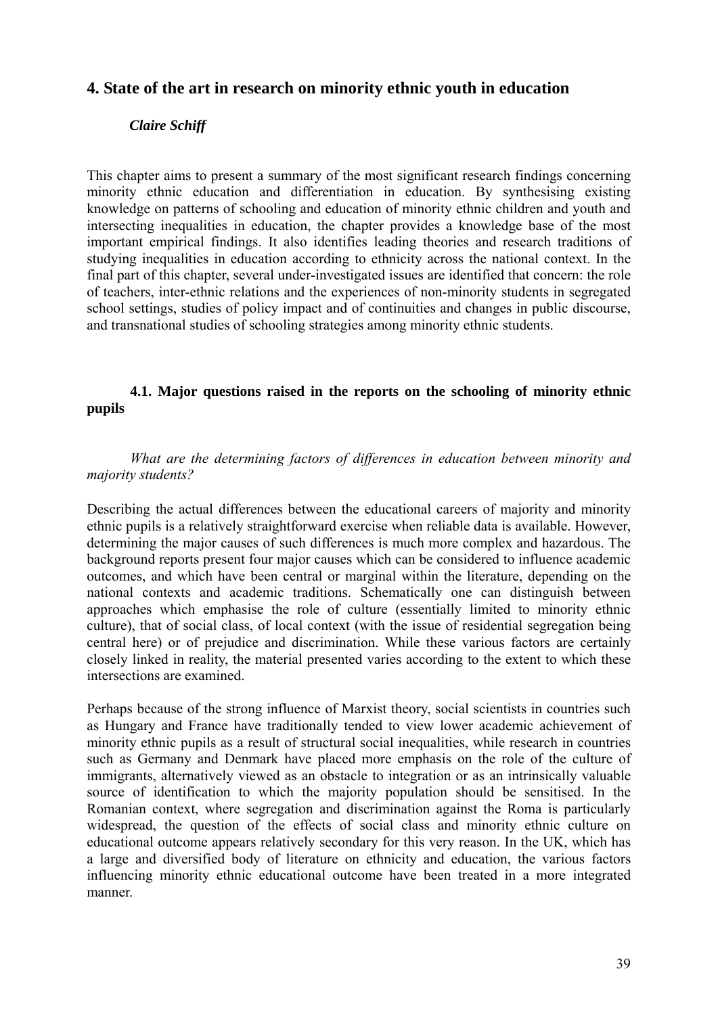## **4. State of the art in research on minority ethnic youth in education**

## *Claire Schiff*

This chapter aims to present a summary of the most significant research findings concerning minority ethnic education and differentiation in education. By synthesising existing knowledge on patterns of schooling and education of minority ethnic children and youth and intersecting inequalities in education, the chapter provides a knowledge base of the most important empirical findings. It also identifies leading theories and research traditions of studying inequalities in education according to ethnicity across the national context. In the final part of this chapter, several under-investigated issues are identified that concern: the role of teachers, inter-ethnic relations and the experiences of non-minority students in segregated school settings, studies of policy impact and of continuities and changes in public discourse, and transnational studies of schooling strategies among minority ethnic students.

## **4.1. Major questions raised in the reports on the schooling of minority ethnic pupils**

*What are the determining factors of differences in education between minority and majority students?* 

Describing the actual differences between the educational careers of majority and minority ethnic pupils is a relatively straightforward exercise when reliable data is available. However, determining the major causes of such differences is much more complex and hazardous. The background reports present four major causes which can be considered to influence academic outcomes, and which have been central or marginal within the literature, depending on the national contexts and academic traditions. Schematically one can distinguish between approaches which emphasise the role of culture (essentially limited to minority ethnic culture), that of social class, of local context (with the issue of residential segregation being central here) or of prejudice and discrimination. While these various factors are certainly closely linked in reality, the material presented varies according to the extent to which these intersections are examined.

Perhaps because of the strong influence of Marxist theory, social scientists in countries such as Hungary and France have traditionally tended to view lower academic achievement of minority ethnic pupils as a result of structural social inequalities, while research in countries such as Germany and Denmark have placed more emphasis on the role of the culture of immigrants, alternatively viewed as an obstacle to integration or as an intrinsically valuable source of identification to which the majority population should be sensitised. In the Romanian context, where segregation and discrimination against the Roma is particularly widespread, the question of the effects of social class and minority ethnic culture on educational outcome appears relatively secondary for this very reason. In the UK, which has a large and diversified body of literature on ethnicity and education, the various factors influencing minority ethnic educational outcome have been treated in a more integrated manner.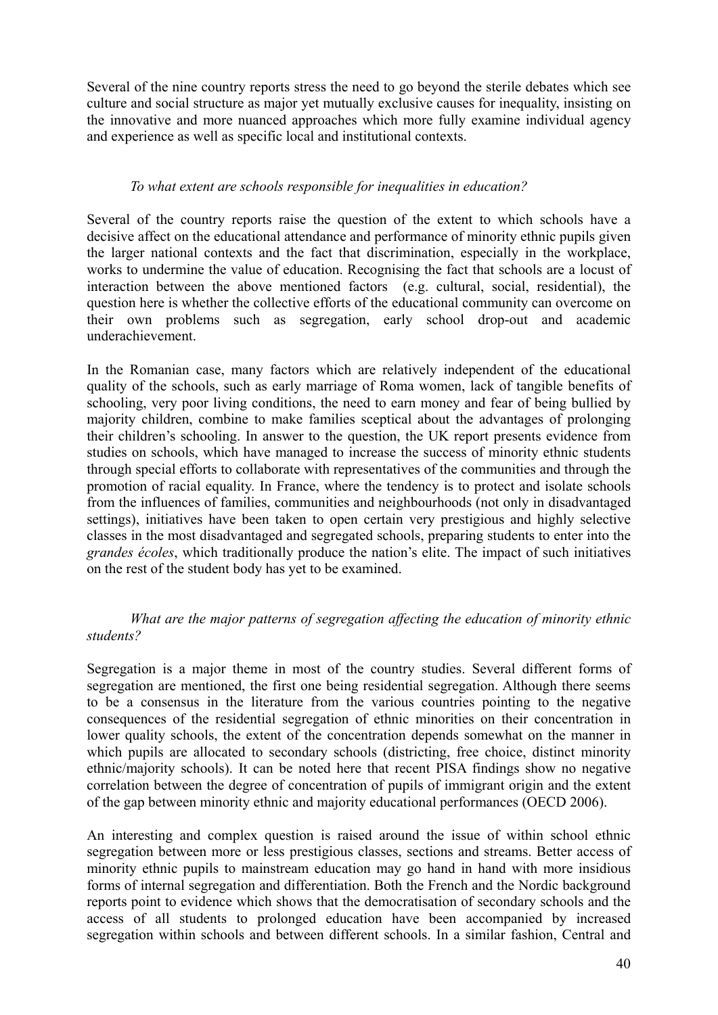Several of the nine country reports stress the need to go beyond the sterile debates which see culture and social structure as major yet mutually exclusive causes for inequality, insisting on the innovative and more nuanced approaches which more fully examine individual agency and experience as well as specific local and institutional contexts.

## *To what extent are schools responsible for inequalities in education?*

Several of the country reports raise the question of the extent to which schools have a decisive affect on the educational attendance and performance of minority ethnic pupils given the larger national contexts and the fact that discrimination, especially in the workplace, works to undermine the value of education. Recognising the fact that schools are a locust of interaction between the above mentioned factors (e.g. cultural, social, residential), the question here is whether the collective efforts of the educational community can overcome on their own problems such as segregation, early school drop-out and academic underachievement.

In the Romanian case, many factors which are relatively independent of the educational quality of the schools, such as early marriage of Roma women, lack of tangible benefits of schooling, very poor living conditions, the need to earn money and fear of being bullied by majority children, combine to make families sceptical about the advantages of prolonging their children's schooling. In answer to the question, the UK report presents evidence from studies on schools, which have managed to increase the success of minority ethnic students through special efforts to collaborate with representatives of the communities and through the promotion of racial equality. In France, where the tendency is to protect and isolate schools from the influences of families, communities and neighbourhoods (not only in disadvantaged settings), initiatives have been taken to open certain very prestigious and highly selective classes in the most disadvantaged and segregated schools, preparing students to enter into the *grandes écoles*, which traditionally produce the nation's elite. The impact of such initiatives on the rest of the student body has yet to be examined.

## *What are the major patterns of segregation affecting the education of minority ethnic students?*

Segregation is a major theme in most of the country studies. Several different forms of segregation are mentioned, the first one being residential segregation. Although there seems to be a consensus in the literature from the various countries pointing to the negative consequences of the residential segregation of ethnic minorities on their concentration in lower quality schools, the extent of the concentration depends somewhat on the manner in which pupils are allocated to secondary schools (districting, free choice, distinct minority ethnic/majority schools). It can be noted here that recent PISA findings show no negative correlation between the degree of concentration of pupils of immigrant origin and the extent of the gap between minority ethnic and majority educational performances (OECD 2006).

An interesting and complex question is raised around the issue of within school ethnic segregation between more or less prestigious classes, sections and streams. Better access of minority ethnic pupils to mainstream education may go hand in hand with more insidious forms of internal segregation and differentiation. Both the French and the Nordic background reports point to evidence which shows that the democratisation of secondary schools and the access of all students to prolonged education have been accompanied by increased segregation within schools and between different schools. In a similar fashion, Central and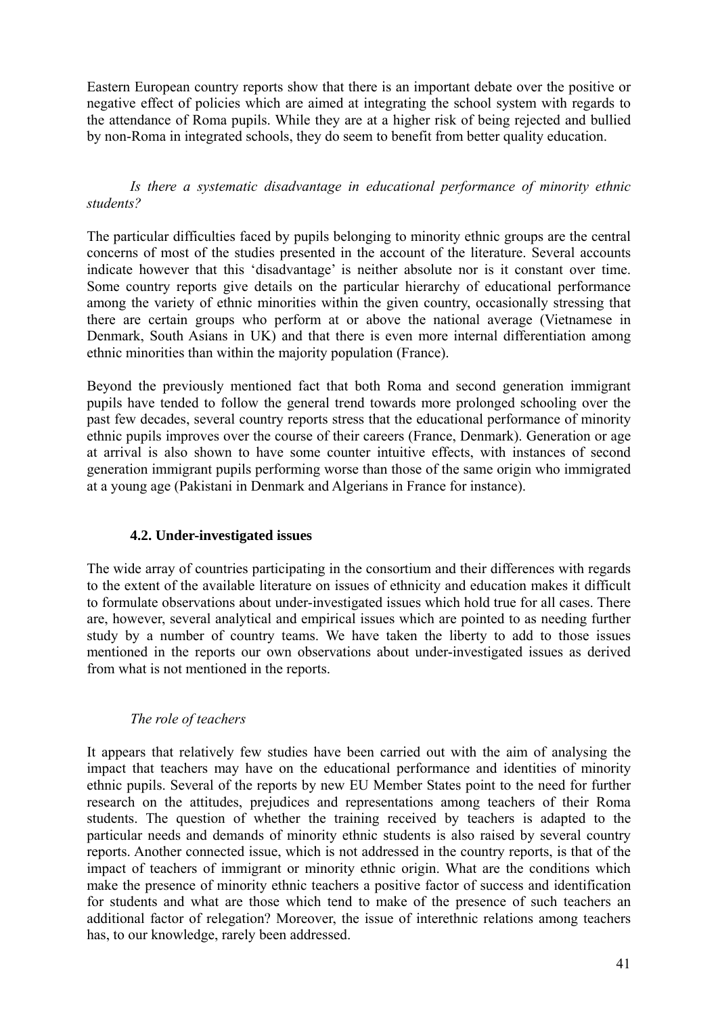Eastern European country reports show that there is an important debate over the positive or negative effect of policies which are aimed at integrating the school system with regards to the attendance of Roma pupils. While they are at a higher risk of being rejected and bullied by non-Roma in integrated schools, they do seem to benefit from better quality education.

## *Is there a systematic disadvantage in educational performance of minority ethnic students?*

The particular difficulties faced by pupils belonging to minority ethnic groups are the central concerns of most of the studies presented in the account of the literature. Several accounts indicate however that this 'disadvantage' is neither absolute nor is it constant over time. Some country reports give details on the particular hierarchy of educational performance among the variety of ethnic minorities within the given country, occasionally stressing that there are certain groups who perform at or above the national average (Vietnamese in Denmark, South Asians in UK) and that there is even more internal differentiation among ethnic minorities than within the majority population (France).

Beyond the previously mentioned fact that both Roma and second generation immigrant pupils have tended to follow the general trend towards more prolonged schooling over the past few decades, several country reports stress that the educational performance of minority ethnic pupils improves over the course of their careers (France, Denmark). Generation or age at arrival is also shown to have some counter intuitive effects, with instances of second generation immigrant pupils performing worse than those of the same origin who immigrated at a young age (Pakistani in Denmark and Algerians in France for instance).

## **4.2. Under-investigated issues**

The wide array of countries participating in the consortium and their differences with regards to the extent of the available literature on issues of ethnicity and education makes it difficult to formulate observations about under-investigated issues which hold true for all cases. There are, however, several analytical and empirical issues which are pointed to as needing further study by a number of country teams. We have taken the liberty to add to those issues mentioned in the reports our own observations about under-investigated issues as derived from what is not mentioned in the reports.

## *The role of teachers*

It appears that relatively few studies have been carried out with the aim of analysing the impact that teachers may have on the educational performance and identities of minority ethnic pupils. Several of the reports by new EU Member States point to the need for further research on the attitudes, prejudices and representations among teachers of their Roma students. The question of whether the training received by teachers is adapted to the particular needs and demands of minority ethnic students is also raised by several country reports. Another connected issue, which is not addressed in the country reports, is that of the impact of teachers of immigrant or minority ethnic origin. What are the conditions which make the presence of minority ethnic teachers a positive factor of success and identification for students and what are those which tend to make of the presence of such teachers an additional factor of relegation? Moreover, the issue of interethnic relations among teachers has, to our knowledge, rarely been addressed.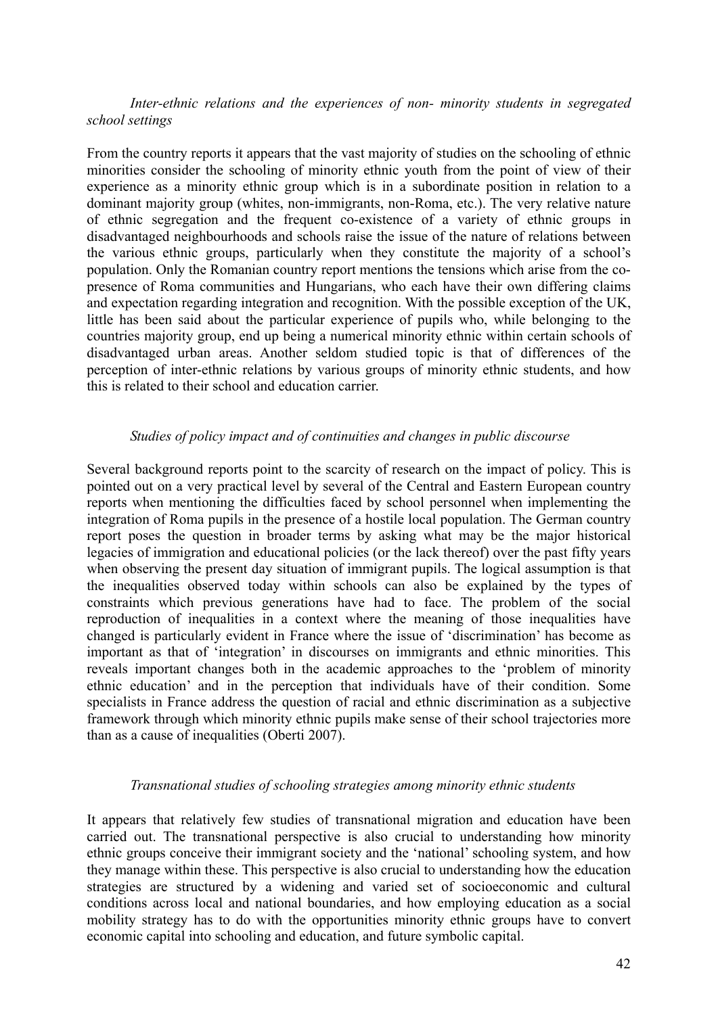*Inter-ethnic relations and the experiences of non- minority students in segregated school settings* 

From the country reports it appears that the vast majority of studies on the schooling of ethnic minorities consider the schooling of minority ethnic youth from the point of view of their experience as a minority ethnic group which is in a subordinate position in relation to a dominant majority group (whites, non-immigrants, non-Roma, etc.). The very relative nature of ethnic segregation and the frequent co-existence of a variety of ethnic groups in disadvantaged neighbourhoods and schools raise the issue of the nature of relations between the various ethnic groups, particularly when they constitute the majority of a school's population. Only the Romanian country report mentions the tensions which arise from the copresence of Roma communities and Hungarians, who each have their own differing claims and expectation regarding integration and recognition. With the possible exception of the UK, little has been said about the particular experience of pupils who, while belonging to the countries majority group, end up being a numerical minority ethnic within certain schools of disadvantaged urban areas. Another seldom studied topic is that of differences of the perception of inter-ethnic relations by various groups of minority ethnic students, and how this is related to their school and education carrier.

#### *Studies of policy impact and of continuities and changes in public discourse*

Several background reports point to the scarcity of research on the impact of policy. This is pointed out on a very practical level by several of the Central and Eastern European country reports when mentioning the difficulties faced by school personnel when implementing the integration of Roma pupils in the presence of a hostile local population. The German country report poses the question in broader terms by asking what may be the major historical legacies of immigration and educational policies (or the lack thereof) over the past fifty years when observing the present day situation of immigrant pupils. The logical assumption is that the inequalities observed today within schools can also be explained by the types of constraints which previous generations have had to face. The problem of the social reproduction of inequalities in a context where the meaning of those inequalities have changed is particularly evident in France where the issue of 'discrimination' has become as important as that of 'integration' in discourses on immigrants and ethnic minorities. This reveals important changes both in the academic approaches to the 'problem of minority ethnic education' and in the perception that individuals have of their condition. Some specialists in France address the question of racial and ethnic discrimination as a subjective framework through which minority ethnic pupils make sense of their school trajectories more than as a cause of inequalities (Oberti 2007).

#### *Transnational studies of schooling strategies among minority ethnic students*

It appears that relatively few studies of transnational migration and education have been carried out. The transnational perspective is also crucial to understanding how minority ethnic groups conceive their immigrant society and the 'national' schooling system, and how they manage within these. This perspective is also crucial to understanding how the education strategies are structured by a widening and varied set of socioeconomic and cultural conditions across local and national boundaries, and how employing education as a social mobility strategy has to do with the opportunities minority ethnic groups have to convert economic capital into schooling and education, and future symbolic capital.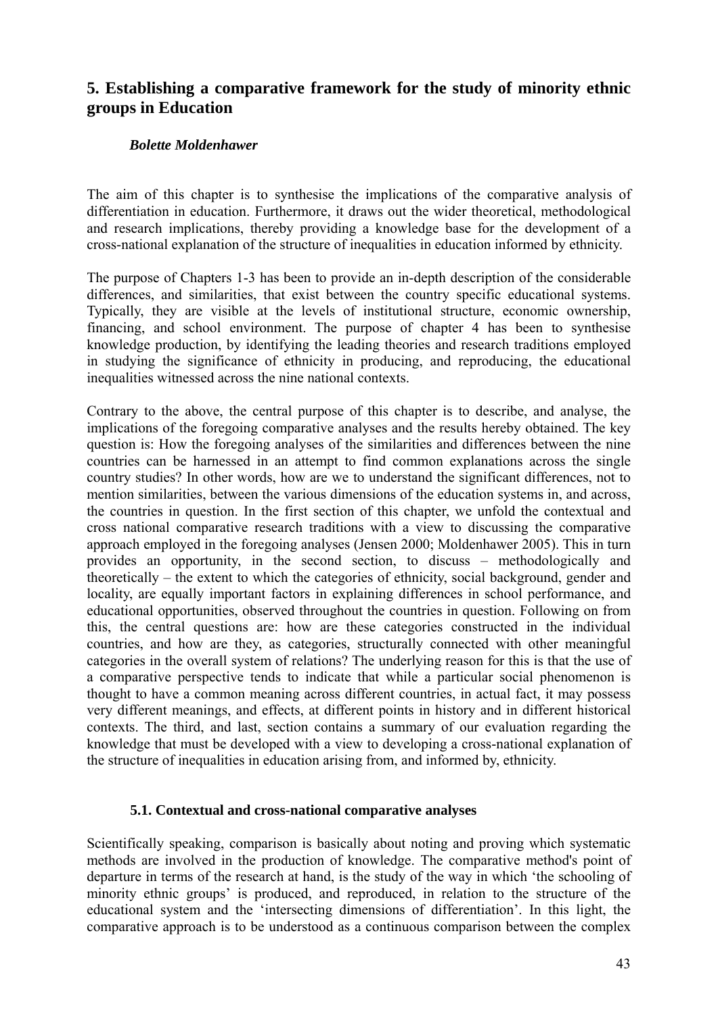# **5. Establishing a comparative framework for the study of minority ethnic groups in Education**

## *Bolette Moldenhawer*

The aim of this chapter is to synthesise the implications of the comparative analysis of differentiation in education. Furthermore, it draws out the wider theoretical, methodological and research implications, thereby providing a knowledge base for the development of a cross-national explanation of the structure of inequalities in education informed by ethnicity.

The purpose of Chapters 1-3 has been to provide an in-depth description of the considerable differences, and similarities, that exist between the country specific educational systems. Typically, they are visible at the levels of institutional structure, economic ownership, financing, and school environment. The purpose of chapter 4 has been to synthesise knowledge production, by identifying the leading theories and research traditions employed in studying the significance of ethnicity in producing, and reproducing, the educational inequalities witnessed across the nine national contexts.

Contrary to the above, the central purpose of this chapter is to describe, and analyse, the implications of the foregoing comparative analyses and the results hereby obtained. The key question is: How the foregoing analyses of the similarities and differences between the nine countries can be harnessed in an attempt to find common explanations across the single country studies? In other words, how are we to understand the significant differences, not to mention similarities, between the various dimensions of the education systems in, and across, the countries in question. In the first section of this chapter, we unfold the contextual and cross national comparative research traditions with a view to discussing the comparative approach employed in the foregoing analyses (Jensen 2000; Moldenhawer 2005). This in turn provides an opportunity, in the second section, to discuss – methodologically and theoretically – the extent to which the categories of ethnicity, social background, gender and locality, are equally important factors in explaining differences in school performance, and educational opportunities, observed throughout the countries in question. Following on from this, the central questions are: how are these categories constructed in the individual countries, and how are they, as categories, structurally connected with other meaningful categories in the overall system of relations? The underlying reason for this is that the use of a comparative perspective tends to indicate that while a particular social phenomenon is thought to have a common meaning across different countries, in actual fact, it may possess very different meanings, and effects, at different points in history and in different historical contexts. The third, and last, section contains a summary of our evaluation regarding the knowledge that must be developed with a view to developing a cross-national explanation of the structure of inequalities in education arising from, and informed by, ethnicity.

## **5.1. Contextual and cross-national comparative analyses**

Scientifically speaking, comparison is basically about noting and proving which systematic methods are involved in the production of knowledge. The comparative method's point of departure in terms of the research at hand, is the study of the way in which 'the schooling of minority ethnic groups' is produced, and reproduced, in relation to the structure of the educational system and the 'intersecting dimensions of differentiation'. In this light, the comparative approach is to be understood as a continuous comparison between the complex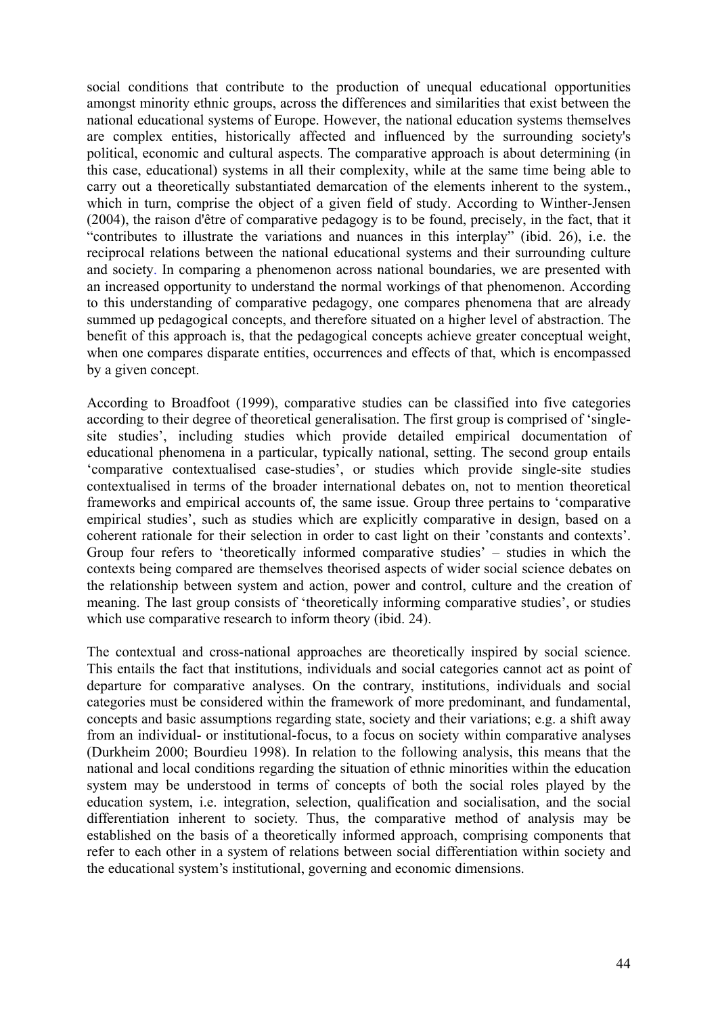social conditions that contribute to the production of unequal educational opportunities amongst minority ethnic groups, across the differences and similarities that exist between the national educational systems of Europe. However, the national education systems themselves are complex entities, historically affected and influenced by the surrounding society's political, economic and cultural aspects. The comparative approach is about determining (in this case, educational) systems in all their complexity, while at the same time being able to carry out a theoretically substantiated demarcation of the elements inherent to the system., which in turn, comprise the object of a given field of study. According to Winther-Jensen (2004), the raison d'être of comparative pedagogy is to be found, precisely, in the fact, that it "contributes to illustrate the variations and nuances in this interplay" (ibid. 26), i.e. the reciprocal relations between the national educational systems and their surrounding culture and society. In comparing a phenomenon across national boundaries, we are presented with an increased opportunity to understand the normal workings of that phenomenon. According to this understanding of comparative pedagogy, one compares phenomena that are already summed up pedagogical concepts, and therefore situated on a higher level of abstraction. The benefit of this approach is, that the pedagogical concepts achieve greater conceptual weight, when one compares disparate entities, occurrences and effects of that, which is encompassed by a given concept.

According to Broadfoot (1999), comparative studies can be classified into five categories according to their degree of theoretical generalisation. The first group is comprised of 'singlesite studies', including studies which provide detailed empirical documentation of educational phenomena in a particular, typically national, setting. The second group entails 'comparative contextualised case-studies', or studies which provide single-site studies contextualised in terms of the broader international debates on, not to mention theoretical frameworks and empirical accounts of, the same issue. Group three pertains to 'comparative empirical studies', such as studies which are explicitly comparative in design, based on a coherent rationale for their selection in order to cast light on their 'constants and contexts'. Group four refers to 'theoretically informed comparative studies' – studies in which the contexts being compared are themselves theorised aspects of wider social science debates on the relationship between system and action, power and control, culture and the creation of meaning. The last group consists of 'theoretically informing comparative studies', or studies which use comparative research to inform theory (ibid. 24).

The contextual and cross-national approaches are theoretically inspired by social science. This entails the fact that institutions, individuals and social categories cannot act as point of departure for comparative analyses. On the contrary, institutions, individuals and social categories must be considered within the framework of more predominant, and fundamental, concepts and basic assumptions regarding state, society and their variations; e.g. a shift away from an individual- or institutional-focus, to a focus on society within comparative analyses (Durkheim 2000; Bourdieu 1998). In relation to the following analysis, this means that the national and local conditions regarding the situation of ethnic minorities within the education system may be understood in terms of concepts of both the social roles played by the education system, i.e. integration, selection, qualification and socialisation, and the social differentiation inherent to society. Thus, the comparative method of analysis may be established on the basis of a theoretically informed approach, comprising components that refer to each other in a system of relations between social differentiation within society and the educational system's institutional, governing and economic dimensions.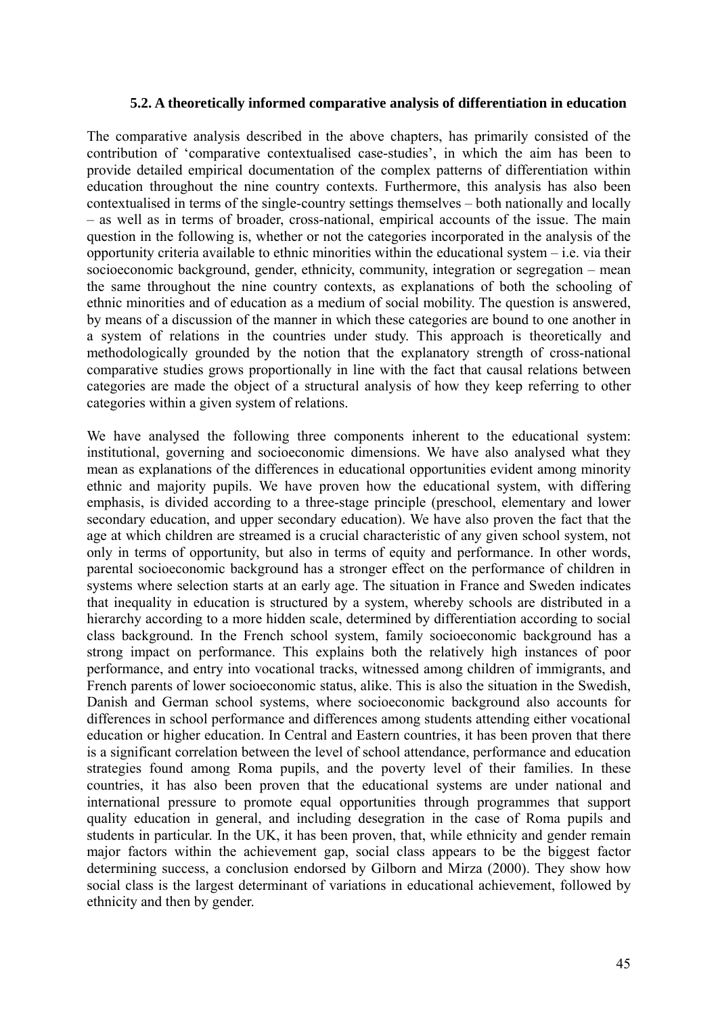#### **5.2. A theoretically informed comparative analysis of differentiation in education**

The comparative analysis described in the above chapters, has primarily consisted of the contribution of 'comparative contextualised case-studies', in which the aim has been to provide detailed empirical documentation of the complex patterns of differentiation within education throughout the nine country contexts. Furthermore, this analysis has also been contextualised in terms of the single-country settings themselves – both nationally and locally – as well as in terms of broader, cross-national, empirical accounts of the issue. The main question in the following is, whether or not the categories incorporated in the analysis of the opportunity criteria available to ethnic minorities within the educational system  $-$  i.e. via their socioeconomic background, gender, ethnicity, community, integration or segregation – mean the same throughout the nine country contexts, as explanations of both the schooling of ethnic minorities and of education as a medium of social mobility. The question is answered, by means of a discussion of the manner in which these categories are bound to one another in a system of relations in the countries under study. This approach is theoretically and methodologically grounded by the notion that the explanatory strength of cross-national comparative studies grows proportionally in line with the fact that causal relations between categories are made the object of a structural analysis of how they keep referring to other categories within a given system of relations.

We have analysed the following three components inherent to the educational system: institutional, governing and socioeconomic dimensions. We have also analysed what they mean as explanations of the differences in educational opportunities evident among minority ethnic and majority pupils. We have proven how the educational system, with differing emphasis, is divided according to a three-stage principle (preschool, elementary and lower secondary education, and upper secondary education). We have also proven the fact that the age at which children are streamed is a crucial characteristic of any given school system, not only in terms of opportunity, but also in terms of equity and performance. In other words, parental socioeconomic background has a stronger effect on the performance of children in systems where selection starts at an early age. The situation in France and Sweden indicates that inequality in education is structured by a system, whereby schools are distributed in a hierarchy according to a more hidden scale, determined by differentiation according to social class background. In the French school system, family socioeconomic background has a strong impact on performance. This explains both the relatively high instances of poor performance, and entry into vocational tracks, witnessed among children of immigrants, and French parents of lower socioeconomic status, alike. This is also the situation in the Swedish, Danish and German school systems, where socioeconomic background also accounts for differences in school performance and differences among students attending either vocational education or higher education. In Central and Eastern countries, it has been proven that there is a significant correlation between the level of school attendance, performance and education strategies found among Roma pupils, and the poverty level of their families. In these countries, it has also been proven that the educational systems are under national and international pressure to promote equal opportunities through programmes that support quality education in general, and including desegration in the case of Roma pupils and students in particular. In the UK, it has been proven, that, while ethnicity and gender remain major factors within the achievement gap, social class appears to be the biggest factor determining success, a conclusion endorsed by Gilborn and Mirza (2000). They show how social class is the largest determinant of variations in educational achievement, followed by ethnicity and then by gender.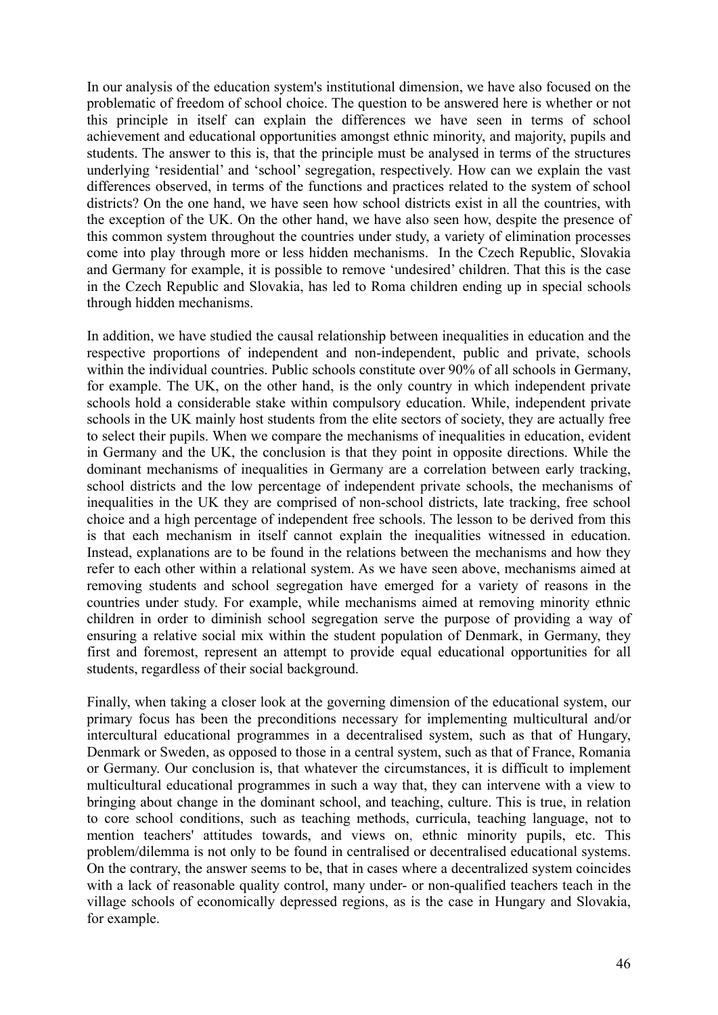In our analysis of the education system's institutional dimension, we have also focused on the problematic of freedom of school choice. The question to be answered here is whether or not this principle in itself can explain the differences we have seen in terms of school achievement and educational opportunities amongst ethnic minority, and majority, pupils and students. The answer to this is, that the principle must be analysed in terms of the structures underlying 'residential' and 'school' segregation, respectively. How can we explain the vast differences observed, in terms of the functions and practices related to the system of school districts? On the one hand, we have seen how school districts exist in all the countries, with the exception of the UK. On the other hand, we have also seen how, despite the presence of this common system throughout the countries under study, a variety of elimination processes come into play through more or less hidden mechanisms. In the Czech Republic, Slovakia and Germany for example, it is possible to remove 'undesired' children. That this is the case in the Czech Republic and Slovakia, has led to Roma children ending up in special schools through hidden mechanisms.

In addition, we have studied the causal relationship between inequalities in education and the respective proportions of independent and non-independent, public and private, schools within the individual countries. Public schools constitute over 90% of all schools in Germany, for example. The UK, on the other hand, is the only country in which independent private schools hold a considerable stake within compulsory education. While, independent private schools in the UK mainly host students from the elite sectors of society, they are actually free to select their pupils. When we compare the mechanisms of inequalities in education, evident in Germany and the UK, the conclusion is that they point in opposite directions. While the dominant mechanisms of inequalities in Germany are a correlation between early tracking, school districts and the low percentage of independent private schools, the mechanisms of inequalities in the UK they are comprised of non-school districts, late tracking, free school choice and a high percentage of independent free schools. The lesson to be derived from this is that each mechanism in itself cannot explain the inequalities witnessed in education. Instead, explanations are to be found in the relations between the mechanisms and how they refer to each other within a relational system. As we have seen above, mechanisms aimed at removing students and school segregation have emerged for a variety of reasons in the countries under study. For example, while mechanisms aimed at removing minority ethnic children in order to diminish school segregation serve the purpose of providing a way of ensuring a relative social mix within the student population of Denmark, in Germany, they first and foremost, represent an attempt to provide equal educational opportunities for all students, regardless of their social background.

Finally, when taking a closer look at the governing dimension of the educational system, our primary focus has been the preconditions necessary for implementing multicultural and/or intercultural educational programmes in a decentralised system, such as that of Hungary, Denmark or Sweden, as opposed to those in a central system, such as that of France, Romania or Germany. Our conclusion is, that whatever the circumstances, it is difficult to implement multicultural educational programmes in such a way that, they can intervene with a view to bringing about change in the dominant school, and teaching, culture. This is true, in relation to core school conditions, such as teaching methods, curricula, teaching language, not to mention teachers' attitudes towards, and views on, ethnic minority pupils, etc. This problem/dilemma is not only to be found in centralised or decentralised educational systems. On the contrary, the answer seems to be, that in cases where a decentralized system coincides with a lack of reasonable quality control, many under- or non-qualified teachers teach in the village schools of economically depressed regions, as is the case in Hungary and Slovakia, for example.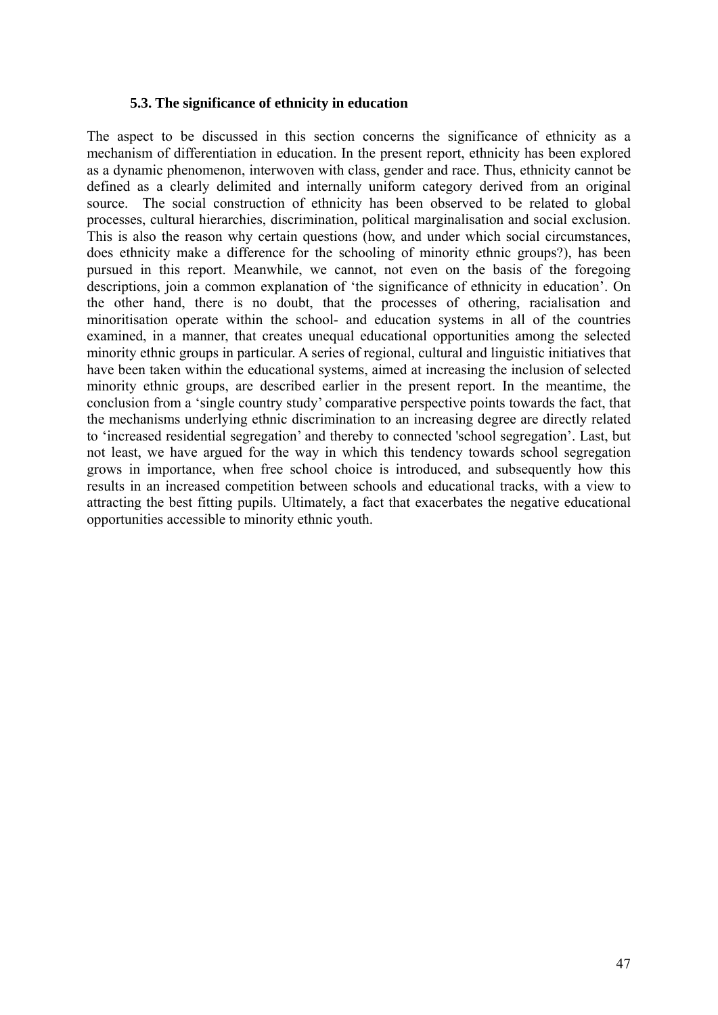## **5.3. The significance of ethnicity in education**

The aspect to be discussed in this section concerns the significance of ethnicity as a mechanism of differentiation in education. In the present report, ethnicity has been explored as a dynamic phenomenon, interwoven with class, gender and race. Thus, ethnicity cannot be defined as a clearly delimited and internally uniform category derived from an original source. The social construction of ethnicity has been observed to be related to global processes, cultural hierarchies, discrimination, political marginalisation and social exclusion. This is also the reason why certain questions (how, and under which social circumstances, does ethnicity make a difference for the schooling of minority ethnic groups?), has been pursued in this report. Meanwhile, we cannot, not even on the basis of the foregoing descriptions, join a common explanation of 'the significance of ethnicity in education'. On the other hand, there is no doubt, that the processes of othering, racialisation and minoritisation operate within the school- and education systems in all of the countries examined, in a manner, that creates unequal educational opportunities among the selected minority ethnic groups in particular. A series of regional, cultural and linguistic initiatives that have been taken within the educational systems, aimed at increasing the inclusion of selected minority ethnic groups, are described earlier in the present report. In the meantime, the conclusion from a 'single country study' comparative perspective points towards the fact, that the mechanisms underlying ethnic discrimination to an increasing degree are directly related to 'increased residential segregation' and thereby to connected 'school segregation'. Last, but not least, we have argued for the way in which this tendency towards school segregation grows in importance, when free school choice is introduced, and subsequently how this results in an increased competition between schools and educational tracks, with a view to attracting the best fitting pupils. Ultimately, a fact that exacerbates the negative educational opportunities accessible to minority ethnic youth.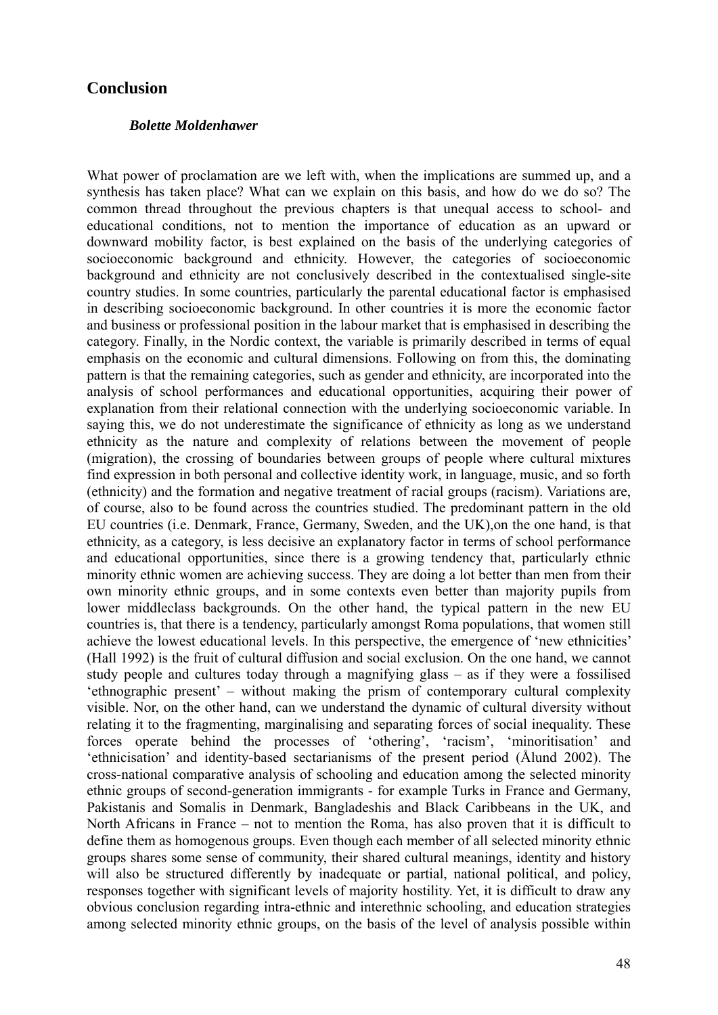## **Conclusion**

#### *Bolette Moldenhawer*

What power of proclamation are we left with, when the implications are summed up, and a synthesis has taken place? What can we explain on this basis, and how do we do so? The common thread throughout the previous chapters is that unequal access to school- and educational conditions, not to mention the importance of education as an upward or downward mobility factor, is best explained on the basis of the underlying categories of socioeconomic background and ethnicity. However, the categories of socioeconomic background and ethnicity are not conclusively described in the contextualised single-site country studies. In some countries, particularly the parental educational factor is emphasised in describing socioeconomic background. In other countries it is more the economic factor and business or professional position in the labour market that is emphasised in describing the category. Finally, in the Nordic context, the variable is primarily described in terms of equal emphasis on the economic and cultural dimensions. Following on from this, the dominating pattern is that the remaining categories, such as gender and ethnicity, are incorporated into the analysis of school performances and educational opportunities, acquiring their power of explanation from their relational connection with the underlying socioeconomic variable. In saying this, we do not underestimate the significance of ethnicity as long as we understand ethnicity as the nature and complexity of relations between the movement of people (migration), the crossing of boundaries between groups of people where cultural mixtures find expression in both personal and collective identity work, in language, music, and so forth (ethnicity) and the formation and negative treatment of racial groups (racism). Variations are, of course, also to be found across the countries studied. The predominant pattern in the old EU countries (i.e. Denmark, France, Germany, Sweden, and the UK),on the one hand, is that ethnicity, as a category, is less decisive an explanatory factor in terms of school performance and educational opportunities, since there is a growing tendency that, particularly ethnic minority ethnic women are achieving success. They are doing a lot better than men from their own minority ethnic groups, and in some contexts even better than majority pupils from lower middleclass backgrounds. On the other hand, the typical pattern in the new EU countries is, that there is a tendency, particularly amongst Roma populations, that women still achieve the lowest educational levels. In this perspective, the emergence of 'new ethnicities' (Hall 1992) is the fruit of cultural diffusion and social exclusion. On the one hand, we cannot study people and cultures today through a magnifying glass – as if they were a fossilised 'ethnographic present' – without making the prism of contemporary cultural complexity visible. Nor, on the other hand, can we understand the dynamic of cultural diversity without relating it to the fragmenting, marginalising and separating forces of social inequality. These forces operate behind the processes of 'othering', 'racism', 'minoritisation' and 'ethnicisation' and identity-based sectarianisms of the present period (Ålund 2002). The cross-national comparative analysis of schooling and education among the selected minority ethnic groups of second-generation immigrants - for example Turks in France and Germany, Pakistanis and Somalis in Denmark, Bangladeshis and Black Caribbeans in the UK, and North Africans in France – not to mention the Roma, has also proven that it is difficult to define them as homogenous groups. Even though each member of all selected minority ethnic groups shares some sense of community, their shared cultural meanings, identity and history will also be structured differently by inadequate or partial, national political, and policy, responses together with significant levels of majority hostility. Yet, it is difficult to draw any obvious conclusion regarding intra-ethnic and interethnic schooling, and education strategies among selected minority ethnic groups, on the basis of the level of analysis possible within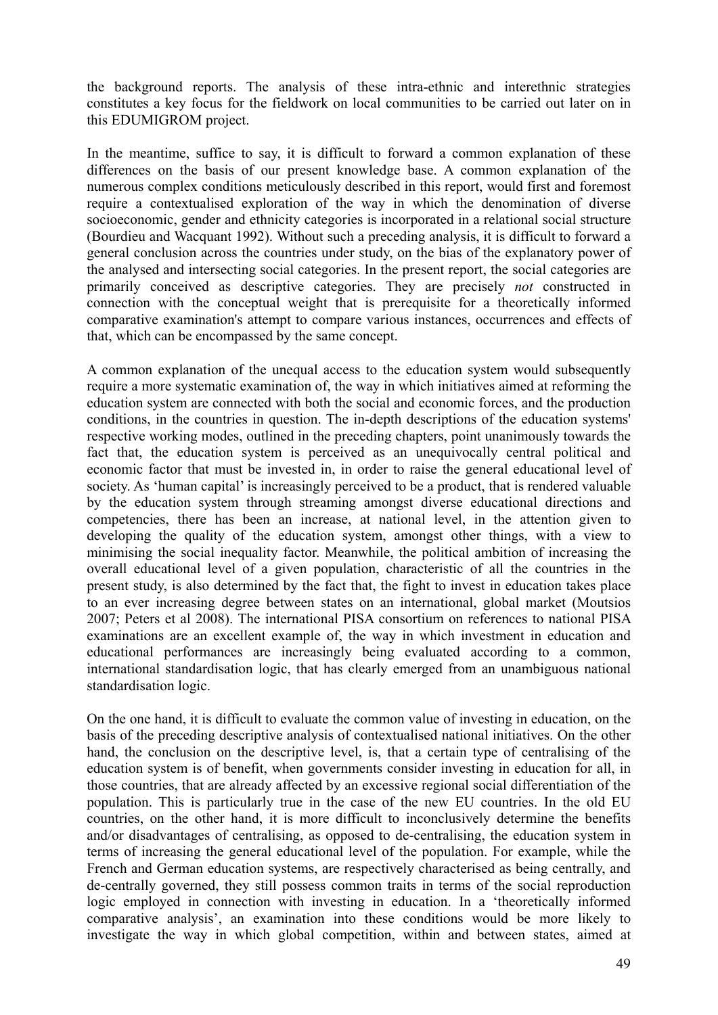the background reports. The analysis of these intra-ethnic and interethnic strategies constitutes a key focus for the fieldwork on local communities to be carried out later on in this EDUMIGROM project.

In the meantime, suffice to say, it is difficult to forward a common explanation of these differences on the basis of our present knowledge base. A common explanation of the numerous complex conditions meticulously described in this report, would first and foremost require a contextualised exploration of the way in which the denomination of diverse socioeconomic, gender and ethnicity categories is incorporated in a relational social structure (Bourdieu and Wacquant 1992). Without such a preceding analysis, it is difficult to forward a general conclusion across the countries under study, on the bias of the explanatory power of the analysed and intersecting social categories. In the present report, the social categories are primarily conceived as descriptive categories. They are precisely *not* constructed in connection with the conceptual weight that is prerequisite for a theoretically informed comparative examination's attempt to compare various instances, occurrences and effects of that, which can be encompassed by the same concept.

A common explanation of the unequal access to the education system would subsequently require a more systematic examination of, the way in which initiatives aimed at reforming the education system are connected with both the social and economic forces, and the production conditions, in the countries in question. The in-depth descriptions of the education systems' respective working modes, outlined in the preceding chapters, point unanimously towards the fact that, the education system is perceived as an unequivocally central political and economic factor that must be invested in, in order to raise the general educational level of society. As 'human capital' is increasingly perceived to be a product, that is rendered valuable by the education system through streaming amongst diverse educational directions and competencies, there has been an increase, at national level, in the attention given to developing the quality of the education system, amongst other things, with a view to minimising the social inequality factor. Meanwhile, the political ambition of increasing the overall educational level of a given population, characteristic of all the countries in the present study, is also determined by the fact that, the fight to invest in education takes place to an ever increasing degree between states on an international, global market (Moutsios 2007; Peters et al 2008). The international PISA consortium on references to national PISA examinations are an excellent example of, the way in which investment in education and educational performances are increasingly being evaluated according to a common, international standardisation logic, that has clearly emerged from an unambiguous national standardisation logic.

On the one hand, it is difficult to evaluate the common value of investing in education, on the basis of the preceding descriptive analysis of contextualised national initiatives. On the other hand, the conclusion on the descriptive level, is, that a certain type of centralising of the education system is of benefit, when governments consider investing in education for all, in those countries, that are already affected by an excessive regional social differentiation of the population. This is particularly true in the case of the new EU countries. In the old EU countries, on the other hand, it is more difficult to inconclusively determine the benefits and/or disadvantages of centralising, as opposed to de-centralising, the education system in terms of increasing the general educational level of the population. For example, while the French and German education systems, are respectively characterised as being centrally, and de-centrally governed, they still possess common traits in terms of the social reproduction logic employed in connection with investing in education. In a 'theoretically informed comparative analysis', an examination into these conditions would be more likely to investigate the way in which global competition, within and between states, aimed at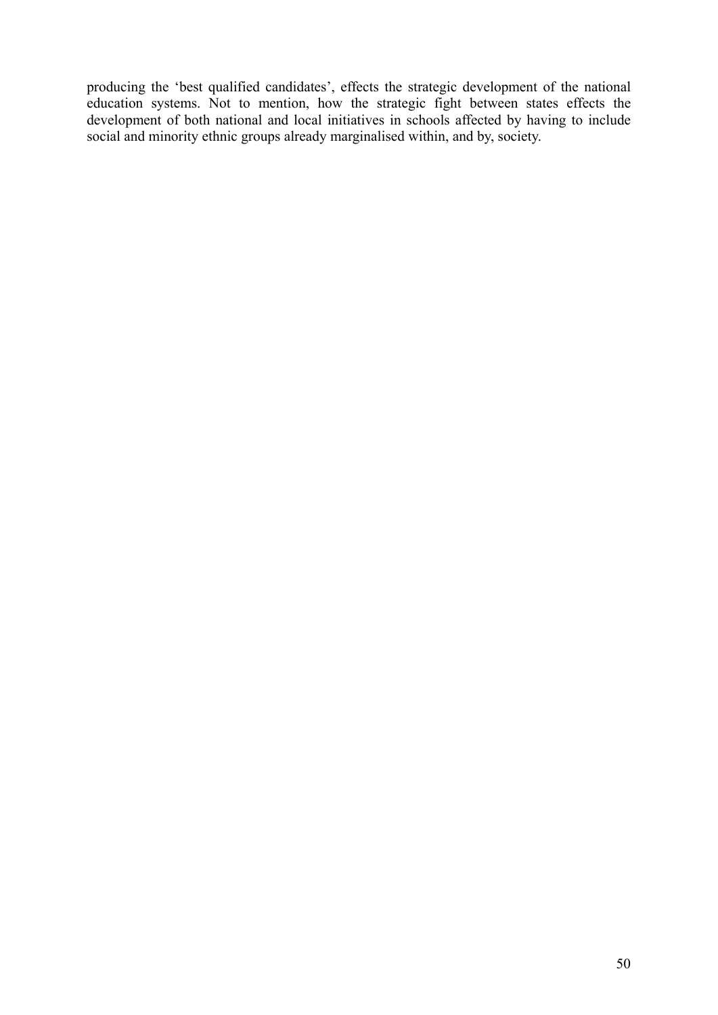producing the 'best qualified candidates', effects the strategic development of the national education systems. Not to mention, how the strategic fight between states effects the development of both national and local initiatives in schools affected by having to include social and minority ethnic groups already marginalised within, and by, society.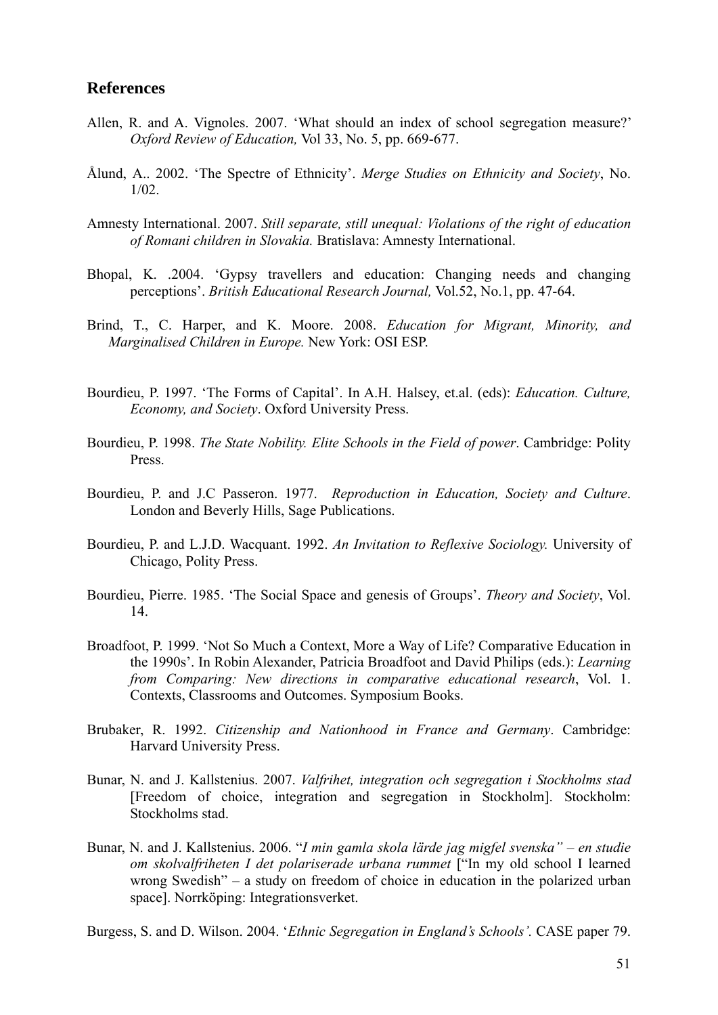## **References**

- Allen, R. and A. Vignoles. 2007. 'What should an index of school segregation measure?' *Oxford Review of Education,* Vol 33, No. 5, pp. 669-677.
- Ålund, A.. 2002. 'The Spectre of Ethnicity'. *Merge Studies on Ethnicity and Society*, No. 1/02.
- Amnesty International. 2007. *Still separate, still unequal: Violations of the right of education of Romani children in Slovakia.* Bratislava: Amnesty International.
- Bhopal, K. .2004. 'Gypsy travellers and education: Changing needs and changing perceptions'. *British Educational Research Journal,* Vol.52, No.1, pp. 47-64.
- Brind, T., C. Harper, and K. Moore. 2008. *Education for Migrant, Minority, and Marginalised Children in Europe.* New York: OSI ESP.
- Bourdieu, P. 1997. 'The Forms of Capital'. In A.H. Halsey, et.al. (eds): *Education. Culture, Economy, and Society*. Oxford University Press.
- Bourdieu, P. 1998. *The State Nobility. Elite Schools in the Field of power*. Cambridge: Polity Press.
- Bourdieu, P. and J.C Passeron. 1977. *Reproduction in Education, Society and Culture*. London and Beverly Hills, Sage Publications.
- Bourdieu, P. and L.J.D. Wacquant. 1992. *An Invitation to Reflexive Sociology.* University of Chicago, Polity Press.
- Bourdieu, Pierre. 1985. 'The Social Space and genesis of Groups'. *Theory and Society*, Vol. 14.
- Broadfoot, P. 1999. 'Not So Much a Context, More a Way of Life? Comparative Education in the 1990s'. In Robin Alexander, Patricia Broadfoot and David Philips (eds.): *Learning from Comparing: New directions in comparative educational research*, Vol. 1. Contexts, Classrooms and Outcomes. Symposium Books.
- Brubaker, R. 1992. *Citizenship and Nationhood in France and Germany*. Cambridge: Harvard University Press.
- Bunar, N. and J. Kallstenius. 2007. *Valfrihet, integration och segregation i Stockholms stad* [Freedom of choice, integration and segregation in Stockholm]. Stockholm: Stockholms stad.
- Bunar, N. and J. Kallstenius. 2006. "*I min gamla skola lärde jag migfel svenska" en studie om skolvalfriheten I det polariserade urbana rummet* ["In my old school I learned wrong Swedish" – a study on freedom of choice in education in the polarized urban space]. Norrköping: Integrationsverket.
- Burgess, S. and D. Wilson. 2004. '*Ethnic Segregation in England's Schools'.* CASE paper 79.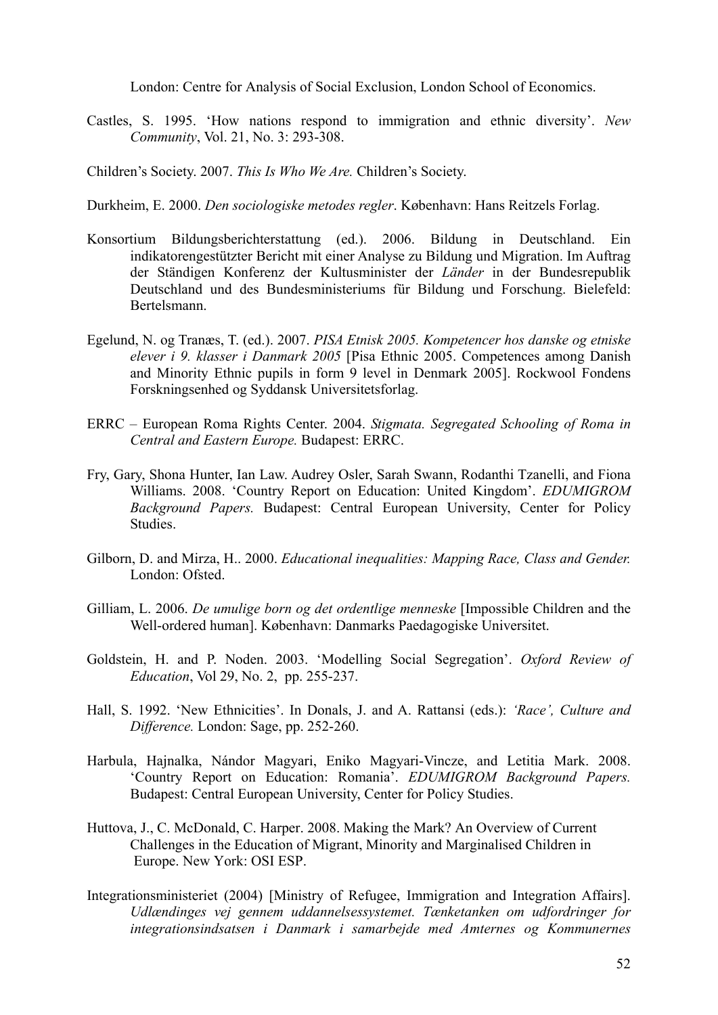London: Centre for Analysis of Social Exclusion, London School of Economics.

Castles, S. 1995. 'How nations respond to immigration and ethnic diversity'. *New Community*, Vol. 21, No. 3: 293-308.

Children's Society. 2007. *This Is Who We Are.* Children's Society.

- Durkheim, E. 2000. *Den sociologiske metodes regler*. København: Hans Reitzels Forlag.
- Konsortium Bildungsberichterstattung (ed.). 2006. Bildung in Deutschland. Ein indikatorengestützter Bericht mit einer Analyse zu Bildung und Migration. Im Auftrag der Ständigen Konferenz der Kultusminister der *Länder* in der Bundesrepublik Deutschland und des Bundesministeriums für Bildung und Forschung. Bielefeld: Bertelsmann.
- Egelund, N. og Tranæs, T. (ed.). 2007. *PISA Etnisk 2005. Kompetencer hos danske og etniske elever i 9. klasser i Danmark 2005* [Pisa Ethnic 2005. Competences among Danish and Minority Ethnic pupils in form 9 level in Denmark 2005]. Rockwool Fondens Forskningsenhed og Syddansk Universitetsforlag.
- ERRC European Roma Rights Center. 2004. *Stigmata. Segregated Schooling of Roma in Central and Eastern Europe.* Budapest: ERRC.
- Fry, Gary, Shona Hunter, Ian Law. Audrey Osler, Sarah Swann, Rodanthi Tzanelli, and Fiona Williams. 2008. 'Country Report on Education: United Kingdom'. *EDUMIGROM Background Papers.* Budapest: Central European University, Center for Policy **Studies**
- Gilborn, D. and Mirza, H.. 2000. *Educational inequalities: Mapping Race, Class and Gender.*  London: Ofsted.
- Gilliam, L. 2006. *De umulige born og det ordentlige menneske* [Impossible Children and the Well-ordered human]. København: Danmarks Paedagogiske Universitet.
- Goldstein, H. and P. Noden. 2003. 'Modelling Social Segregation'. *Oxford Review of Education*, Vol 29, No. 2, pp. 255-237.
- Hall, S. 1992. 'New Ethnicities'. In Donals, J. and A. Rattansi (eds.): *'Race', Culture and Difference.* London: Sage, pp. 252-260.
- Harbula, Hajnalka, Nándor Magyari, Eniko Magyari-Vincze, and Letitia Mark. 2008. 'Country Report on Education: Romania'. *EDUMIGROM Background Papers.*  Budapest: Central European University, Center for Policy Studies.
- Huttova, J., C. McDonald, C. Harper. 2008. Making the Mark? An Overview of Current Challenges in the Education of Migrant, Minority and Marginalised Children in Europe. New York: OSI ESP.
- Integrationsministeriet (2004) [Ministry of Refugee, Immigration and Integration Affairs]. *Udlændinges vej gennem uddannelsessystemet. Tænketanken om udfordringer for integrationsindsatsen i Danmark i samarbejde med Amternes og Kommunernes*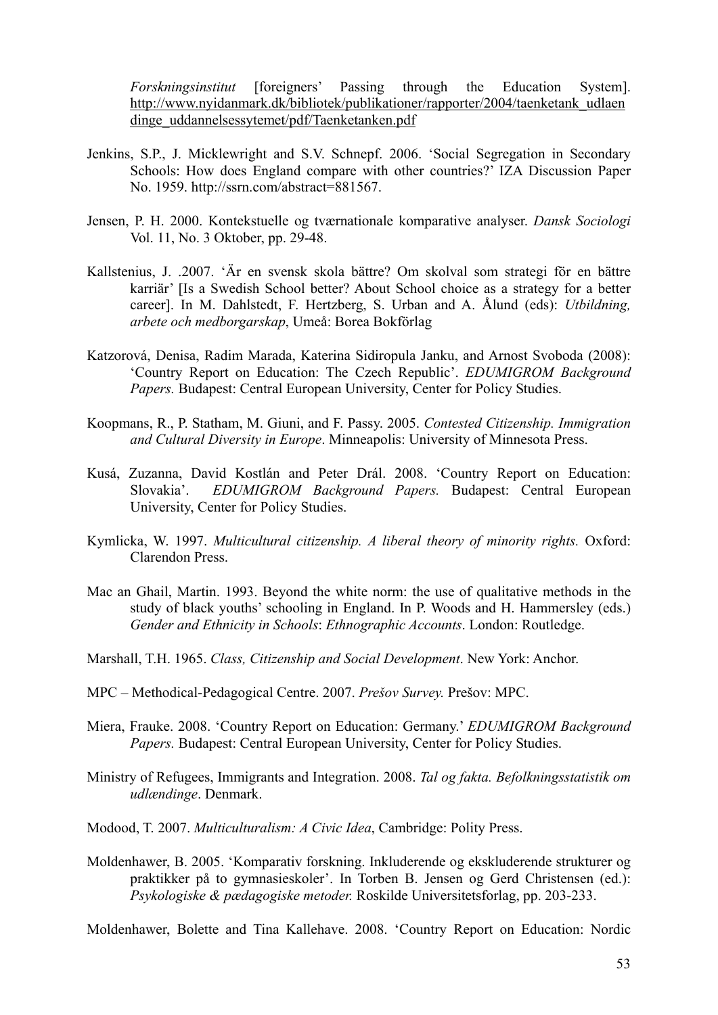*Forskningsinstitut* [foreigners' Passing through the Education System]. http://www.nyidanmark.dk/bibliotek/publikationer/rapporter/2004/taenketank\_udlaen dinge\_uddannelsessytemet/pdf/Taenketanken.pdf

- Jenkins, S.P., J. Micklewright and S.V. Schnepf. 2006. 'Social Segregation in Secondary Schools: How does England compare with other countries?' IZA Discussion Paper No. 1959. http://ssrn.com/abstract=881567.
- Jensen, P. H. 2000. Kontekstuelle og tværnationale komparative analyser. *Dansk Sociologi* Vol. 11, No. 3 Oktober, pp. 29-48.
- Kallstenius, J. .2007. 'Är en svensk skola bättre? Om skolval som strategi för en bättre karriär' [Is a Swedish School better? About School choice as a strategy for a better career]. In M. Dahlstedt, F. Hertzberg, S. Urban and A. Ålund (eds): *Utbildning, arbete och medborgarskap*, Umeå: Borea Bokförlag
- Katzorová, Denisa, Radim Marada, Katerina Sidiropula Janku, and Arnost Svoboda (2008): 'Country Report on Education: The Czech Republic'. *EDUMIGROM Background Papers.* Budapest: Central European University, Center for Policy Studies.
- Koopmans, R., P. Statham, M. Giuni, and F. Passy. 2005. *Contested Citizenship. Immigration and Cultural Diversity in Europe*. Minneapolis: University of Minnesota Press.
- Kusá, Zuzanna, David Kostlán and Peter Drál. 2008. 'Country Report on Education: Slovakia'. *EDUMIGROM Background Papers.* Budapest: Central European University, Center for Policy Studies.
- Kymlicka, W. 1997. *Multicultural citizenship. A liberal theory of minority rights.* Oxford: Clarendon Press.
- Mac an Ghail, Martin. 1993. Beyond the white norm: the use of qualitative methods in the study of black youths' schooling in England. In P. Woods and H. Hammersley (eds.) *Gender and Ethnicity in Schools*: *Ethnographic Accounts*. London: Routledge.
- Marshall, T.H. 1965. *Class, Citizenship and Social Development*. New York: Anchor.
- MPC Methodical-Pedagogical Centre. 2007. *Prešov Survey.* Prešov: MPC.
- Miera, Frauke. 2008. 'Country Report on Education: Germany.' *EDUMIGROM Background Papers.* Budapest: Central European University, Center for Policy Studies.
- Ministry of Refugees, Immigrants and Integration. 2008. *Tal og fakta. Befolkningsstatistik om udlændinge*. Denmark.
- Modood, T. 2007. *Multiculturalism: A Civic Idea*, Cambridge: Polity Press.
- Moldenhawer, B. 2005. 'Komparativ forskning. Inkluderende og ekskluderende strukturer og praktikker på to gymnasieskoler'. In Torben B. Jensen og Gerd Christensen (ed.): *Psykologiske & pædagogiske metoder.* Roskilde Universitetsforlag, pp. 203-233.

Moldenhawer, Bolette and Tina Kallehave. 2008. 'Country Report on Education: Nordic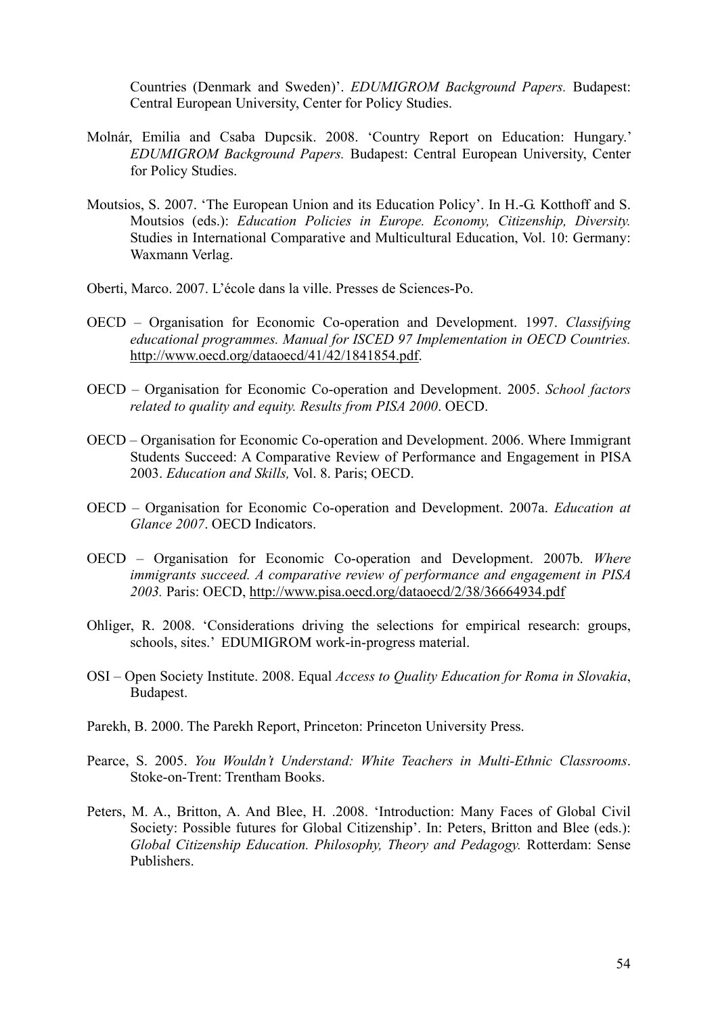Countries (Denmark and Sweden)'. *EDUMIGROM Background Papers.* Budapest: Central European University, Center for Policy Studies.

- Molnár, Emilia and Csaba Dupcsik. 2008. 'Country Report on Education: Hungary.' *EDUMIGROM Background Papers.* Budapest: Central European University, Center for Policy Studies.
- Moutsios, S. 2007. 'The European Union and its Education Policy'. In H.-G. Kotthoff and S. Moutsios (eds.): *Education Policies in Europe. Economy, Citizenship, Diversity.*  Studies in International Comparative and Multicultural Education, Vol. 10: Germany: Waxmann Verlag.
- Oberti, Marco. 2007. L'école dans la ville. Presses de Sciences-Po.
- OECD Organisation for Economic Co-operation and Development. 1997. *Classifying educational programmes. Manual for ISCED 97 Implementation in OECD Countries.* http://www.oecd.org/dataoecd/41/42/1841854.pdf.
- OECD Organisation for Economic Co-operation and Development. 2005. *School factors related to quality and equity. Results from PISA 2000*. OECD.
- OECD Organisation for Economic Co-operation and Development. 2006. Where Immigrant Students Succeed: A Comparative Review of Performance and Engagement in PISA 2003. *Education and Skills,* Vol. 8. Paris; OECD.
- OECD Organisation for Economic Co-operation and Development. 2007a. *Education at Glance 2007*. OECD Indicators.
- OECD Organisation for Economic Co-operation and Development. 2007b. *Where immigrants succeed. A comparative review of performance and engagement in PISA 2003.* Paris: OECD, http://www.pisa.oecd.org/dataoecd/2/38/36664934.pdf
- Ohliger, R. 2008. 'Considerations driving the selections for empirical research: groups, schools, sites.' EDUMIGROM work-in-progress material.
- OSI Open Society Institute. 2008. Equal *Access to Quality Education for Roma in Slovakia*, Budapest.
- Parekh, B. 2000. The Parekh Report, Princeton: Princeton University Press.
- Pearce, S. 2005. *You Wouldn't Understand: White Teachers in Multi-Ethnic Classrooms*. Stoke-on-Trent: Trentham Books.
- Peters, M. A., Britton, A. And Blee, H. .2008. 'Introduction: Many Faces of Global Civil Society: Possible futures for Global Citizenship'. In: Peters, Britton and Blee (eds.): *Global Citizenship Education. Philosophy, Theory and Pedagogy.* Rotterdam: Sense Publishers.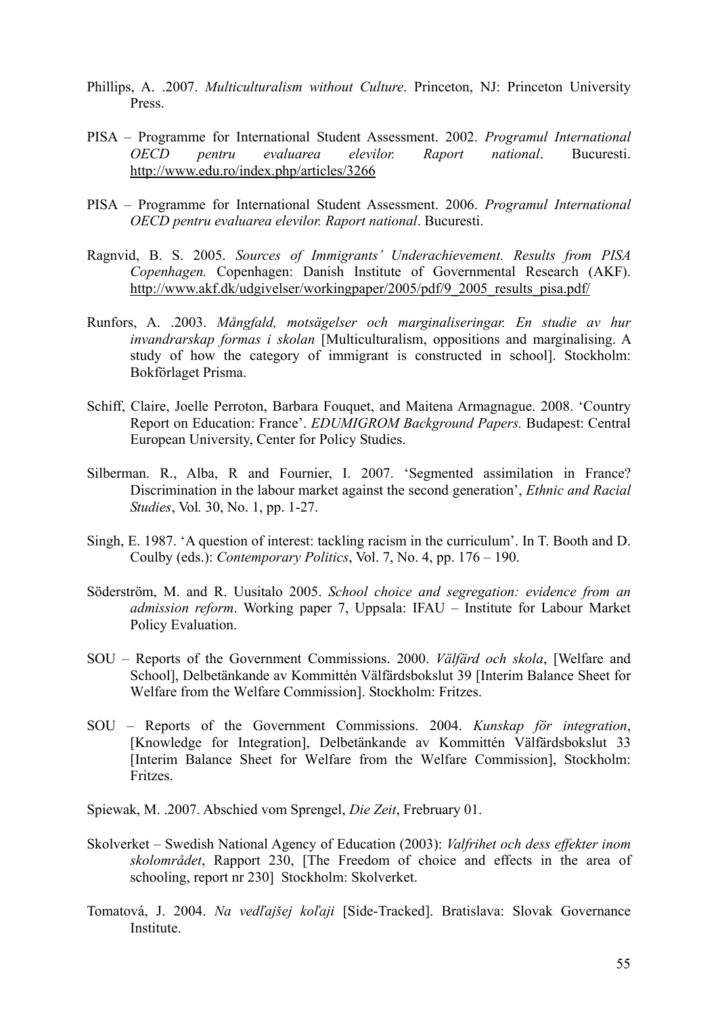- Phillips, A. .2007. *Multiculturalism without Culture*. Princeton, NJ: Princeton University Press.
- PISA Programme for International Student Assessment. 2002. *Programul International OECD pentru evaluarea elevilor. Raport national*. Bucuresti. http://www.edu.ro/index.php/articles/3266
- PISA Programme for International Student Assessment. 2006. *Programul International OECD pentru evaluarea elevilor. Raport national*. Bucuresti.
- Ragnvid, B. S. 2005. *Sources of Immigrants' Underachievement. Results from PISA Copenhagen.* Copenhagen: Danish Institute of Governmental Research (AKF). http://www.akf.dk/udgivelser/workingpaper/2005/pdf/9\_2005\_results\_pisa.pdf/
- Runfors, A. .2003. *Mångfald, motsägelser och marginaliseringar. En studie av hur invandrarskap formas i skolan* [Multiculturalism, oppositions and marginalising. A study of how the category of immigrant is constructed in school]. Stockholm: Bokförlaget Prisma.
- Schiff, Claire, Joelle Perroton, Barbara Fouquet, and Maitena Armagnague. 2008. 'Country Report on Education: France'. *EDUMIGROM Background Papers.* Budapest: Central European University, Center for Policy Studies.
- Silberman. R., Alba, R and Fournier, I. 2007. 'Segmented assimilation in France? Discrimination in the labour market against the second generation', *Ethnic and Racial Studies*, Vol*.* 30, No. 1, pp. 1-27.
- Singh, E. 1987. 'A question of interest: tackling racism in the curriculum'. In T. Booth and D. Coulby (eds.): *Contemporary Politics*, Vol. 7, No. 4, pp. 176 – 190.
- Söderström, M. and R. Uusitalo 2005. *School choice and segregation: evidence from an admission reform*. Working paper 7, Uppsala: IFAU – Institute for Labour Market Policy Evaluation.
- SOU Reports of the Government Commissions. 2000. *Välfärd och skola*, [Welfare and School], Delbetänkande av Kommittén Välfärdsbokslut 39 [Interim Balance Sheet for Welfare from the Welfare Commission]. Stockholm: Fritzes.
- SOU Reports of the Government Commissions. 2004. *Kunskap för integration*, [Knowledge for Integration], Delbetänkande av Kommittén Välfärdsbokslut 33 [Interim Balance Sheet for Welfare from the Welfare Commission], Stockholm: Fritzes.
- Spiewak, M. .2007. Abschied vom Sprengel, *Die Zeit*, Frebruary 01.
- Skolverket Swedish National Agency of Education (2003): *Valfrihet och dess effekter inom skolområdet*, Rapport 230, [The Freedom of choice and effects in the area of schooling, report nr 230] Stockholm: Skolverket.
- Tomatová, J. 2004. *Na vedľajšej koľaji* [Side-Tracked]. Bratislava: Slovak Governance Institute.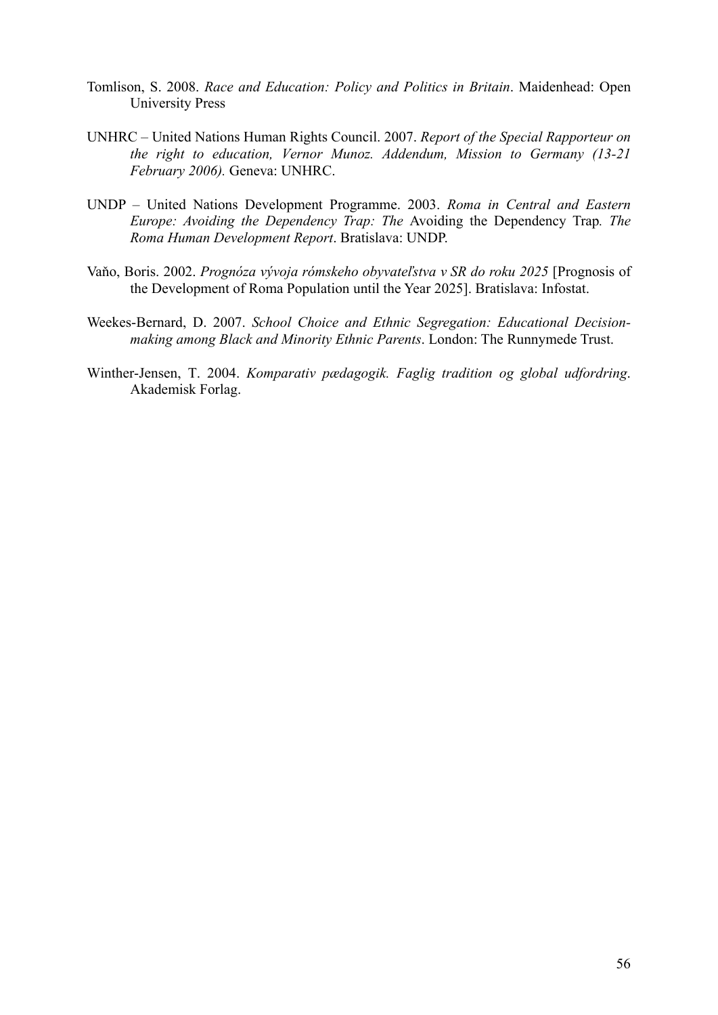- Tomlison, S. 2008. *Race and Education: Policy and Politics in Britain*. Maidenhead: Open University Press
- UNHRC United Nations Human Rights Council. 2007. *Report of the Special Rapporteur on the right to education, Vernor Munoz. Addendum, Mission to Germany (13-21 February 2006).* Geneva: UNHRC.
- UNDP United Nations Development Programme. 2003. *Roma in Central and Eastern Europe: Avoiding the Dependency Trap: The* Avoiding the Dependency Trap*. The Roma Human Development Report*. Bratislava: UNDP.
- Vaňo, Boris. 2002. *Prognóza vývoja rómskeho obyvateľstva v SR do roku 2025* [Prognosis of the Development of Roma Population until the Year 2025]. Bratislava: Infostat.
- Weekes-Bernard, D. 2007. *School Choice and Ethnic Segregation: Educational Decisionmaking among Black and Minority Ethnic Parents*. London: The Runnymede Trust.
- Winther-Jensen, T. 2004. *Komparativ pædagogik. Faglig tradition og global udfordring*. Akademisk Forlag.